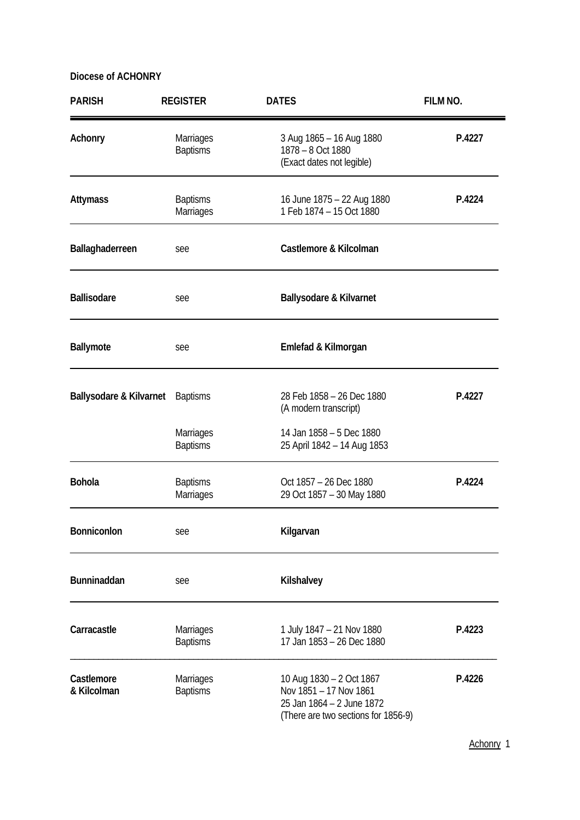| <b>PARISH</b>             | <b>REGISTER</b>                     | <b>DATES</b>                                                                                                           | FILM NO. |
|---------------------------|-------------------------------------|------------------------------------------------------------------------------------------------------------------------|----------|
| Achonry                   | Marriages<br><b>Baptisms</b>        | 3 Aug 1865 - 16 Aug 1880<br>1878 - 8 Oct 1880<br>(Exact dates not legible)                                             | P.4227   |
| <b>Attymass</b>           | <b>Baptisms</b><br>Marriages        | 16 June 1875 - 22 Aug 1880<br>1 Feb 1874 - 15 Oct 1880                                                                 | P.4224   |
| Ballaghaderreen           | see                                 | Castlemore & Kilcolman                                                                                                 |          |
| <b>Ballisodare</b>        | see                                 | <b>Ballysodare &amp; Kilvarnet</b>                                                                                     |          |
| Ballymote                 | see                                 | Emlefad & Kilmorgan                                                                                                    |          |
| Ballysodare & Kilvarnet   | <b>Baptisms</b>                     | 28 Feb 1858 - 26 Dec 1880<br>(A modern transcript)                                                                     | P.4227   |
|                           | Marriages<br><b>Baptisms</b>        | 14 Jan 1858 - 5 Dec 1880<br>25 April 1842 - 14 Aug 1853                                                                |          |
| <b>Bohola</b>             | <b>Baptisms</b><br>Marriages        | Oct 1857 - 26 Dec 1880<br>29 Oct 1857 - 30 May 1880                                                                    | P.4224   |
| Bonniconlon               | see                                 | Kilgarvan                                                                                                              |          |
| Bunninaddan               | see                                 | Kilshalvey                                                                                                             |          |
| Carracastle               | <b>Marriages</b><br><b>Baptisms</b> | 1 July 1847 - 21 Nov 1880<br>17 Jan 1853 - 26 Dec 1880                                                                 | P.4223   |
| Castlemore<br>& Kilcolman | Marriages<br><b>Baptisms</b>        | 10 Aug 1830 - 2 Oct 1867<br>Nov 1851 - 17 Nov 1861<br>25 Jan 1864 - 2 June 1872<br>(There are two sections for 1856-9) | P.4226   |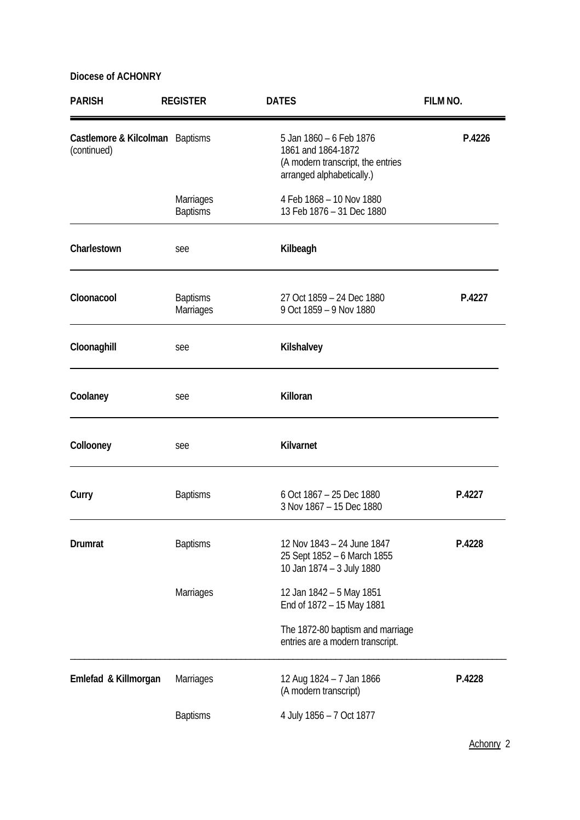| <b>PARISH</b>                                  | <b>REGISTER</b>              | <b>DATES</b>                                                                                                    | FILM NO. |
|------------------------------------------------|------------------------------|-----------------------------------------------------------------------------------------------------------------|----------|
| Castlemore & Kilcolman Baptisms<br>(continued) |                              | 5 Jan 1860 - 6 Feb 1876<br>1861 and 1864-1872<br>(A modern transcript, the entries<br>arranged alphabetically.) | P.4226   |
|                                                | Marriages<br><b>Baptisms</b> | 4 Feb 1868 - 10 Nov 1880<br>13 Feb 1876 - 31 Dec 1880                                                           |          |
| Charlestown                                    | see                          | Kilbeagh                                                                                                        |          |
| Cloonacool                                     | <b>Baptisms</b><br>Marriages | 27 Oct 1859 - 24 Dec 1880<br>9 Oct 1859 - 9 Nov 1880                                                            | P.4227   |
| Cloonaghill                                    | see                          | Kilshalvey                                                                                                      |          |
| Coolaney                                       | see                          | Killoran                                                                                                        |          |
| Collooney                                      | see                          | Kilvarnet                                                                                                       |          |
| Curry                                          | <b>Baptisms</b>              | 6 Oct 1867 - 25 Dec 1880<br>3 Nov 1867 - 15 Dec 1880                                                            | P.4227   |
| <b>Drumrat</b>                                 | <b>Baptisms</b>              | 12 Nov 1843 - 24 June 1847<br>25 Sept 1852 - 6 March 1855<br>10 Jan 1874 - 3 July 1880                          | P.4228   |
|                                                | Marriages                    | 12 Jan 1842 - 5 May 1851<br>End of 1872 - 15 May 1881                                                           |          |
|                                                |                              | The 1872-80 baptism and marriage<br>entries are a modern transcript.                                            |          |
| Emlefad & Killmorgan                           | <b>Marriages</b>             | 12 Aug 1824 - 7 Jan 1866<br>(A modern transcript)                                                               | P.4228   |
|                                                | <b>Baptisms</b>              | 4 July 1856 - 7 Oct 1877                                                                                        |          |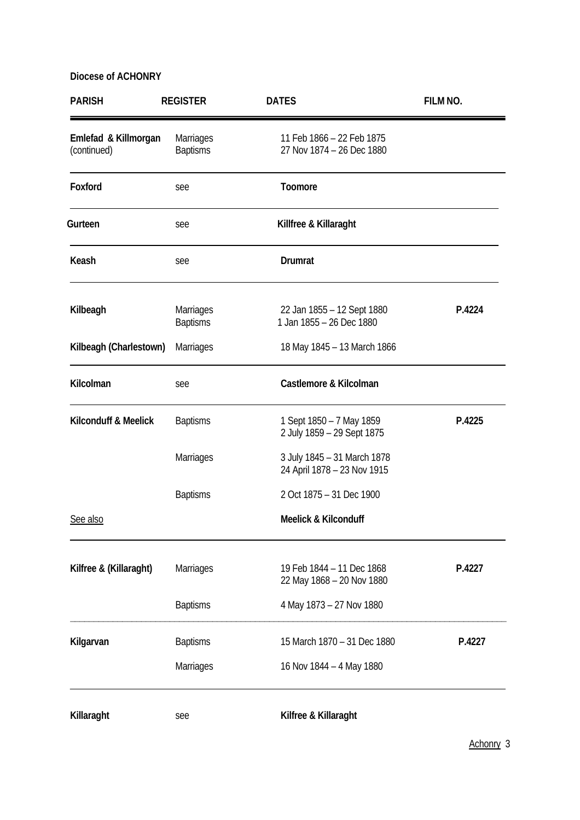| <b>PARISH</b>                       | <b>REGISTER</b>                     | <b>DATES</b>                                               | FILM NO. |
|-------------------------------------|-------------------------------------|------------------------------------------------------------|----------|
| Emlefad & Killmorgan<br>(continued) | Marriages<br><b>Baptisms</b>        | 11 Feb 1866 - 22 Feb 1875<br>27 Nov 1874 - 26 Dec 1880     |          |
| Foxford                             | see                                 | Toomore                                                    |          |
| Gurteen                             | see                                 | Killfree & Killaraght                                      |          |
| Keash                               | see                                 | <b>Drumrat</b>                                             |          |
| Kilbeagh                            | <b>Marriages</b><br><b>Baptisms</b> | 22 Jan 1855 - 12 Sept 1880<br>1 Jan 1855 - 26 Dec 1880     | P.4224   |
| Kilbeagh (Charlestown)              | Marriages                           | 18 May 1845 - 13 March 1866                                |          |
| Kilcolman                           | see                                 | Castlemore & Kilcolman                                     |          |
| Kilconduff & Meelick                | <b>Baptisms</b>                     | 1 Sept 1850 - 7 May 1859<br>2 July 1859 - 29 Sept 1875     | P.4225   |
|                                     | Marriages                           | 3 July 1845 - 31 March 1878<br>24 April 1878 - 23 Nov 1915 |          |
|                                     | <b>Baptisms</b>                     | 2 Oct 1875 - 31 Dec 1900                                   |          |
| See also                            |                                     | <b>Meelick &amp; Kilconduff</b>                            |          |
| Kilfree & (Killaraght)              | Marriages                           | 19 Feb 1844 - 11 Dec 1868<br>22 May 1868 - 20 Nov 1880     | P.4227   |
|                                     | <b>Baptisms</b>                     | 4 May 1873 - 27 Nov 1880                                   |          |
| Kilgarvan                           | <b>Baptisms</b>                     | 15 March 1870 - 31 Dec 1880                                | P.4227   |
|                                     | Marriages                           | 16 Nov 1844 - 4 May 1880                                   |          |
| Killaraght                          | see                                 | Kilfree & Killaraght                                       |          |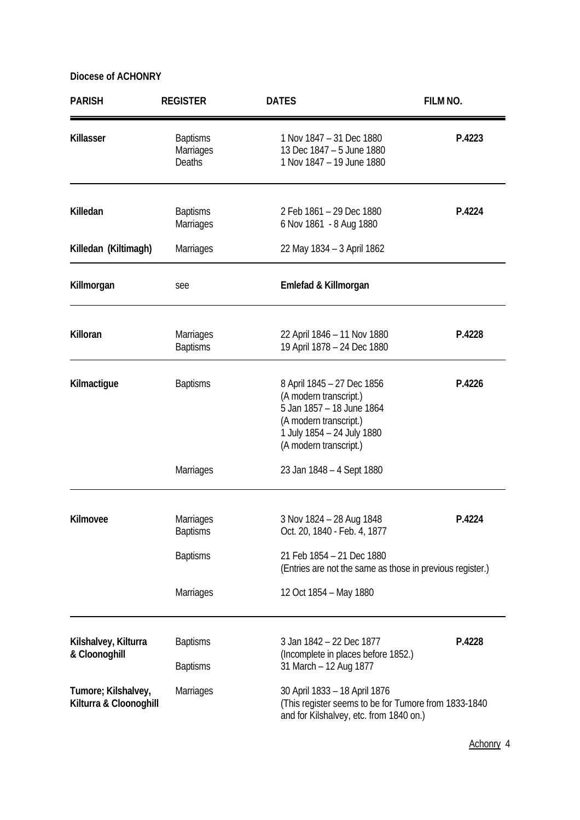| <b>PARISH</b>                                 | <b>REGISTER</b>                        | <b>DATES</b>                                                                                                                                                        | FILM NO. |
|-----------------------------------------------|----------------------------------------|---------------------------------------------------------------------------------------------------------------------------------------------------------------------|----------|
| Killasser                                     | <b>Baptisms</b><br>Marriages<br>Deaths | 1 Nov 1847 - 31 Dec 1880<br>13 Dec 1847 - 5 June 1880<br>1 Nov 1847 - 19 June 1880                                                                                  | P.4223   |
| Killedan                                      | <b>Baptisms</b><br><b>Marriages</b>    | 2 Feb 1861 - 29 Dec 1880<br>6 Nov 1861 - 8 Aug 1880                                                                                                                 | P.4224   |
| Killedan (Kiltimagh)                          | Marriages                              | 22 May 1834 - 3 April 1862                                                                                                                                          |          |
| Killmorgan                                    | see                                    | Emlefad & Killmorgan                                                                                                                                                |          |
| Killoran                                      | Marriages<br><b>Baptisms</b>           | 22 April 1846 - 11 Nov 1880<br>19 April 1878 - 24 Dec 1880                                                                                                          | P.4228   |
| Kilmactigue                                   | <b>Baptisms</b>                        | 8 April 1845 - 27 Dec 1856<br>(A modern transcript.)<br>5 Jan 1857 - 18 June 1864<br>(A modern transcript.)<br>1 July 1854 - 24 July 1880<br>(A modern transcript.) | P.4226   |
|                                               | <b>Marriages</b>                       | 23 Jan 1848 - 4 Sept 1880                                                                                                                                           |          |
| Kilmovee                                      | Marriages<br><b>Baptisms</b>           | 3 Nov 1824 - 28 Aug 1848<br>Oct. 20, 1840 - Feb. 4, 1877                                                                                                            | P.4224   |
|                                               | <b>Baptisms</b>                        | 21 Feb 1854 - 21 Dec 1880<br>(Entries are not the same as those in previous register.)                                                                              |          |
|                                               | Marriages                              | 12 Oct 1854 - May 1880                                                                                                                                              |          |
| Kilshalvey, Kilturra<br>& Cloonoghill         | <b>Baptisms</b>                        | 3 Jan 1842 - 22 Dec 1877<br>(Incomplete in places before 1852.)                                                                                                     | P.4228   |
|                                               | <b>Baptisms</b>                        | 31 March - 12 Aug 1877                                                                                                                                              |          |
| Tumore; Kilshalvey,<br>Kilturra & Cloonoghill | Marriages                              | 30 April 1833 - 18 April 1876<br>(This register seems to be for Tumore from 1833-1840<br>and for Kilshalvey, etc. from 1840 on.)                                    |          |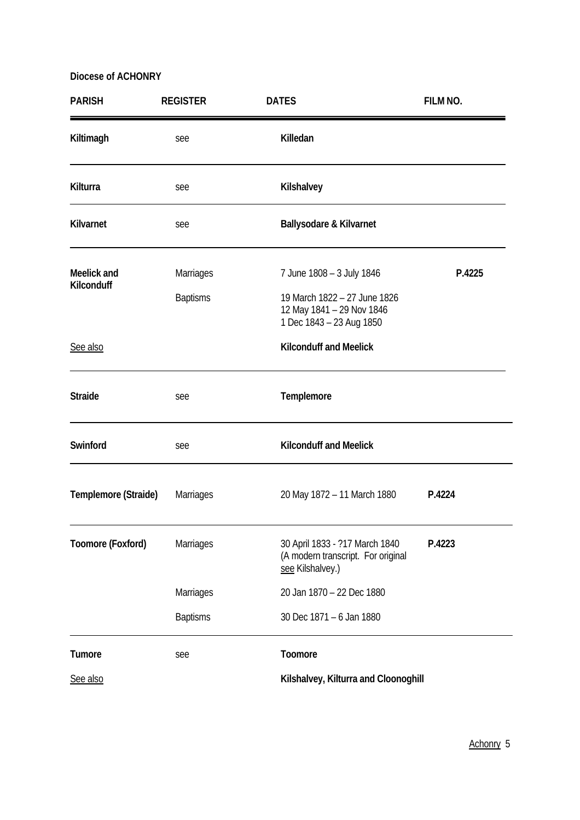| <b>PARISH</b>             | <b>REGISTER</b> | <b>DATES</b>                                                                             | FILM NO. |
|---------------------------|-----------------|------------------------------------------------------------------------------------------|----------|
| Kiltimagh                 | see             | Killedan                                                                                 |          |
| Kilturra                  | see             | Kilshalvey                                                                               |          |
| Kilvarnet                 | see             | <b>Ballysodare &amp; Kilvarnet</b>                                                       |          |
| Meelick and<br>Kilconduff | Marriages       | 7 June 1808 - 3 July 1846                                                                | P.4225   |
|                           | <b>Baptisms</b> | 19 March 1822 - 27 June 1826<br>12 May 1841 - 29 Nov 1846<br>1 Dec 1843 - 23 Aug 1850    |          |
| See also                  |                 | <b>Kilconduff and Meelick</b>                                                            |          |
| <b>Straide</b>            | see             | Templemore                                                                               |          |
| Swinford                  | see             | <b>Kilconduff and Meelick</b>                                                            |          |
| Templemore (Straide)      | Marriages       | 20 May 1872 - 11 March 1880                                                              | P.4224   |
| Toomore (Foxford)         | Marriages       | 30 April 1833 - ?17 March 1840<br>(A modern transcript. For original<br>see Kilshalvey.) | P.4223   |
|                           | Marriages       | 20 Jan 1870 - 22 Dec 1880                                                                |          |
|                           | <b>Baptisms</b> | 30 Dec 1871 - 6 Jan 1880                                                                 |          |
| Tumore                    | see             | Toomore                                                                                  |          |
| See also                  |                 | Kilshalvey, Kilturra and Cloonoghill                                                     |          |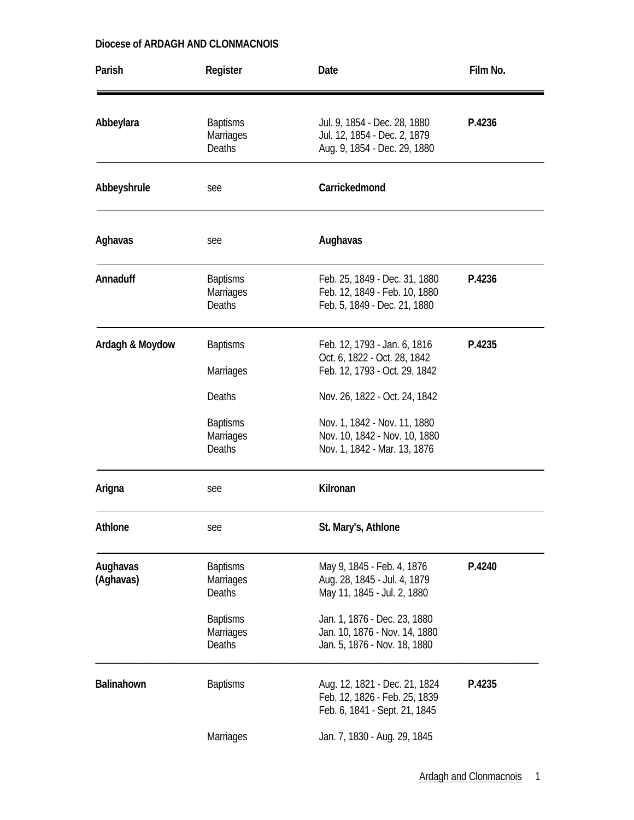| Parish                | Register                                      | Date                                                                                                                           | Film No. |
|-----------------------|-----------------------------------------------|--------------------------------------------------------------------------------------------------------------------------------|----------|
| Abbeylara             | <b>Baptisms</b><br>Marriages<br><b>Deaths</b> | Jul. 9, 1854 - Dec. 28, 1880<br>Jul. 12, 1854 - Dec. 2, 1879<br>Aug. 9, 1854 - Dec. 29, 1880                                   | P.4236   |
| Abbeyshrule           | see                                           | Carrickedmond                                                                                                                  |          |
| Aghavas               | see                                           | Aughavas                                                                                                                       |          |
| Annaduff              | <b>Baptisms</b><br>Marriages<br><b>Deaths</b> | Feb. 25, 1849 - Dec. 31, 1880<br>Feb. 12, 1849 - Feb. 10, 1880<br>Feb. 5, 1849 - Dec. 21, 1880                                 | P.4236   |
| Ardagh & Moydow       | <b>Baptisms</b><br>Marriages<br>Deaths        | Feb. 12, 1793 - Jan. 6, 1816<br>Oct. 6, 1822 - Oct. 28, 1842<br>Feb. 12, 1793 - Oct. 29, 1842<br>Nov. 26, 1822 - Oct. 24, 1842 | P.4235   |
|                       | <b>Baptisms</b><br><b>Marriages</b><br>Deaths | Nov. 1, 1842 - Nov. 11, 1880<br>Nov. 10, 1842 - Nov. 10, 1880<br>Nov. 1, 1842 - Mar. 13, 1876                                  |          |
| Arigna                | see                                           | Kilronan                                                                                                                       |          |
| Athlone               | see                                           | St. Mary's, Athlone                                                                                                            |          |
| Aughavas<br>(Aghavas) | <b>Baptisms</b><br>Marriages<br>Deaths        | May 9, 1845 - Feb. 4, 1876<br>Aug. 28, 1845 - Jul. 4, 1879<br>May 11, 1845 - Jul. 2, 1880                                      | P.4240   |
|                       | <b>Baptisms</b><br>Marriages<br><b>Deaths</b> | Jan. 1, 1876 - Dec. 23, 1880<br>Jan. 10, 1876 - Nov. 14, 1880<br>Jan. 5, 1876 - Nov. 18, 1880                                  |          |
| Balinahown            | <b>Baptisms</b>                               | Aug. 12, 1821 - Dec. 21, 1824<br>Feb. 12, 1826 - Feb. 25, 1839<br>Feb. 6, 1841 - Sept. 21, 1845                                | P.4235   |
|                       | Marriages                                     | Jan. 7, 1830 - Aug. 29, 1845                                                                                                   |          |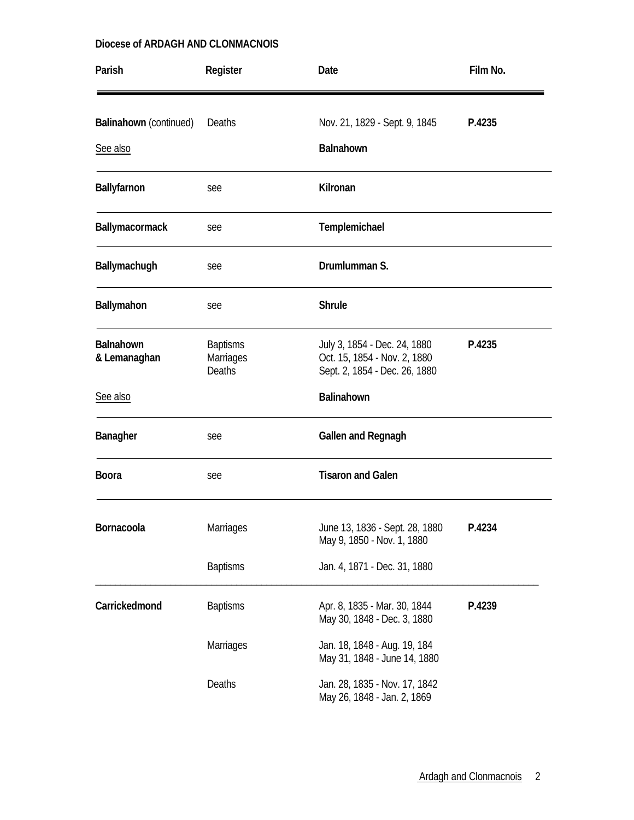| Parish                             | Register                                      | Date                                                                                          | Film No. |
|------------------------------------|-----------------------------------------------|-----------------------------------------------------------------------------------------------|----------|
| Balinahown (continued)<br>See also | Deaths                                        | Nov. 21, 1829 - Sept. 9, 1845<br>Balnahown                                                    | P.4235   |
| Ballyfarnon                        | see                                           | Kilronan                                                                                      |          |
| Ballymacormack                     | see                                           | Templemichael                                                                                 |          |
| Ballymachugh                       | see                                           | Drumlumman S.                                                                                 |          |
| Ballymahon                         | see                                           | <b>Shrule</b>                                                                                 |          |
| Balnahown<br>& Lemanaghan          | <b>Baptisms</b><br>Marriages<br><b>Deaths</b> | July 3, 1854 - Dec. 24, 1880<br>Oct. 15, 1854 - Nov. 2, 1880<br>Sept. 2, 1854 - Dec. 26, 1880 | P.4235   |
| See also                           |                                               | Balinahown                                                                                    |          |
| Banagher                           | see                                           | Gallen and Regnagh                                                                            |          |
| <b>Boora</b>                       | see                                           | <b>Tisaron and Galen</b>                                                                      |          |
| Bornacoola                         | Marriages                                     | June 13, 1836 - Sept. 28, 1880<br>May 9, 1850 - Nov. 1, 1880                                  | P.4234   |
|                                    | <b>Baptisms</b>                               | Jan. 4, 1871 - Dec. 31, 1880                                                                  |          |
| Carrickedmond                      | <b>Baptisms</b>                               | Apr. 8, 1835 - Mar. 30, 1844<br>May 30, 1848 - Dec. 3, 1880                                   | P.4239   |
|                                    | Marriages                                     | Jan. 18, 1848 - Aug. 19, 184<br>May 31, 1848 - June 14, 1880                                  |          |
|                                    | Deaths                                        | Jan. 28, 1835 - Nov. 17, 1842<br>May 26, 1848 - Jan. 2, 1869                                  |          |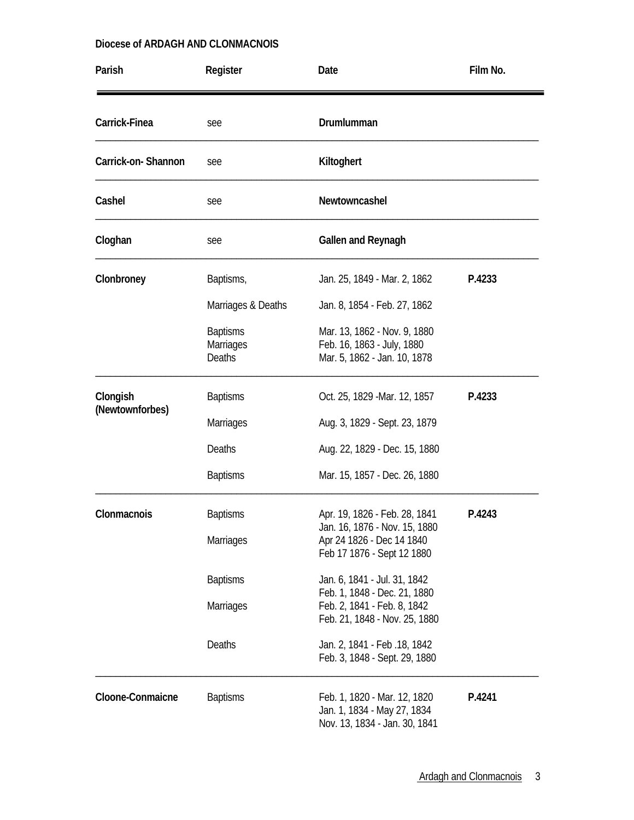| Parish             | Register                                             | Date                                                                                         | Film No. |
|--------------------|------------------------------------------------------|----------------------------------------------------------------------------------------------|----------|
| Carrick-Finea      | see                                                  | Drumlumman                                                                                   |          |
| Carrick-on-Shannon | see                                                  | Kiltoghert                                                                                   |          |
| Cashel             | see                                                  | Newtowncashel                                                                                |          |
| Cloghan            | see                                                  | Gallen and Reynagh                                                                           |          |
| Clonbroney         | Baptisms,                                            | Jan. 25, 1849 - Mar. 2, 1862                                                                 | P.4233   |
|                    | Marriages & Deaths                                   | Jan. 8, 1854 - Feb. 27, 1862                                                                 |          |
|                    | <b>Baptisms</b><br><b>Marriages</b><br><b>Deaths</b> | Mar. 13, 1862 - Nov. 9, 1880<br>Feb. 16, 1863 - July, 1880<br>Mar. 5, 1862 - Jan. 10, 1878   |          |
| Clongish           | <b>Baptisms</b>                                      | Oct. 25, 1829 - Mar. 12, 1857                                                                | P.4233   |
| (Newtownforbes)    | Marriages                                            | Aug. 3, 1829 - Sept. 23, 1879                                                                |          |
|                    | <b>Deaths</b>                                        | Aug. 22, 1829 - Dec. 15, 1880                                                                |          |
|                    | <b>Baptisms</b>                                      | Mar. 15, 1857 - Dec. 26, 1880                                                                |          |
| Clonmacnois        | <b>Baptisms</b>                                      | Apr. 19, 1826 - Feb. 28, 1841                                                                | P.4243   |
|                    | <b>Marriages</b>                                     | Jan. 16, 1876 - Nov. 15, 1880<br>Apr 24 1826 - Dec 14 1840<br>Feb 17 1876 - Sept 12 1880     |          |
|                    | <b>Baptisms</b>                                      | Jan. 6, 1841 - Jul. 31, 1842                                                                 |          |
|                    | Marriages                                            | Feb. 1, 1848 - Dec. 21, 1880<br>Feb. 2, 1841 - Feb. 8, 1842<br>Feb. 21, 1848 - Nov. 25, 1880 |          |
|                    | Deaths                                               | Jan. 2, 1841 - Feb. 18, 1842<br>Feb. 3, 1848 - Sept. 29, 1880                                |          |
| Cloone-Conmaicne   | <b>Baptisms</b>                                      | Feb. 1, 1820 - Mar. 12, 1820<br>Jan. 1, 1834 - May 27, 1834<br>Nov. 13, 1834 - Jan. 30, 1841 | P.4241   |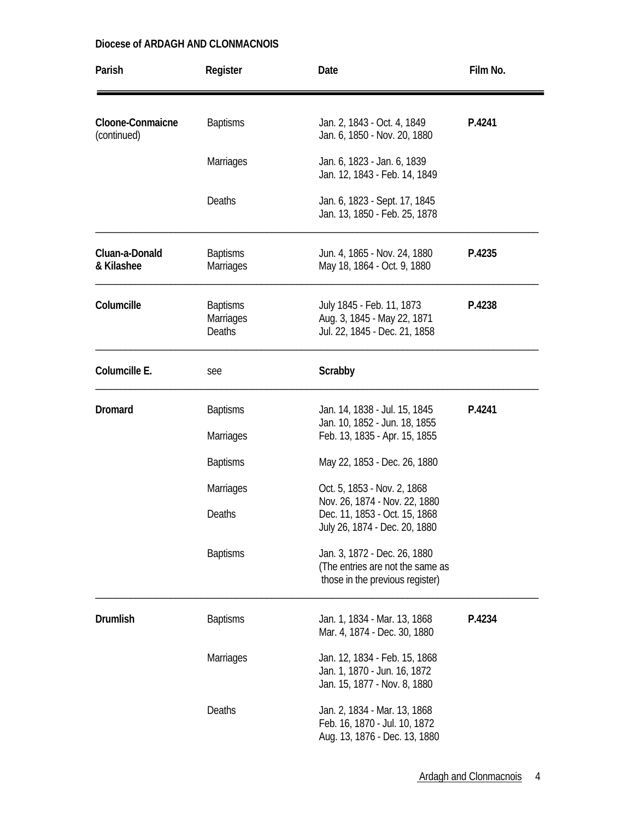| Parish                          | Register                                      | Date                                                                                                | Film No. |
|---------------------------------|-----------------------------------------------|-----------------------------------------------------------------------------------------------------|----------|
| Cloone-Conmaicne<br>(continued) | <b>Baptisms</b>                               | Jan. 2, 1843 - Oct. 4, 1849<br>Jan. 6, 1850 - Nov. 20, 1880                                         | P.4241   |
|                                 | <b>Marriages</b>                              | Jan. 6, 1823 - Jan. 6, 1839<br>Jan. 12, 1843 - Feb. 14, 1849                                        |          |
|                                 | <b>Deaths</b>                                 | Jan. 6, 1823 - Sept. 17, 1845<br>Jan. 13, 1850 - Feb. 25, 1878                                      |          |
| Cluan-a-Donald<br>& Kilashee    | <b>Baptisms</b><br><b>Marriages</b>           | Jun. 4, 1865 - Nov. 24, 1880<br>May 18, 1864 - Oct. 9, 1880                                         | P.4235   |
| Columcille                      | <b>Baptisms</b><br>Marriages<br><b>Deaths</b> | July 1845 - Feb. 11, 1873<br>Aug. 3, 1845 - May 22, 1871<br>Jul. 22, 1845 - Dec. 21, 1858           | P.4238   |
| Columcille E.                   | see                                           | Scrabby                                                                                             |          |
| <b>Dromard</b>                  | <b>Baptisms</b>                               | Jan. 14, 1838 - Jul. 15, 1845<br>Jan. 10, 1852 - Jun. 18, 1855                                      | P.4241   |
|                                 | Marriages                                     | Feb. 13, 1835 - Apr. 15, 1855                                                                       |          |
|                                 | <b>Baptisms</b>                               | May 22, 1853 - Dec. 26, 1880                                                                        |          |
|                                 | <b>Marriages</b>                              | Oct. 5, 1853 - Nov. 2, 1868                                                                         |          |
|                                 | Deaths                                        | Nov. 26, 1874 - Nov. 22, 1880<br>Dec. 11, 1853 - Oct. 15, 1868<br>July 26, 1874 - Dec. 20, 1880     |          |
|                                 | <b>Baptisms</b>                               | Jan. 3, 1872 - Dec. 26, 1880<br>(The entries are not the same as<br>those in the previous register) |          |
| <b>Drumlish</b>                 | <b>Baptisms</b>                               | Jan. 1, 1834 - Mar. 13, 1868<br>Mar. 4, 1874 - Dec. 30, 1880                                        | P.4234   |
|                                 | Marriages                                     | Jan. 12, 1834 - Feb. 15, 1868<br>Jan. 1, 1870 - Jun. 16, 1872<br>Jan. 15, 1877 - Nov. 8, 1880       |          |
|                                 | Deaths                                        | Jan. 2, 1834 - Mar. 13, 1868<br>Feb. 16, 1870 - Jul. 10, 1872<br>Aug. 13, 1876 - Dec. 13, 1880      |          |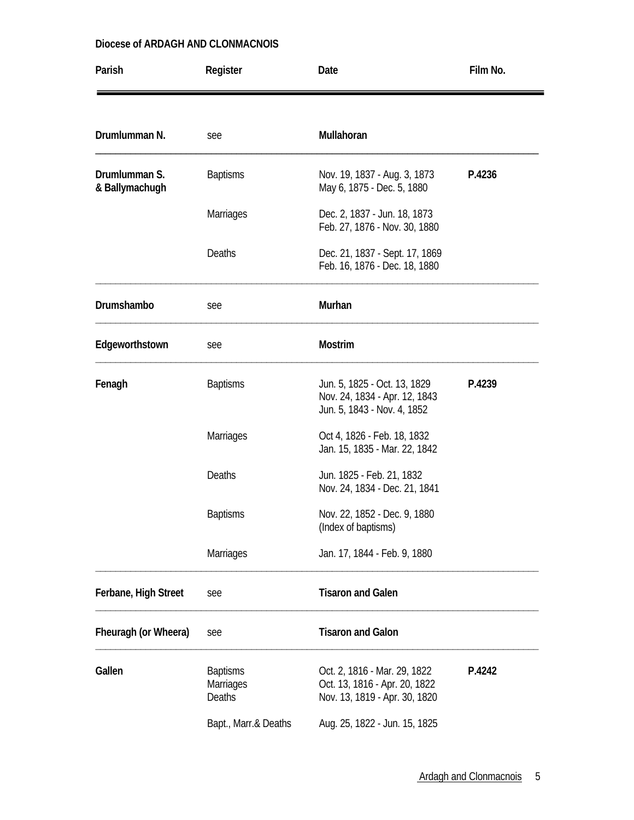| Parish                          | Register                               | Date                                                                                           | Film No. |
|---------------------------------|----------------------------------------|------------------------------------------------------------------------------------------------|----------|
|                                 |                                        |                                                                                                |          |
| Drumlumman N.                   | see                                    | Mullahoran                                                                                     |          |
| Drumlumman S.<br>& Ballymachugh | <b>Baptisms</b>                        | Nov. 19, 1837 - Aug. 3, 1873<br>May 6, 1875 - Dec. 5, 1880                                     | P.4236   |
|                                 | <b>Marriages</b>                       | Dec. 2, 1837 - Jun. 18, 1873<br>Feb. 27, 1876 - Nov. 30, 1880                                  |          |
|                                 | Deaths                                 | Dec. 21, 1837 - Sept. 17, 1869<br>Feb. 16, 1876 - Dec. 18, 1880                                |          |
| Drumshambo                      | see                                    | Murhan                                                                                         |          |
| Edgeworthstown                  | see                                    | <b>Mostrim</b>                                                                                 |          |
| Fenagh                          | <b>Baptisms</b>                        | Jun. 5, 1825 - Oct. 13, 1829<br>Nov. 24, 1834 - Apr. 12, 1843<br>Jun. 5, 1843 - Nov. 4, 1852   | P.4239   |
|                                 | <b>Marriages</b>                       | Oct 4, 1826 - Feb. 18, 1832<br>Jan. 15, 1835 - Mar. 22, 1842                                   |          |
|                                 | Deaths                                 | Jun. 1825 - Feb. 21, 1832<br>Nov. 24, 1834 - Dec. 21, 1841                                     |          |
|                                 | <b>Baptisms</b>                        | Nov. 22, 1852 - Dec. 9, 1880<br>(Index of baptisms)                                            |          |
|                                 | <b>Marriages</b>                       | Jan. 17, 1844 - Feb. 9, 1880                                                                   |          |
| Ferbane, High Street            | see                                    | <b>Tisaron and Galen</b>                                                                       |          |
| Fheuragh (or Wheera)            | see                                    | <b>Tisaron and Galon</b>                                                                       |          |
| Gallen                          | <b>Baptisms</b><br>Marriages<br>Deaths | Oct. 2, 1816 - Mar. 29, 1822<br>Oct. 13, 1816 - Apr. 20, 1822<br>Nov. 13, 1819 - Apr. 30, 1820 | P.4242   |
|                                 | Bapt., Marr.& Deaths                   | Aug. 25, 1822 - Jun. 15, 1825                                                                  |          |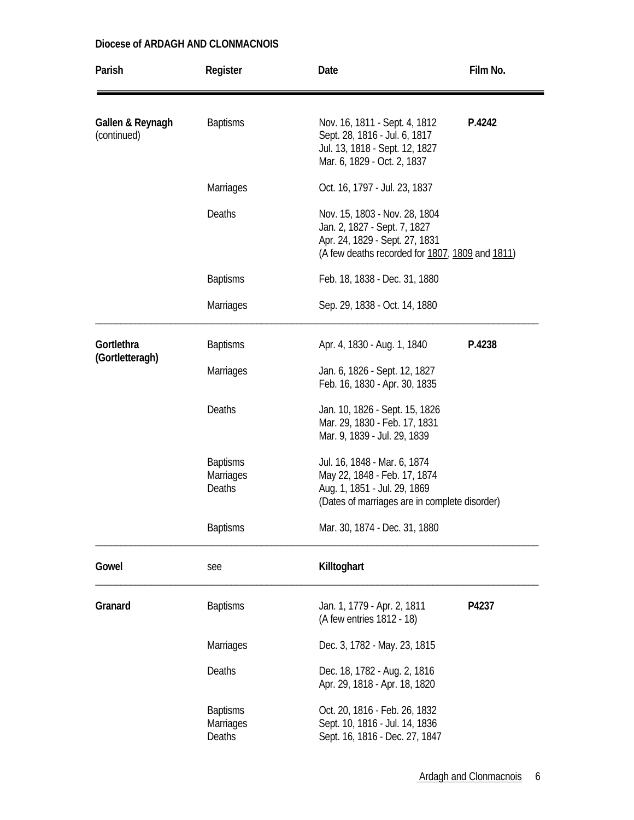| Parish                          | Register                                      | Date                                                                                                                                               | Film No. |
|---------------------------------|-----------------------------------------------|----------------------------------------------------------------------------------------------------------------------------------------------------|----------|
| Gallen & Reynagh<br>(continued) | <b>Baptisms</b>                               | Nov. 16, 1811 - Sept. 4, 1812<br>Sept. 28, 1816 - Jul. 6, 1817<br>Jul. 13, 1818 - Sept. 12, 1827<br>Mar. 6, 1829 - Oct. 2, 1837                    | P.4242   |
|                                 | <b>Marriages</b>                              | Oct. 16, 1797 - Jul. 23, 1837                                                                                                                      |          |
|                                 | Deaths                                        | Nov. 15, 1803 - Nov. 28, 1804<br>Jan. 2, 1827 - Sept. 7, 1827<br>Apr. 24, 1829 - Sept. 27, 1831<br>(A few deaths recorded for 1807, 1809 and 1811) |          |
|                                 | <b>Baptisms</b>                               | Feb. 18, 1838 - Dec. 31, 1880                                                                                                                      |          |
|                                 | <b>Marriages</b>                              | Sep. 29, 1838 - Oct. 14, 1880                                                                                                                      |          |
| Gortlethra<br>(Gortletteragh)   | <b>Baptisms</b>                               | Apr. 4, 1830 - Aug. 1, 1840                                                                                                                        | P.4238   |
|                                 | <b>Marriages</b>                              | Jan. 6, 1826 - Sept. 12, 1827<br>Feb. 16, 1830 - Apr. 30, 1835                                                                                     |          |
|                                 | Deaths                                        | Jan. 10, 1826 - Sept. 15, 1826<br>Mar. 29, 1830 - Feb. 17, 1831<br>Mar. 9, 1839 - Jul. 29, 1839                                                    |          |
|                                 | <b>Baptisms</b><br><b>Marriages</b><br>Deaths | Jul. 16, 1848 - Mar. 6, 1874<br>May 22, 1848 - Feb. 17, 1874<br>Aug. 1, 1851 - Jul. 29, 1869<br>(Dates of marriages are in complete disorder)      |          |
|                                 | <b>Baptisms</b>                               | Mar. 30, 1874 - Dec. 31, 1880                                                                                                                      |          |
| Gowel                           | see                                           | Killtoghart                                                                                                                                        |          |
| Granard                         | <b>Baptisms</b>                               | Jan. 1, 1779 - Apr. 2, 1811<br>(A few entries 1812 - 18)                                                                                           | P4237    |
|                                 | <b>Marriages</b>                              | Dec. 3, 1782 - May. 23, 1815                                                                                                                       |          |
|                                 | Deaths                                        | Dec. 18, 1782 - Aug. 2, 1816<br>Apr. 29, 1818 - Apr. 18, 1820                                                                                      |          |
|                                 | <b>Baptisms</b><br>Marriages<br>Deaths        | Oct. 20, 1816 - Feb. 26, 1832<br>Sept. 10, 1816 - Jul. 14, 1836<br>Sept. 16, 1816 - Dec. 27, 1847                                                  |          |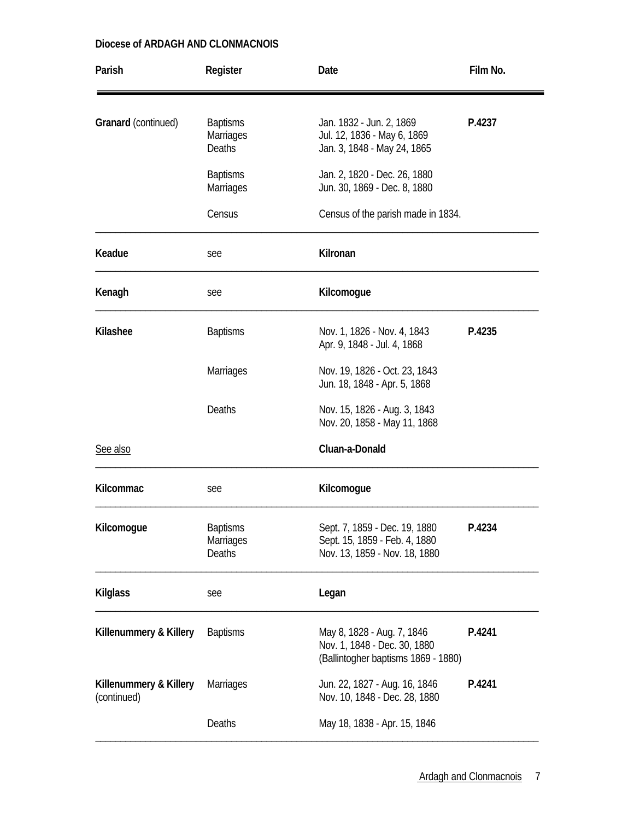| Parish                                | Register                                             | Date                                                                                              | Film No. |
|---------------------------------------|------------------------------------------------------|---------------------------------------------------------------------------------------------------|----------|
| Granard (continued)                   | <b>Baptisms</b><br><b>Marriages</b><br><b>Deaths</b> | Jan. 1832 - Jun. 2, 1869<br>Jul. 12, 1836 - May 6, 1869<br>Jan. 3, 1848 - May 24, 1865            | P.4237   |
|                                       | <b>Baptisms</b><br><b>Marriages</b>                  | Jan. 2, 1820 - Dec. 26, 1880<br>Jun. 30, 1869 - Dec. 8, 1880                                      |          |
|                                       | Census                                               | Census of the parish made in 1834.                                                                |          |
| Keadue                                | see                                                  | Kilronan                                                                                          |          |
| Kenagh                                | see                                                  | Kilcomogue                                                                                        |          |
| Kilashee                              | <b>Baptisms</b>                                      | Nov. 1, 1826 - Nov. 4, 1843<br>Apr. 9, 1848 - Jul. 4, 1868                                        | P.4235   |
|                                       | <b>Marriages</b>                                     | Nov. 19, 1826 - Oct. 23, 1843<br>Jun. 18, 1848 - Apr. 5, 1868                                     |          |
|                                       | Deaths                                               | Nov. 15, 1826 - Aug. 3, 1843<br>Nov. 20, 1858 - May 11, 1868                                      |          |
| See also                              |                                                      | Cluan-a-Donald                                                                                    |          |
| Kilcommac                             | see                                                  | Kilcomogue                                                                                        |          |
| Kilcomogue                            | <b>Baptisms</b><br><b>Marriages</b><br>Deaths        | Sept. 7, 1859 - Dec. 19, 1880<br>Sept. 15, 1859 - Feb. 4, 1880<br>Nov. 13, 1859 - Nov. 18, 1880   | P.4234   |
| <b>Kilglass</b>                       | see                                                  | Legan                                                                                             |          |
| Killenummery & Killery                | <b>Baptisms</b>                                      | May 8, 1828 - Aug. 7, 1846<br>Nov. 1, 1848 - Dec. 30, 1880<br>(Ballintogher baptisms 1869 - 1880) | P.4241   |
| Killenummery & Killery<br>(continued) | <b>Marriages</b>                                     | Jun. 22, 1827 - Aug. 16, 1846<br>Nov. 10, 1848 - Dec. 28, 1880                                    | P.4241   |
|                                       | Deaths                                               | May 18, 1838 - Apr. 15, 1846                                                                      |          |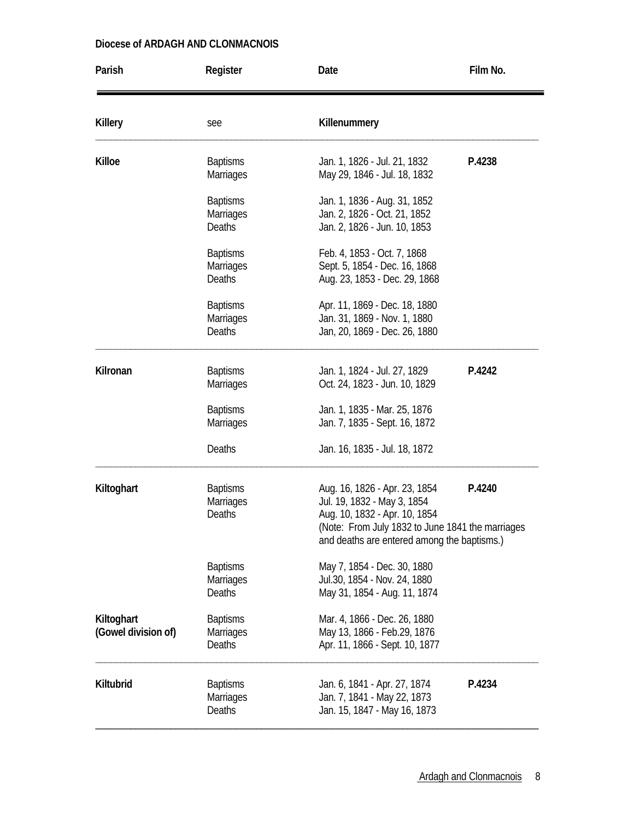| Parish                            | Register                                             | Date                                                                                                                                                                                             | Film No. |
|-----------------------------------|------------------------------------------------------|--------------------------------------------------------------------------------------------------------------------------------------------------------------------------------------------------|----------|
| <b>Killery</b>                    | see                                                  | Killenummery                                                                                                                                                                                     |          |
| Killoe                            | <b>Baptisms</b><br><b>Marriages</b>                  | Jan. 1, 1826 - Jul. 21, 1832<br>May 29, 1846 - Jul. 18, 1832                                                                                                                                     | P.4238   |
|                                   | <b>Baptisms</b><br>Marriages<br><b>Deaths</b>        | Jan. 1, 1836 - Aug. 31, 1852<br>Jan. 2, 1826 - Oct. 21, 1852<br>Jan. 2, 1826 - Jun. 10, 1853                                                                                                     |          |
|                                   | <b>Baptisms</b><br><b>Marriages</b><br><b>Deaths</b> | Feb. 4, 1853 - Oct. 7, 1868<br>Sept. 5, 1854 - Dec. 16, 1868<br>Aug. 23, 1853 - Dec. 29, 1868                                                                                                    |          |
|                                   | <b>Baptisms</b><br><b>Marriages</b><br><b>Deaths</b> | Apr. 11, 1869 - Dec. 18, 1880<br>Jan. 31, 1869 - Nov. 1, 1880<br>Jan, 20, 1869 - Dec. 26, 1880                                                                                                   |          |
| Kilronan                          | <b>Baptisms</b><br><b>Marriages</b>                  | Jan. 1, 1824 - Jul. 27, 1829<br>Oct. 24, 1823 - Jun. 10, 1829                                                                                                                                    | P.4242   |
|                                   | <b>Baptisms</b><br><b>Marriages</b>                  | Jan. 1, 1835 - Mar. 25, 1876<br>Jan. 7, 1835 - Sept. 16, 1872                                                                                                                                    |          |
|                                   | <b>Deaths</b>                                        | Jan. 16, 1835 - Jul. 18, 1872                                                                                                                                                                    |          |
| Kiltoghart                        | <b>Baptisms</b><br><b>Marriages</b><br><b>Deaths</b> | Aug. 16, 1826 - Apr. 23, 1854<br>Jul. 19, 1832 - May 3, 1854<br>Aug. 10, 1832 - Apr. 10, 1854<br>(Note: From July 1832 to June 1841 the marriages<br>and deaths are entered among the baptisms.) | P.4240   |
|                                   | <b>Baptisms</b><br><b>Marriages</b><br>Deaths        | May 7, 1854 - Dec. 30, 1880<br>Jul.30, 1854 - Nov. 24, 1880<br>May 31, 1854 - Aug. 11, 1874                                                                                                      |          |
| Kiltoghart<br>(Gowel division of) | <b>Baptisms</b><br><b>Marriages</b><br>Deaths        | Mar. 4, 1866 - Dec. 26, 1880<br>May 13, 1866 - Feb.29, 1876<br>Apr. 11, 1866 - Sept. 10, 1877                                                                                                    |          |
| Kiltubrid                         | <b>Baptisms</b><br><b>Marriages</b><br><b>Deaths</b> | Jan. 6, 1841 - Apr. 27, 1874<br>Jan. 7, 1841 - May 22, 1873<br>Jan. 15, 1847 - May 16, 1873                                                                                                      | P.4234   |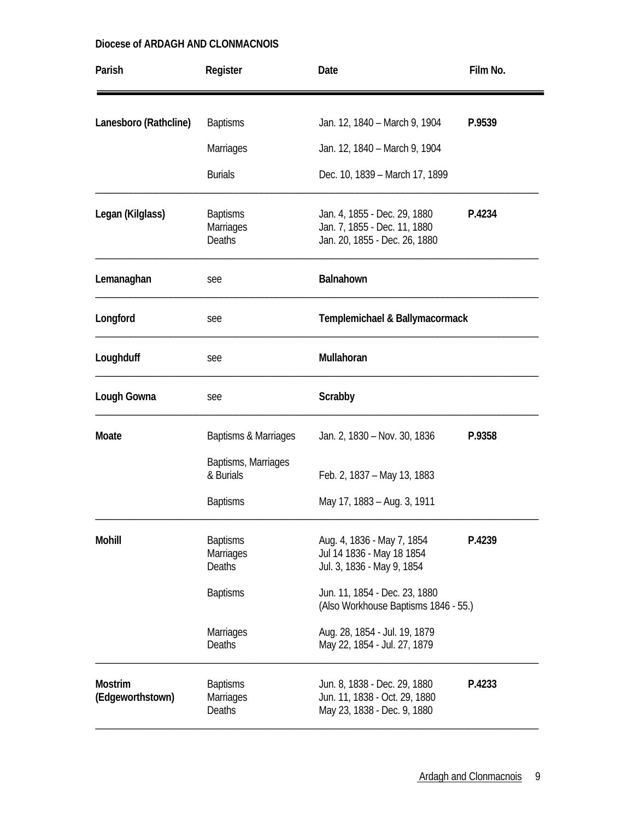| Parish                             | Register                                             | Date                                                                                                    | Film No. |
|------------------------------------|------------------------------------------------------|---------------------------------------------------------------------------------------------------------|----------|
| Lanesboro (Rathcline)              | <b>Baptisms</b>                                      | Jan. 12, 1840 – March 9, 1904                                                                           | P.9539   |
|                                    | <b>Marriages</b>                                     | Jan. 12, 1840 - March 9, 1904                                                                           |          |
|                                    | <b>Burials</b>                                       | Dec. 10, 1839 - March 17, 1899                                                                          |          |
| Legan (Kilglass)                   | <b>Baptisms</b><br>Marriages<br>Deaths               | Jan. 4, 1855 - Dec. 29, 1880<br>P.4234<br>Jan. 7, 1855 - Dec. 11, 1880<br>Jan. 20, 1855 - Dec. 26, 1880 |          |
| Lemanaghan                         | see                                                  | Balnahown                                                                                               |          |
| Longford                           | see                                                  | Templemichael & Ballymacormack                                                                          |          |
| Loughduff                          | see                                                  | Mullahoran                                                                                              |          |
| Lough Gowna                        | see                                                  | Scrabby                                                                                                 |          |
| Moate                              | Baptisms & Marriages                                 | Jan. 2, 1830 - Nov. 30, 1836                                                                            | P.9358   |
|                                    | Baptisms, Marriages<br>& Burials                     | Feb. 2, 1837 - May 13, 1883                                                                             |          |
|                                    | <b>Baptisms</b>                                      | May 17, 1883 - Aug. 3, 1911                                                                             |          |
| <b>Mohill</b>                      | <b>Baptisms</b><br><b>Marriages</b><br><b>Deaths</b> | Aug. 4, 1836 - May 7, 1854<br>Jul 14 1836 - May 18 1854<br>Jul. 3, 1836 - May 9, 1854                   | P.4239   |
|                                    | <b>Baptisms</b>                                      | Jun. 11, 1854 - Dec. 23, 1880<br>(Also Workhouse Baptisms 1846 - 55.)                                   |          |
|                                    | <b>Marriages</b><br>Deaths                           | Aug. 28, 1854 - Jul. 19, 1879<br>May 22, 1854 - Jul. 27, 1879                                           |          |
| <b>Mostrim</b><br>(Edgeworthstown) | <b>Baptisms</b><br><b>Marriages</b><br><b>Deaths</b> | Jun. 8, 1838 - Dec. 29, 1880<br>P.4233<br>Jun. 11, 1838 - Oct. 29, 1880<br>May 23, 1838 - Dec. 9, 1880  |          |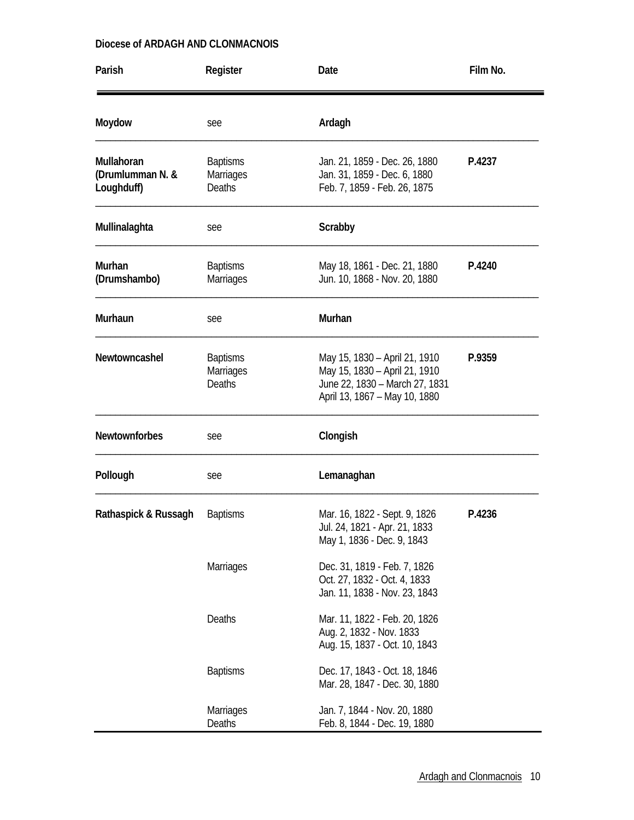| Parish                                       | Register                                             | Date                                                                                                                                        | Film No. |
|----------------------------------------------|------------------------------------------------------|---------------------------------------------------------------------------------------------------------------------------------------------|----------|
| Moydow                                       | see                                                  | Ardagh                                                                                                                                      |          |
| Mullahoran<br>(Drumlumman N. &<br>Loughduff) | <b>Baptisms</b><br><b>Marriages</b><br><b>Deaths</b> | Jan. 21, 1859 - Dec. 26, 1880<br>Jan. 31, 1859 - Dec. 6, 1880<br>Feb. 7, 1859 - Feb. 26, 1875                                               | P.4237   |
| Mullinalaghta                                | see                                                  | Scrabby                                                                                                                                     |          |
| Murhan<br>(Drumshambo)                       | <b>Baptisms</b><br><b>Marriages</b>                  | May 18, 1861 - Dec. 21, 1880<br>Jun. 10, 1868 - Nov. 20, 1880                                                                               | P.4240   |
| Murhaun                                      | see                                                  | Murhan                                                                                                                                      |          |
| Newtowncashel                                | <b>Baptisms</b><br>Marriages<br>Deaths               | May 15, 1830 - April 21, 1910<br>P.9359<br>May 15, 1830 - April 21, 1910<br>June 22, 1830 - March 27, 1831<br>April 13, 1867 - May 10, 1880 |          |
| <b>Newtownforbes</b>                         | see                                                  | Clongish                                                                                                                                    |          |
| Pollough                                     | see                                                  | Lemanaghan                                                                                                                                  |          |
| Rathaspick & Russagh                         | <b>Baptisms</b>                                      | Mar. 16, 1822 - Sept. 9, 1826<br>Jul. 24, 1821 - Apr. 21, 1833<br>May 1, 1836 - Dec. 9, 1843                                                | P.4236   |
|                                              | <b>Marriages</b>                                     | Dec. 31, 1819 - Feb. 7, 1826<br>Oct. 27, 1832 - Oct. 4, 1833<br>Jan. 11, 1838 - Nov. 23, 1843                                               |          |
|                                              | Deaths                                               | Mar. 11, 1822 - Feb. 20, 1826<br>Aug. 2, 1832 - Nov. 1833<br>Aug. 15, 1837 - Oct. 10, 1843                                                  |          |
|                                              | <b>Baptisms</b>                                      | Dec. 17, 1843 - Oct. 18, 1846<br>Mar. 28, 1847 - Dec. 30, 1880                                                                              |          |
|                                              | <b>Marriages</b><br>Deaths                           | Jan. 7, 1844 - Nov. 20, 1880<br>Feb. 8, 1844 - Dec. 19, 1880                                                                                |          |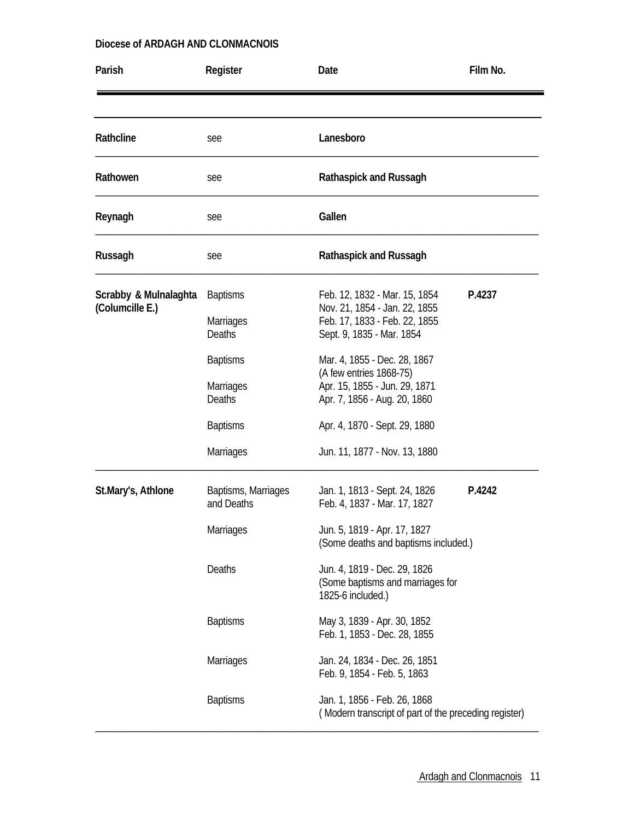| Parish                                   | Register                                             | Date                                                                                                                         | Film No. |
|------------------------------------------|------------------------------------------------------|------------------------------------------------------------------------------------------------------------------------------|----------|
|                                          |                                                      |                                                                                                                              |          |
| Rathcline                                | see                                                  | Lanesboro                                                                                                                    |          |
| Rathowen                                 | see                                                  | Rathaspick and Russagh                                                                                                       |          |
| Reynagh                                  | see                                                  | Gallen                                                                                                                       |          |
| Russagh                                  | see                                                  | Rathaspick and Russagh                                                                                                       |          |
| Scrabby & Mulnalaghta<br>(Columcille E.) | <b>Baptisms</b><br><b>Marriages</b><br><b>Deaths</b> | Feb. 12, 1832 - Mar. 15, 1854<br>Nov. 21, 1854 - Jan. 22, 1855<br>Feb. 17, 1833 - Feb. 22, 1855<br>Sept. 9, 1835 - Mar. 1854 | P.4237   |
|                                          | <b>Baptisms</b><br><b>Marriages</b><br><b>Deaths</b> | Mar. 4, 1855 - Dec. 28, 1867<br>(A few entries 1868-75)<br>Apr. 15, 1855 - Jun. 29, 1871<br>Apr. 7, 1856 - Aug. 20, 1860     |          |
|                                          | <b>Baptisms</b><br><b>Marriages</b>                  | Apr. 4, 1870 - Sept. 29, 1880<br>Jun. 11, 1877 - Nov. 13, 1880                                                               |          |
| St.Mary's, Athlone                       | Baptisms, Marriages<br>and Deaths                    | Jan. 1, 1813 - Sept. 24, 1826<br>Feb. 4, 1837 - Mar. 17, 1827                                                                | P.4242   |
|                                          | Marriages                                            | Jun. 5, 1819 - Apr. 17, 1827<br>(Some deaths and baptisms included.)                                                         |          |
|                                          | Deaths                                               | Jun. 4, 1819 - Dec. 29, 1826<br>(Some baptisms and marriages for<br>1825-6 included.)                                        |          |
|                                          | <b>Baptisms</b>                                      | May 3, 1839 - Apr. 30, 1852<br>Feb. 1, 1853 - Dec. 28, 1855                                                                  |          |
|                                          | <b>Marriages</b>                                     | Jan. 24, 1834 - Dec. 26, 1851<br>Feb. 9, 1854 - Feb. 5, 1863                                                                 |          |
|                                          | <b>Baptisms</b>                                      | Jan. 1, 1856 - Feb. 26, 1868<br>(Modern transcript of part of the preceding register)                                        |          |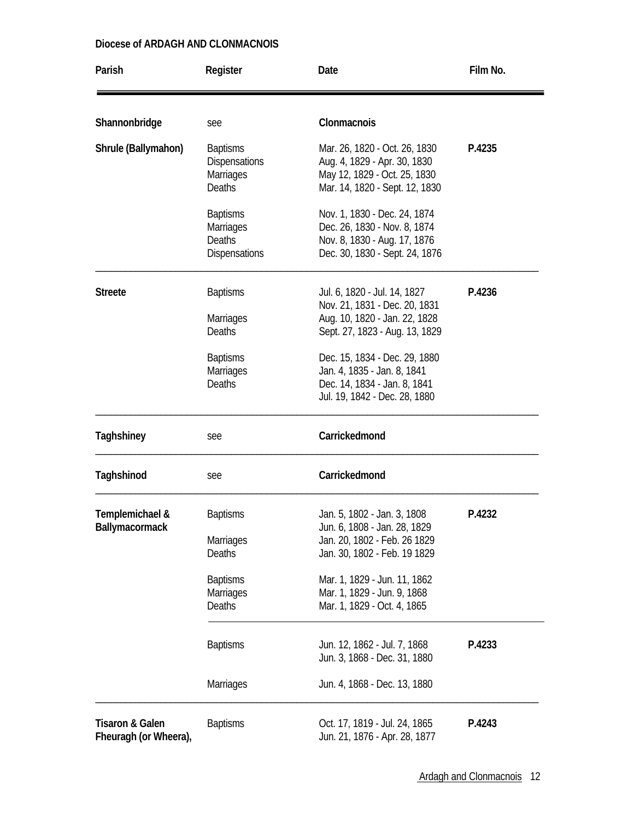| Parish                                              | Register                                                                                       | Date                                                                                                                                                                                                                      | Film No. |
|-----------------------------------------------------|------------------------------------------------------------------------------------------------|---------------------------------------------------------------------------------------------------------------------------------------------------------------------------------------------------------------------------|----------|
| Shannonbridge                                       | see                                                                                            | Clonmacnois                                                                                                                                                                                                               |          |
| Shrule (Ballymahon)                                 | <b>Baptisms</b><br><b>Dispensations</b><br><b>Marriages</b><br><b>Deaths</b>                   | Mar. 26, 1820 - Oct. 26, 1830<br>Aug. 4, 1829 - Apr. 30, 1830<br>May 12, 1829 - Oct. 25, 1830<br>Mar. 14, 1820 - Sept. 12, 1830                                                                                           | P.4235   |
|                                                     | <b>Baptisms</b><br>Marriages<br><b>Deaths</b><br><b>Dispensations</b>                          | Nov. 1, 1830 - Dec. 24, 1874<br>Dec. 26, 1830 - Nov. 8, 1874<br>Nov. 8, 1830 - Aug. 17, 1876<br>Dec. 30, 1830 - Sept. 24, 1876                                                                                            |          |
| <b>Streete</b>                                      | <b>Baptisms</b><br>Marriages<br><b>Deaths</b>                                                  | Jul. 6, 1820 - Jul. 14, 1827<br>Nov. 21, 1831 - Dec. 20, 1831<br>Aug. 10, 1820 - Jan. 22, 1828<br>Sept. 27, 1823 - Aug. 13, 1829                                                                                          | P.4236   |
|                                                     | <b>Baptisms</b><br><b>Marriages</b><br><b>Deaths</b>                                           | Dec. 15, 1834 - Dec. 29, 1880<br>Jan. 4, 1835 - Jan. 8, 1841<br>Dec. 14, 1834 - Jan. 8, 1841<br>Jul. 19, 1842 - Dec. 28, 1880                                                                                             |          |
| Taghshiney                                          | see                                                                                            | Carrickedmond                                                                                                                                                                                                             |          |
| Taghshinod                                          | see                                                                                            | Carrickedmond                                                                                                                                                                                                             |          |
| Templemichael &<br><b>Ballymacormack</b>            | <b>Baptisms</b><br><b>Marriages</b><br>Deaths<br><b>Baptisms</b><br><b>Marriages</b><br>Deaths | Jan. 5, 1802 - Jan. 3, 1808<br>Jun. 6, 1808 - Jan. 28, 1829<br>Jan. 20, 1802 - Feb. 26 1829<br>Jan. 30, 1802 - Feb. 19 1829<br>Mar. 1, 1829 - Jun. 11, 1862<br>Mar. 1, 1829 - Jun. 9, 1868<br>Mar. 1, 1829 - Oct. 4, 1865 | P.4232   |
|                                                     | <b>Baptisms</b><br><b>Marriages</b>                                                            | Jun. 12, 1862 - Jul. 7, 1868<br>Jun. 3, 1868 - Dec. 31, 1880<br>Jun. 4, 1868 - Dec. 13, 1880                                                                                                                              | P.4233   |
| <b>Tisaron &amp; Galen</b><br>Fheuragh (or Wheera), | <b>Baptisms</b>                                                                                | Oct. 17, 1819 - Jul. 24, 1865<br>Jun. 21, 1876 - Apr. 28, 1877                                                                                                                                                            | P.4243   |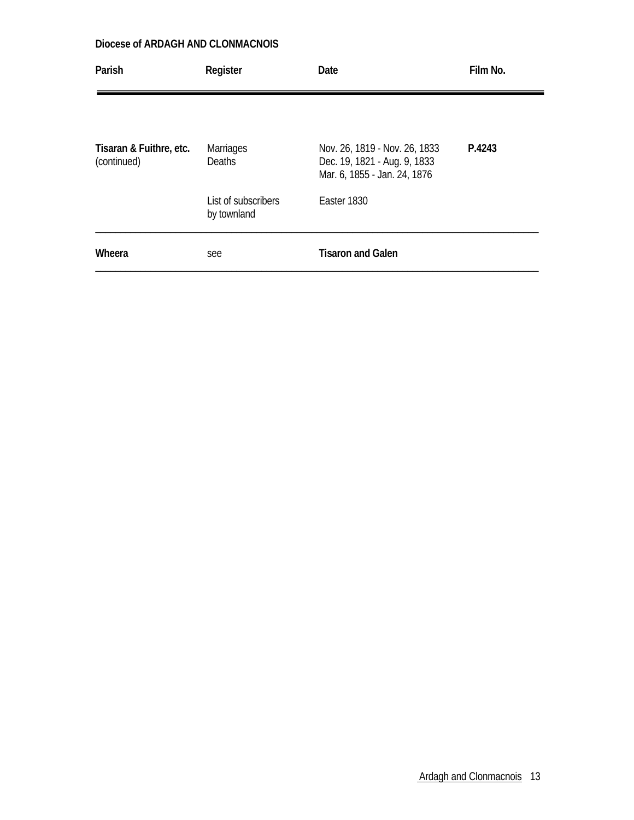| Parish                                 | Register                           | Date                                                                                          | Film No. |
|----------------------------------------|------------------------------------|-----------------------------------------------------------------------------------------------|----------|
|                                        |                                    |                                                                                               |          |
| Tisaran & Fuithre, etc.<br>(continued) | <b>Marriages</b><br><b>Deaths</b>  | Nov. 26, 1819 - Nov. 26, 1833<br>Dec. 19, 1821 - Aug. 9, 1833<br>Mar. 6, 1855 - Jan. 24, 1876 | P.4243   |
|                                        | List of subscribers<br>by townland | Easter 1830                                                                                   |          |
| Wheera                                 | see                                | <b>Tisaron and Galen</b>                                                                      |          |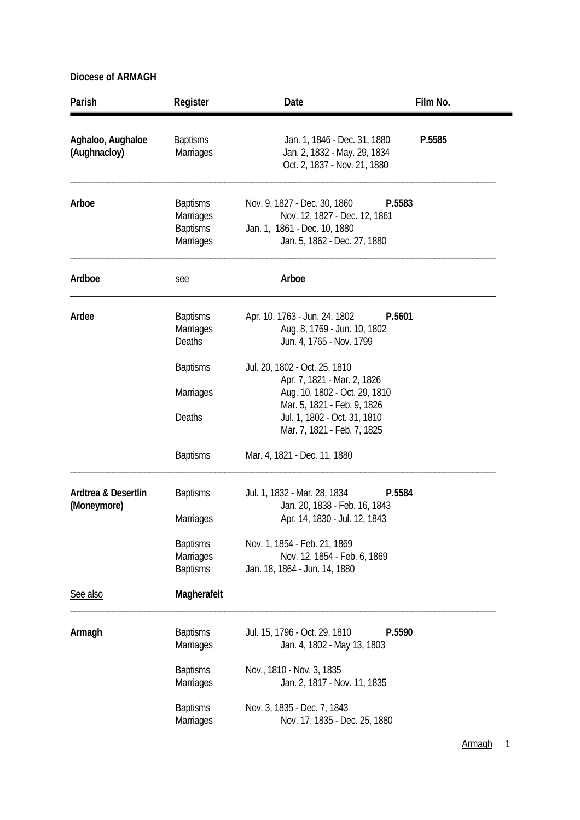| Parish                             | Register                                                     | Date                                                                                                                                    | Film No. |
|------------------------------------|--------------------------------------------------------------|-----------------------------------------------------------------------------------------------------------------------------------------|----------|
| Aghaloo, Aughaloe<br>(Aughnacloy)  | <b>Baptisms</b><br><b>Marriages</b>                          | Jan. 1, 1846 - Dec. 31, 1880<br>Jan. 2, 1832 - May. 29, 1834<br>Oct. 2, 1837 - Nov. 21, 1880                                            | P.5585   |
| Arboe                              | <b>Baptisms</b><br>Marriages<br><b>Baptisms</b><br>Marriages | Nov. 9, 1827 - Dec. 30, 1860<br>P.5583<br>Nov. 12, 1827 - Dec. 12, 1861<br>Jan. 1, 1861 - Dec. 10, 1880<br>Jan. 5, 1862 - Dec. 27, 1880 |          |
| Ardboe                             | see                                                          | Arboe                                                                                                                                   |          |
| Ardee                              | <b>Baptisms</b><br><b>Marriages</b><br>Deaths                | Apr. 10, 1763 - Jun. 24, 1802<br>P.5601<br>Aug. 8, 1769 - Jun. 10, 1802<br>Jun. 4, 1765 - Nov. 1799                                     |          |
|                                    | <b>Baptisms</b><br>Marriages                                 | Jul. 20, 1802 - Oct. 25, 1810<br>Apr. 7, 1821 - Mar. 2, 1826<br>Aug. 10, 1802 - Oct. 29, 1810                                           |          |
|                                    | Deaths                                                       | Mar. 5, 1821 - Feb. 9, 1826<br>Jul. 1, 1802 - Oct. 31, 1810<br>Mar. 7, 1821 - Feb. 7, 1825                                              |          |
|                                    | <b>Baptisms</b>                                              | Mar. 4, 1821 - Dec. 11, 1880                                                                                                            |          |
| Ardtrea & Desertlin<br>(Moneymore) | <b>Baptisms</b><br><b>Marriages</b>                          | P.5584<br>Jul. 1, 1832 - Mar. 28, 1834<br>Jan. 20, 1838 - Feb. 16, 1843<br>Apr. 14, 1830 - Jul. 12, 1843                                |          |
|                                    | <b>Baptisms</b><br><b>Marriages</b><br><b>Baptisms</b>       | Nov. 1, 1854 - Feb. 21, 1869<br>Nov. 12, 1854 - Feb. 6, 1869<br>Jan. 18, 1864 - Jun. 14, 1880                                           |          |
| See also                           | Magherafelt                                                  |                                                                                                                                         |          |
| Armagh                             | <b>Baptisms</b><br><b>Marriages</b>                          | Jul. 15, 1796 - Oct. 29, 1810<br>P.5590<br>Jan. 4, 1802 - May 13, 1803                                                                  |          |
|                                    | <b>Baptisms</b><br><b>Marriages</b>                          | Nov., 1810 - Nov. 3, 1835<br>Jan. 2, 1817 - Nov. 11, 1835                                                                               |          |
|                                    | <b>Baptisms</b><br>Marriages                                 | Nov. 3, 1835 - Dec. 7, 1843<br>Nov. 17, 1835 - Dec. 25, 1880                                                                            |          |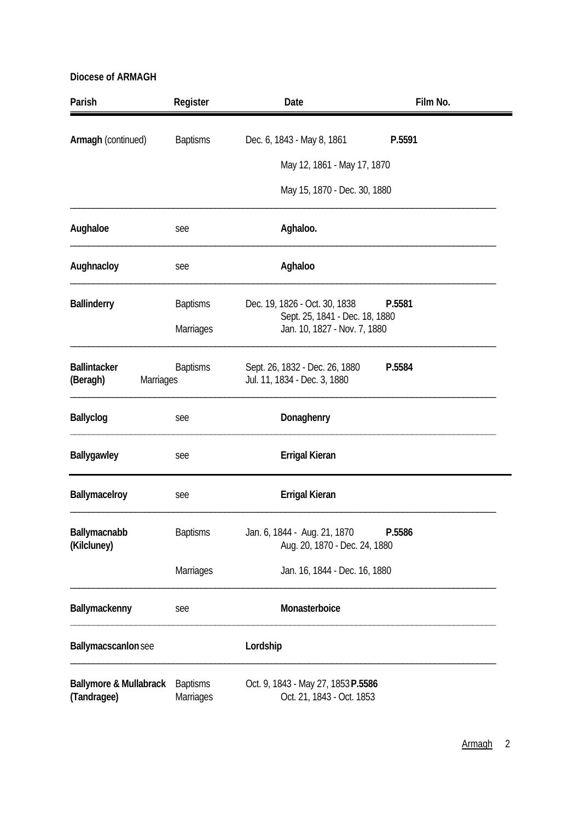| Parish                                           | Register                     | Date                                                            | Film No. |
|--------------------------------------------------|------------------------------|-----------------------------------------------------------------|----------|
| Armagh (continued)                               | <b>Baptisms</b>              | Dec. 6, 1843 - May 8, 1861                                      | P.5591   |
|                                                  |                              | May 12, 1861 - May 17, 1870                                     |          |
|                                                  |                              | May 15, 1870 - Dec. 30, 1880                                    |          |
| Aughaloe                                         | see                          | Aghaloo.                                                        |          |
| Aughnacloy                                       | see                          | Aghaloo                                                         |          |
| <b>Ballinderry</b>                               | <b>Baptisms</b>              | Dec. 19, 1826 - Oct. 30, 1838                                   | P.5581   |
|                                                  | Marriages                    | Sept. 25, 1841 - Dec. 18, 1880<br>Jan. 10, 1827 - Nov. 7, 1880  |          |
| <b>Ballintacker</b><br>(Beragh)<br>Marriages     | <b>Baptisms</b>              | Sept. 26, 1832 - Dec. 26, 1880<br>Jul. 11, 1834 - Dec. 3, 1880  | P.5584   |
| Ballyclog                                        | see                          | Donaghenry                                                      |          |
| Ballygawley                                      | see                          | <b>Errigal Kieran</b>                                           |          |
| Ballymacelroy                                    | see                          | <b>Errigal Kieran</b>                                           |          |
| Ballymacnabb<br>(Kilcluney)                      | <b>Baptisms</b>              | Jan. 6, 1844 - Aug. 21, 1870<br>Aug. 20, 1870 - Dec. 24, 1880   | P.5586   |
|                                                  | Marriages                    | Jan. 16, 1844 - Dec. 16, 1880                                   |          |
| Ballymackenny                                    | see                          | Monasterboice                                                   |          |
| Ballymacscanlon see                              |                              | Lordship                                                        |          |
| <b>Ballymore &amp; Mullabrack</b><br>(Tandragee) | <b>Baptisms</b><br>Marriages | Oct. 9, 1843 - May 27, 1853 P.5586<br>Oct. 21, 1843 - Oct. 1853 |          |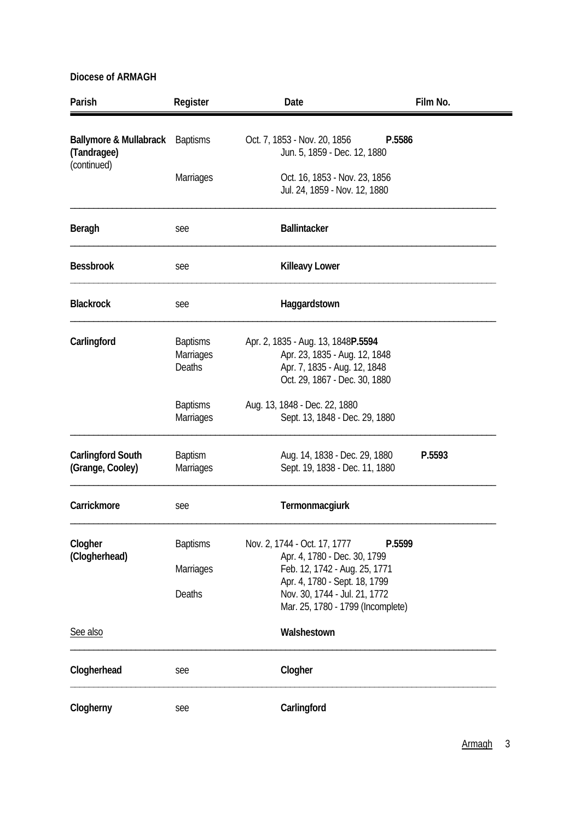| Parish                                           | Register                                             | Date                                                                                                                                 | Film No. |  |
|--------------------------------------------------|------------------------------------------------------|--------------------------------------------------------------------------------------------------------------------------------------|----------|--|
| <b>Ballymore &amp; Mullabrack</b><br>(Tandragee) | <b>Baptisms</b>                                      | Oct. 7, 1853 - Nov. 20, 1856<br>Jun. 5, 1859 - Dec. 12, 1880                                                                         | P.5586   |  |
| (continued)                                      | <b>Marriages</b>                                     | Oct. 16, 1853 - Nov. 23, 1856<br>Jul. 24, 1859 - Nov. 12, 1880                                                                       |          |  |
| Beragh                                           | see                                                  | <b>Ballintacker</b>                                                                                                                  |          |  |
| <b>Bessbrook</b>                                 | see                                                  | <b>Killeavy Lower</b>                                                                                                                |          |  |
| <b>Blackrock</b>                                 | see                                                  | Haggardstown                                                                                                                         |          |  |
| Carlingford                                      | <b>Baptisms</b><br><b>Marriages</b><br><b>Deaths</b> | Apr. 2, 1835 - Aug. 13, 1848P.5594<br>Apr. 23, 1835 - Aug. 12, 1848<br>Apr. 7, 1835 - Aug. 12, 1848<br>Oct. 29, 1867 - Dec. 30, 1880 |          |  |
|                                                  | <b>Baptisms</b><br>Marriages                         | Aug. 13, 1848 - Dec. 22, 1880<br>Sept. 13, 1848 - Dec. 29, 1880                                                                      |          |  |
| <b>Carlingford South</b><br>(Grange, Cooley)     | <b>Baptism</b><br>Marriages                          | Aug. 14, 1838 - Dec. 29, 1880<br>Sept. 19, 1838 - Dec. 11, 1880                                                                      | P.5593   |  |
| Carrickmore                                      | see                                                  | Termonmacgiurk                                                                                                                       |          |  |
| Clogher<br>(Clogherhead)                         | <b>Baptisms</b><br>Marriages                         | Nov. 2, 1744 - Oct. 17, 1777<br>Apr. 4, 1780 - Dec. 30, 1799<br>Feb. 12, 1742 - Aug. 25, 1771                                        | P.5599   |  |
|                                                  | Deaths                                               | Apr. 4, 1780 - Sept. 18, 1799<br>Nov. 30, 1744 - Jul. 21, 1772<br>Mar. 25, 1780 - 1799 (Incomplete)                                  |          |  |
| See also                                         |                                                      | Walshestown                                                                                                                          |          |  |
| Clogherhead                                      | see                                                  | Clogher                                                                                                                              |          |  |
| Clogherny                                        | see                                                  | Carlingford                                                                                                                          |          |  |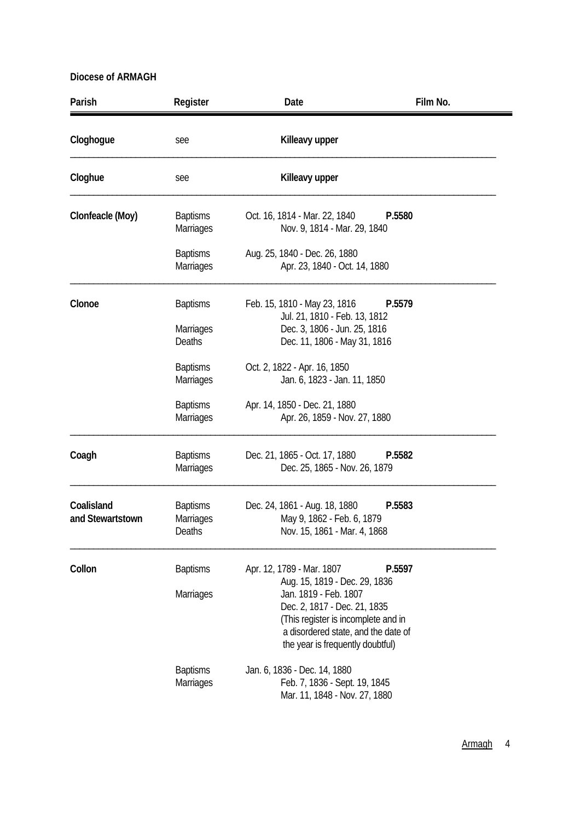| Parish                         | Register                                               | Date                                                                                                                                                                                                                                  | Film No. |
|--------------------------------|--------------------------------------------------------|---------------------------------------------------------------------------------------------------------------------------------------------------------------------------------------------------------------------------------------|----------|
| Cloghogue                      | see                                                    | Killeavy upper                                                                                                                                                                                                                        |          |
| Cloghue                        | see                                                    | Killeavy upper                                                                                                                                                                                                                        |          |
| Clonfeacle (Moy)               | <b>Baptisms</b><br><b>Marriages</b>                    | Oct. 16, 1814 - Mar. 22, 1840<br>Nov. 9, 1814 - Mar. 29, 1840                                                                                                                                                                         | P.5580   |
|                                | <b>Baptisms</b><br><b>Marriages</b>                    | Aug. 25, 1840 - Dec. 26, 1880<br>Apr. 23, 1840 - Oct. 14, 1880                                                                                                                                                                        |          |
| Clonoe                         | <b>Baptisms</b><br><b>Marriages</b><br>Deaths          | Feb. 15, 1810 - May 23, 1816<br>Jul. 21, 1810 - Feb. 13, 1812<br>Dec. 3, 1806 - Jun. 25, 1816<br>Dec. 11, 1806 - May 31, 1816                                                                                                         | P.5579   |
|                                | <b>Baptisms</b><br><b>Marriages</b><br><b>Baptisms</b> | Oct. 2, 1822 - Apr. 16, 1850<br>Jan. 6, 1823 - Jan. 11, 1850<br>Apr. 14, 1850 - Dec. 21, 1880                                                                                                                                         |          |
|                                | <b>Marriages</b>                                       | Apr. 26, 1859 - Nov. 27, 1880                                                                                                                                                                                                         |          |
| Coagh                          | <b>Baptisms</b><br>Marriages                           | Dec. 21, 1865 - Oct. 17, 1880<br>Dec. 25, 1865 - Nov. 26, 1879                                                                                                                                                                        | P.5582   |
| Coalisland<br>and Stewartstown | <b>Baptisms</b><br><b>Marriages</b><br>Deaths          | Dec. 24, 1861 - Aug. 18, 1880<br>May 9, 1862 - Feb. 6, 1879<br>Nov. 15, 1861 - Mar. 4, 1868                                                                                                                                           | P.5583   |
| Collon                         | <b>Baptisms</b><br><b>Marriages</b>                    | Apr. 12, 1789 - Mar. 1807<br>Aug. 15, 1819 - Dec. 29, 1836<br>Jan. 1819 - Feb. 1807<br>Dec. 2, 1817 - Dec. 21, 1835<br>(This register is incomplete and in<br>a disordered state, and the date of<br>the year is frequently doubtful) | P.5597   |
|                                | <b>Baptisms</b><br>Marriages                           | Jan. 6, 1836 - Dec. 14, 1880<br>Feb. 7, 1836 - Sept. 19, 1845<br>Mar. 11, 1848 - Nov. 27, 1880                                                                                                                                        |          |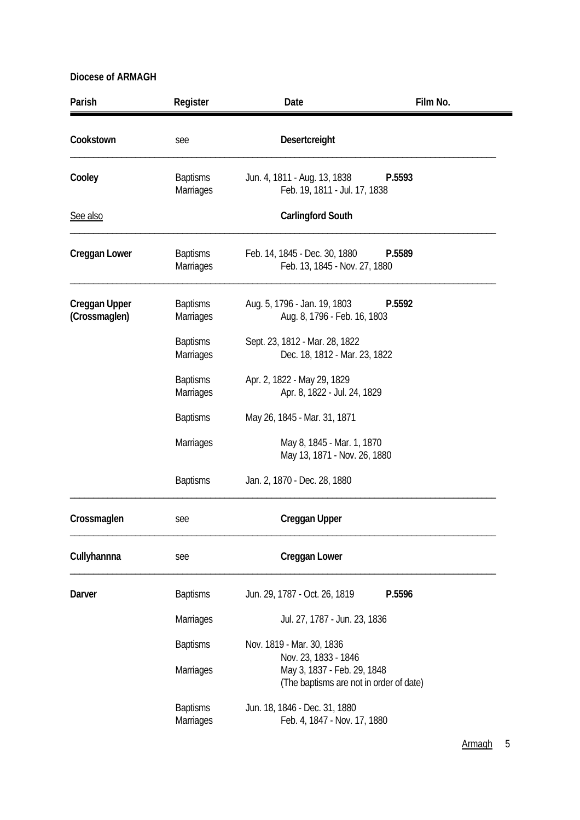| Parish                                | Register                            | Date                                                                                           | Film No. |
|---------------------------------------|-------------------------------------|------------------------------------------------------------------------------------------------|----------|
| Cookstown                             | see                                 | Desertcreight                                                                                  |          |
| Cooley                                | <b>Baptisms</b><br><b>Marriages</b> | Jun. 4, 1811 - Aug. 13, 1838<br>Feb. 19, 1811 - Jul. 17, 1838                                  | P.5593   |
| See also                              |                                     | <b>Carlingford South</b>                                                                       |          |
| <b>Creggan Lower</b>                  | <b>Baptisms</b><br>Marriages        | Feb. 14, 1845 - Dec. 30, 1880<br>P.5589<br>Feb. 13, 1845 - Nov. 27, 1880                       |          |
| <b>Creggan Upper</b><br>(Crossmaglen) | <b>Baptisms</b><br>Marriages        | Aug. 5, 1796 - Jan. 19, 1803<br>Aug. 8, 1796 - Feb. 16, 1803                                   | P.5592   |
|                                       | <b>Baptisms</b><br>Marriages        | Sept. 23, 1812 - Mar. 28, 1822<br>Dec. 18, 1812 - Mar. 23, 1822                                |          |
|                                       | <b>Baptisms</b><br><b>Marriages</b> | Apr. 2, 1822 - May 29, 1829<br>Apr. 8, 1822 - Jul. 24, 1829                                    |          |
|                                       | <b>Baptisms</b>                     | May 26, 1845 - Mar. 31, 1871                                                                   |          |
|                                       | Marriages                           | May 8, 1845 - Mar. 1, 1870<br>May 13, 1871 - Nov. 26, 1880                                     |          |
|                                       | <b>Baptisms</b>                     | Jan. 2, 1870 - Dec. 28, 1880                                                                   |          |
| Crossmaglen                           | see                                 | <b>Creggan Upper</b>                                                                           |          |
| Cullyhannna                           | see                                 | <b>Creggan Lower</b>                                                                           |          |
| Darver                                | <b>Baptisms</b>                     | Jun. 29, 1787 - Oct. 26, 1819                                                                  | P.5596   |
|                                       | Marriages                           | Jul. 27, 1787 - Jun. 23, 1836                                                                  |          |
|                                       | <b>Baptisms</b>                     | Nov. 1819 - Mar. 30, 1836                                                                      |          |
|                                       | Marriages                           | Nov. 23, 1833 - 1846<br>May 3, 1837 - Feb. 29, 1848<br>(The baptisms are not in order of date) |          |
|                                       | <b>Baptisms</b><br>Marriages        | Jun. 18, 1846 - Dec. 31, 1880<br>Feb. 4, 1847 - Nov. 17, 1880                                  |          |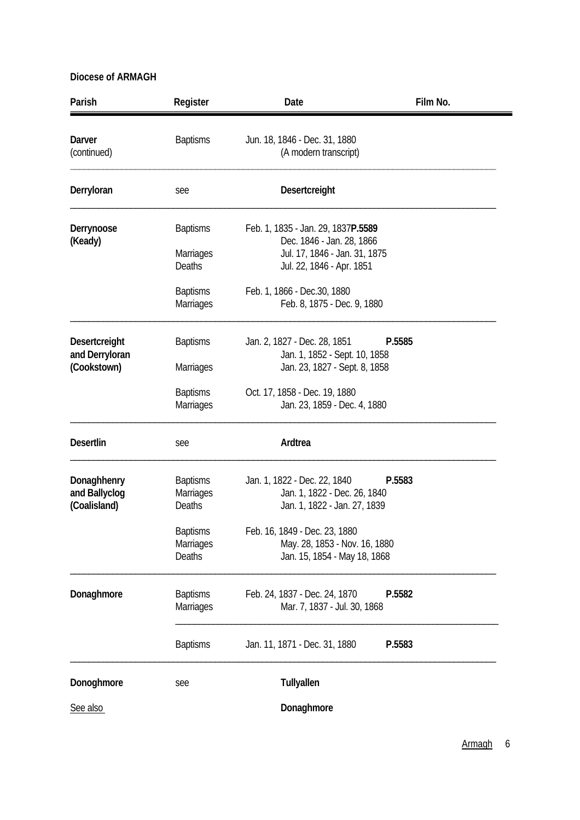| Parish                                       | Register                               | Date                                                                                         | Film No. |
|----------------------------------------------|----------------------------------------|----------------------------------------------------------------------------------------------|----------|
| Darver<br>(continued)                        | <b>Baptisms</b>                        | Jun. 18, 1846 - Dec. 31, 1880<br>(A modern transcript)                                       |          |
| Derryloran                                   | see                                    | Desertcreight                                                                                |          |
| Derrynoose<br>(Keady)                        | <b>Baptisms</b>                        | Feb. 1, 1835 - Jan. 29, 1837P.5589<br>Dec. 1846 - Jan. 28, 1866                              |          |
|                                              | Marriages<br>Deaths                    | Jul. 17, 1846 - Jan. 31, 1875<br>Jul. 22, 1846 - Apr. 1851                                   |          |
|                                              | <b>Baptisms</b><br>Marriages           | Feb. 1, 1866 - Dec. 30, 1880<br>Feb. 8, 1875 - Dec. 9, 1880                                  |          |
| Desertcreight                                | <b>Baptisms</b>                        | Jan. 2, 1827 - Dec. 28, 1851                                                                 | P.5585   |
| and Derryloran<br>(Cookstown)                | <b>Marriages</b>                       | Jan. 1, 1852 - Sept. 10, 1858<br>Jan. 23, 1827 - Sept. 8, 1858                               |          |
|                                              | <b>Baptisms</b><br>Marriages           | Oct. 17, 1858 - Dec. 19, 1880<br>Jan. 23, 1859 - Dec. 4, 1880                                |          |
| <b>Desertlin</b>                             | see                                    | Ardtrea                                                                                      |          |
| Donaghhenry<br>and Ballyclog<br>(Coalisland) | <b>Baptisms</b><br>Marriages<br>Deaths | Jan. 1, 1822 - Dec. 22, 1840<br>Jan. 1, 1822 - Dec. 26, 1840<br>Jan. 1, 1822 - Jan. 27, 1839 | P.5583   |
|                                              | <b>Baptisms</b>                        | Feb. 16, 1849 - Dec. 23, 1880                                                                |          |
|                                              | Marriages<br>Deaths                    | May. 28, 1853 - Nov. 16, 1880<br>Jan. 15, 1854 - May 18, 1868                                |          |
| Donaghmore                                   | <b>Baptisms</b><br>Marriages           | Feb. 24, 1837 - Dec. 24, 1870<br>Mar. 7, 1837 - Jul. 30, 1868                                | P.5582   |
|                                              | <b>Baptisms</b>                        | Jan. 11, 1871 - Dec. 31, 1880                                                                | P.5583   |
| Donoghmore                                   | see                                    | Tullyallen                                                                                   |          |
| See also                                     |                                        | Donaghmore                                                                                   |          |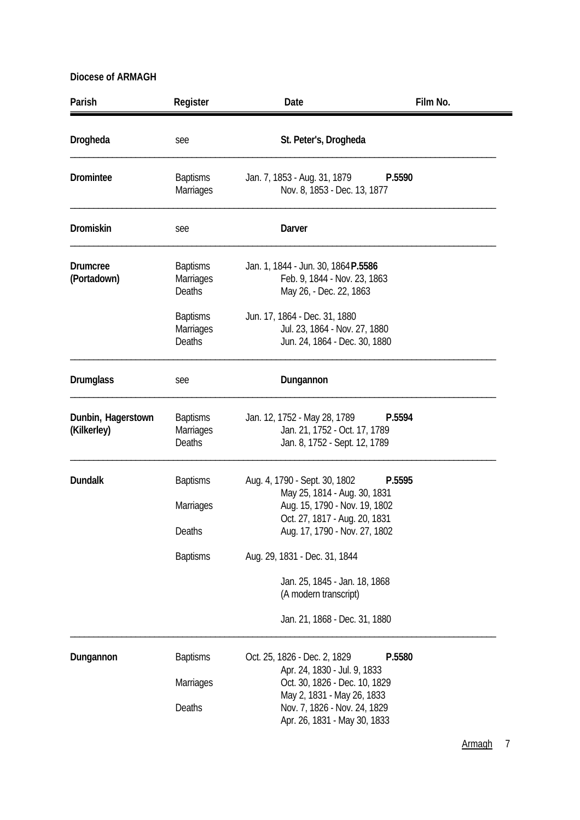| Parish                            | Register                                                         | Date                                                                                                                                                                                              | Film No. |
|-----------------------------------|------------------------------------------------------------------|---------------------------------------------------------------------------------------------------------------------------------------------------------------------------------------------------|----------|
| Drogheda                          | see                                                              | St. Peter's, Drogheda                                                                                                                                                                             |          |
| Dromintee                         | <b>Baptisms</b><br>Marriages                                     | Jan. 7, 1853 - Aug. 31, 1879<br>Nov. 8, 1853 - Dec. 13, 1877                                                                                                                                      | P.5590   |
| <b>Dromiskin</b>                  | see                                                              | Darver                                                                                                                                                                                            |          |
| <b>Drumcree</b><br>(Portadown)    | <b>Baptisms</b><br>Marriages<br><b>Deaths</b><br><b>Baptisms</b> | Jan. 1, 1844 - Jun. 30, 1864 P.5586<br>Feb. 9, 1844 - Nov. 23, 1863<br>May 26, - Dec. 22, 1863<br>Jun. 17, 1864 - Dec. 31, 1880                                                                   |          |
|                                   | <b>Marriages</b><br>Deaths                                       | Jul. 23, 1864 - Nov. 27, 1880<br>Jun. 24, 1864 - Dec. 30, 1880                                                                                                                                    |          |
| <b>Drumglass</b>                  | see                                                              | Dungannon                                                                                                                                                                                         |          |
| Dunbin, Hagerstown<br>(Kilkerley) | <b>Baptisms</b><br>Marriages<br>Deaths                           | Jan. 12, 1752 - May 28, 1789<br>Jan. 21, 1752 - Oct. 17, 1789<br>Jan. 8, 1752 - Sept. 12, 1789                                                                                                    | P.5594   |
| <b>Dundalk</b>                    | <b>Baptisms</b><br><b>Marriages</b><br>Deaths<br><b>Baptisms</b> | Aug. 4, 1790 - Sept. 30, 1802<br>May 25, 1814 - Aug. 30, 1831<br>Aug. 15, 1790 - Nov. 19, 1802<br>Oct. 27, 1817 - Aug. 20, 1831<br>Aug. 17, 1790 - Nov. 27, 1802<br>Aug. 29, 1831 - Dec. 31, 1844 | P.5595   |
|                                   |                                                                  | Jan. 25, 1845 - Jan. 18, 1868<br>(A modern transcript)<br>Jan. 21, 1868 - Dec. 31, 1880                                                                                                           |          |
| Dungannon                         | <b>Baptisms</b><br>Marriages                                     | Oct. 25, 1826 - Dec. 2, 1829<br>Apr. 24, 1830 - Jul. 9, 1833<br>Oct. 30, 1826 - Dec. 10, 1829                                                                                                     | P.5580   |
|                                   | Deaths                                                           | May 2, 1831 - May 26, 1833<br>Nov. 7, 1826 - Nov. 24, 1829<br>Apr. 26, 1831 - May 30, 1833                                                                                                        |          |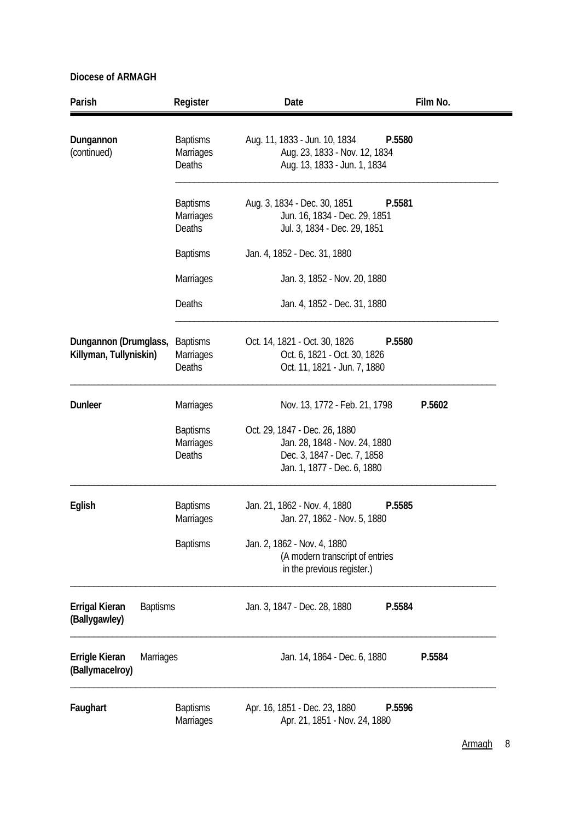| Parish                                             | Register                                      | Date                                                                                                                         | Film No. |
|----------------------------------------------------|-----------------------------------------------|------------------------------------------------------------------------------------------------------------------------------|----------|
| Dungannon<br>(continued)                           | <b>Baptisms</b><br>Marriages<br><b>Deaths</b> | Aug. 11, 1833 - Jun. 10, 1834<br>P.5580<br>Aug. 23, 1833 - Nov. 12, 1834<br>Aug. 13, 1833 - Jun. 1, 1834                     |          |
|                                                    | <b>Baptisms</b><br><b>Marriages</b><br>Deaths | Aug. 3, 1834 - Dec. 30, 1851<br>P.5581<br>Jun. 16, 1834 - Dec. 29, 1851<br>Jul. 3, 1834 - Dec. 29, 1851                      |          |
|                                                    | <b>Baptisms</b>                               | Jan. 4, 1852 - Dec. 31, 1880                                                                                                 |          |
|                                                    | Marriages                                     | Jan. 3, 1852 - Nov. 20, 1880                                                                                                 |          |
|                                                    | Deaths                                        | Jan. 4, 1852 - Dec. 31, 1880                                                                                                 |          |
| Dungannon (Drumglass,<br>Killyman, Tullyniskin)    | <b>Baptisms</b><br>Marriages<br>Deaths        | Oct. 14, 1821 - Oct. 30, 1826<br>P.5580<br>Oct. 6, 1821 - Oct. 30, 1826<br>Oct. 11, 1821 - Jun. 7, 1880                      |          |
| <b>Dunleer</b>                                     | <b>Marriages</b>                              | Nov. 13, 1772 - Feb. 21, 1798                                                                                                | P.5602   |
|                                                    | <b>Baptisms</b><br>Marriages<br>Deaths        | Oct. 29, 1847 - Dec. 26, 1880<br>Jan. 28, 1848 - Nov. 24, 1880<br>Dec. 3, 1847 - Dec. 7, 1858<br>Jan. 1, 1877 - Dec. 6, 1880 |          |
| Eglish                                             | <b>Baptisms</b><br>Marriages                  | Jan. 21, 1862 - Nov. 4, 1880<br>P.5585<br>Jan. 27, 1862 - Nov. 5, 1880                                                       |          |
|                                                    | <b>Baptisms</b>                               | Jan. 2, 1862 - Nov. 4, 1880<br>(A modern transcript of entries<br>in the previous register.)                                 |          |
| Errigal Kieran<br><b>Baptisms</b><br>(Ballygawley) |                                               | Jan. 3, 1847 - Dec. 28, 1880<br>P.5584                                                                                       |          |
| Errigle Kieran<br>Marriages<br>(Ballymacelroy)     |                                               | Jan. 14, 1864 - Dec. 6, 1880                                                                                                 | P.5584   |
| Faughart                                           | <b>Baptisms</b><br><b>Marriages</b>           | Apr. 16, 1851 - Dec. 23, 1880<br>P.5596<br>Apr. 21, 1851 - Nov. 24, 1880                                                     |          |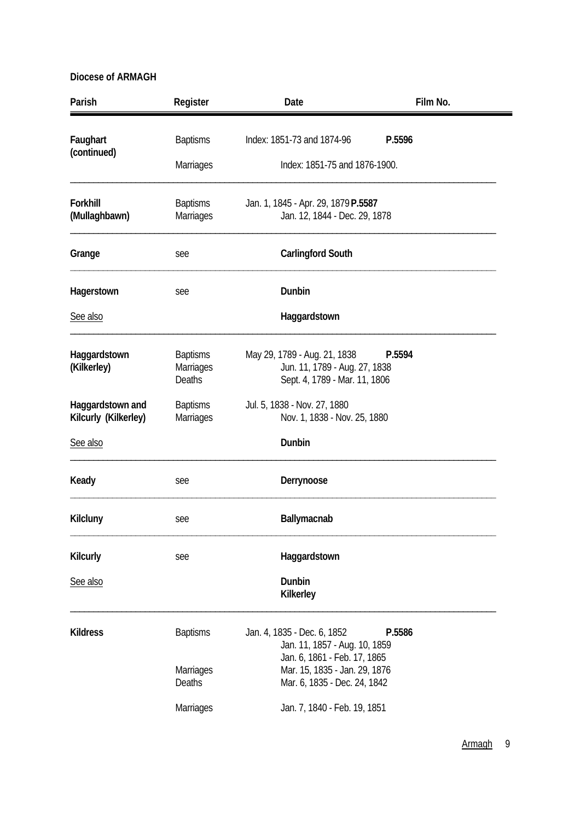| Parish                                   | Register                               | Date                                                                                           | Film No. |
|------------------------------------------|----------------------------------------|------------------------------------------------------------------------------------------------|----------|
| Faughart                                 | <b>Baptisms</b>                        | Index: 1851-73 and 1874-96                                                                     | P.5596   |
| (continued)                              | Marriages                              | Index: 1851-75 and 1876-1900.                                                                  |          |
| Forkhill<br>(Mullaghbawn)                | <b>Baptisms</b><br>Marriages           | Jan. 1, 1845 - Apr. 29, 1879 P.5587<br>Jan. 12, 1844 - Dec. 29, 1878                           |          |
| Grange                                   | see                                    | <b>Carlingford South</b>                                                                       |          |
| Hagerstown                               | see                                    | Dunbin                                                                                         |          |
| See also                                 |                                        | Haggardstown                                                                                   |          |
| Haggardstown<br>(Kilkerley)              | <b>Baptisms</b><br>Marriages<br>Deaths | May 29, 1789 - Aug. 21, 1838<br>Jun. 11, 1789 - Aug. 27, 1838<br>Sept. 4, 1789 - Mar. 11, 1806 | P.5594   |
| Haggardstown and<br>Kilcurly (Kilkerley) | <b>Baptisms</b><br>Marriages           | Jul. 5, 1838 - Nov. 27, 1880<br>Nov. 1, 1838 - Nov. 25, 1880                                   |          |
| See also                                 |                                        | Dunbin                                                                                         |          |
| Keady                                    | see                                    | Derrynoose                                                                                     |          |
| Kilcluny                                 | see                                    | Ballymacnab                                                                                    |          |
| Kilcurly                                 | see                                    | Haggardstown                                                                                   |          |
| See also                                 |                                        | Dunbin<br>Kilkerley                                                                            |          |
| <b>Kildress</b>                          | <b>Baptisms</b>                        | Jan. 4, 1835 - Dec. 6, 1852<br>Jan. 11, 1857 - Aug. 10, 1859<br>Jan. 6, 1861 - Feb. 17, 1865   | P.5586   |
|                                          | Marriages<br>Deaths                    | Mar. 15, 1835 - Jan. 29, 1876<br>Mar. 6, 1835 - Dec. 24, 1842                                  |          |
|                                          | Marriages                              | Jan. 7, 1840 - Feb. 19, 1851                                                                   |          |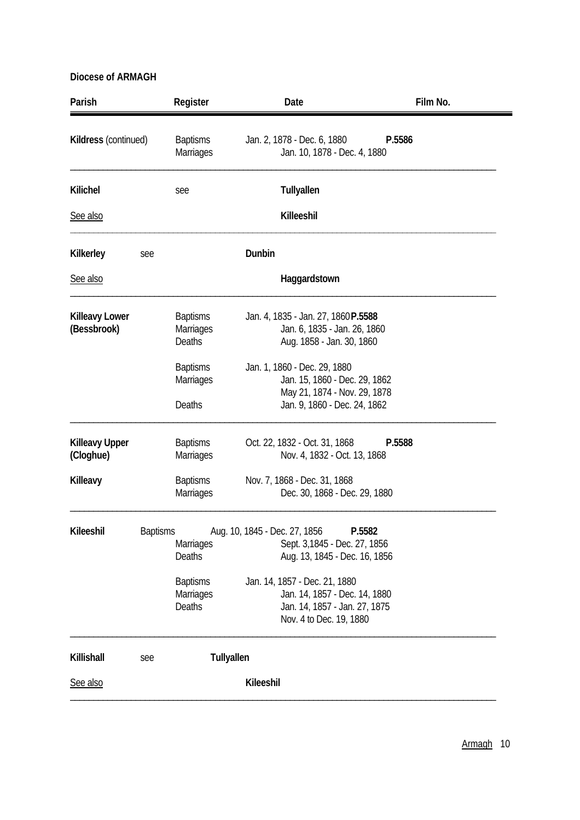| Jan. 2, 1878 - Dec. 6, 1880<br>P.5586<br>Jan. 10, 1878 - Dec. 4, 1880                                                                                                                                                                  |
|----------------------------------------------------------------------------------------------------------------------------------------------------------------------------------------------------------------------------------------|
| Tullyallen                                                                                                                                                                                                                             |
| Killeeshil                                                                                                                                                                                                                             |
|                                                                                                                                                                                                                                        |
| Haggardstown                                                                                                                                                                                                                           |
| Jan. 4, 1835 - Jan. 27, 1860P.5588<br>Jan. 6, 1835 - Jan. 26, 1860<br>Aug. 1858 - Jan. 30, 1860                                                                                                                                        |
| Jan. 1, 1860 - Dec. 29, 1880<br>Jan. 15, 1860 - Dec. 29, 1862<br>May 21, 1874 - Nov. 29, 1878<br>Jan. 9, 1860 - Dec. 24, 1862                                                                                                          |
| Oct. 22, 1832 - Oct. 31, 1868<br>P.5588<br>Nov. 4, 1832 - Oct. 13, 1868                                                                                                                                                                |
| Nov. 7, 1868 - Dec. 31, 1868<br>Dec. 30, 1868 - Dec. 29, 1880                                                                                                                                                                          |
| Aug. 10, 1845 - Dec. 27, 1856<br>P.5582<br>Sept. 3,1845 - Dec. 27, 1856<br>Aug. 13, 1845 - Dec. 16, 1856<br>Jan. 14, 1857 - Dec. 21, 1880<br>Jan. 14, 1857 - Dec. 14, 1880<br>Jan. 14, 1857 - Jan. 27, 1875<br>Nov. 4 to Dec. 19, 1880 |
|                                                                                                                                                                                                                                        |
|                                                                                                                                                                                                                                        |
|                                                                                                                                                                                                                                        |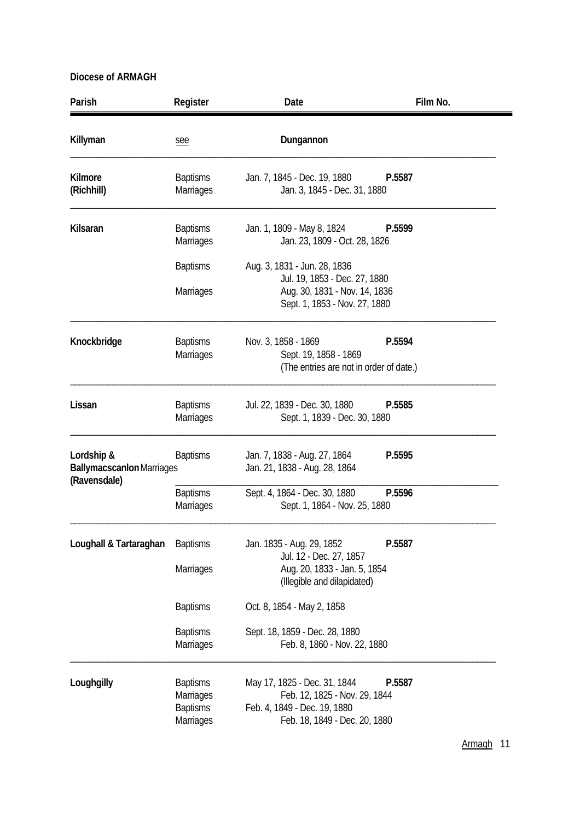| Parish                                                         | Register                                                     | Date                                                                                                                           | Film No. |
|----------------------------------------------------------------|--------------------------------------------------------------|--------------------------------------------------------------------------------------------------------------------------------|----------|
| Killyman                                                       | see                                                          | Dungannon                                                                                                                      |          |
| Kilmore<br>(Richhill)                                          | <b>Baptisms</b><br>Marriages                                 | Jan. 7, 1845 - Dec. 19, 1880<br>Jan. 3, 1845 - Dec. 31, 1880                                                                   | P.5587   |
| Kilsaran                                                       | <b>Baptisms</b><br><b>Marriages</b>                          | Jan. 1, 1809 - May 8, 1824<br>Jan. 23, 1809 - Oct. 28, 1826                                                                    | P.5599   |
|                                                                | <b>Baptisms</b>                                              | Aug. 3, 1831 - Jun. 28, 1836                                                                                                   |          |
|                                                                | <b>Marriages</b>                                             | Jul. 19, 1853 - Dec. 27, 1880<br>Aug. 30, 1831 - Nov. 14, 1836<br>Sept. 1, 1853 - Nov. 27, 1880                                |          |
| Knockbridge                                                    | <b>Baptisms</b><br><b>Marriages</b>                          | Nov. 3, 1858 - 1869<br>Sept. 19, 1858 - 1869<br>(The entries are not in order of date.)                                        | P.5594   |
| Lissan                                                         | <b>Baptisms</b><br>Marriages                                 | Jul. 22, 1839 - Dec. 30, 1880<br>Sept. 1, 1839 - Dec. 30, 1880                                                                 | P.5585   |
| Lordship &<br><b>Ballymacscanlon Marriages</b><br>(Ravensdale) | <b>Baptisms</b>                                              | Jan. 7, 1838 - Aug. 27, 1864<br>Jan. 21, 1838 - Aug. 28, 1864                                                                  | P.5595   |
|                                                                | <b>Baptisms</b><br>Marriages                                 | Sept. 4, 1864 - Dec. 30, 1880<br>Sept. 1, 1864 - Nov. 25, 1880                                                                 | P.5596   |
| Loughall & Tartaraghan                                         | <b>Baptisms</b>                                              | Jan. 1835 - Aug. 29, 1852<br>Jul. 12 - Dec. 27, 1857                                                                           | P.5587   |
|                                                                | <b>Marriages</b>                                             | Aug. 20, 1833 - Jan. 5, 1854<br>(Illegible and dilapidated)                                                                    |          |
|                                                                | <b>Baptisms</b>                                              | Oct. 8, 1854 - May 2, 1858                                                                                                     |          |
|                                                                | <b>Baptisms</b><br>Marriages                                 | Sept. 18, 1859 - Dec. 28, 1880<br>Feb. 8, 1860 - Nov. 22, 1880                                                                 |          |
| Loughgilly                                                     | <b>Baptisms</b><br>Marriages<br><b>Baptisms</b><br>Marriages | May 17, 1825 - Dec. 31, 1844<br>Feb. 12, 1825 - Nov. 29, 1844<br>Feb. 4, 1849 - Dec. 19, 1880<br>Feb. 18, 1849 - Dec. 20, 1880 | P.5587   |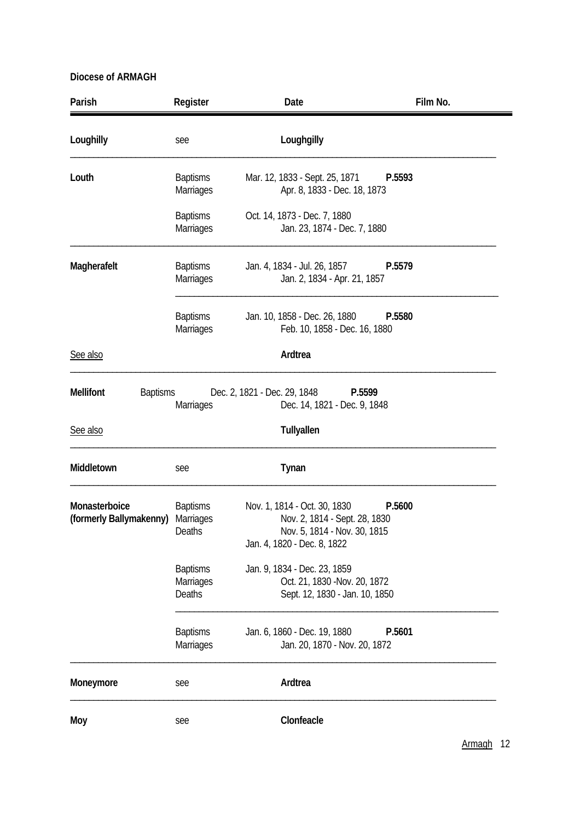| Parish                                   | Register                               | Date                                                                                                                         | Film No. |
|------------------------------------------|----------------------------------------|------------------------------------------------------------------------------------------------------------------------------|----------|
| Loughilly                                | see                                    | Loughgilly                                                                                                                   |          |
| Louth                                    | <b>Baptisms</b><br>Marriages           | Mar. 12, 1833 - Sept. 25, 1871<br>Apr. 8, 1833 - Dec. 18, 1873                                                               | P.5593   |
|                                          | <b>Baptisms</b><br>Marriages           | Oct. 14, 1873 - Dec. 7, 1880<br>Jan. 23, 1874 - Dec. 7, 1880                                                                 |          |
| Magherafelt                              | <b>Baptisms</b><br>Marriages           | Jan. 4, 1834 - Jul. 26, 1857<br>Jan. 2, 1834 - Apr. 21, 1857                                                                 | P.5579   |
|                                          | <b>Baptisms</b><br><b>Marriages</b>    | Jan. 10, 1858 - Dec. 26, 1880<br>Feb. 10, 1858 - Dec. 16, 1880                                                               | P.5580   |
| See also                                 |                                        | Ardtrea                                                                                                                      |          |
| <b>Mellifont</b><br><b>Baptisms</b>      | Marriages                              | Dec. 2, 1821 - Dec. 29, 1848<br>P.5599<br>Dec. 14, 1821 - Dec. 9, 1848                                                       |          |
| See also                                 |                                        | Tullyallen                                                                                                                   |          |
| Middletown                               | see                                    | Tynan                                                                                                                        |          |
| Monasterboice<br>(formerly Ballymakenny) | <b>Baptisms</b><br>Marriages<br>Deaths | Nov. 1, 1814 - Oct. 30, 1830<br>Nov. 2, 1814 - Sept. 28, 1830<br>Nov. 5, 1814 - Nov. 30, 1815<br>Jan. 4, 1820 - Dec. 8, 1822 | P.5600   |
|                                          | <b>Baptisms</b><br>Marriages<br>Deaths | Jan. 9, 1834 - Dec. 23, 1859<br>Oct. 21, 1830 - Nov. 20, 1872<br>Sept. 12, 1830 - Jan. 10, 1850                              |          |
|                                          | <b>Baptisms</b><br>Marriages           | Jan. 6, 1860 - Dec. 19, 1880<br>Jan. 20, 1870 - Nov. 20, 1872                                                                | P.5601   |
| Moneymore                                | see                                    | Ardtrea                                                                                                                      |          |
| Moy                                      | see                                    | Clonfeacle                                                                                                                   |          |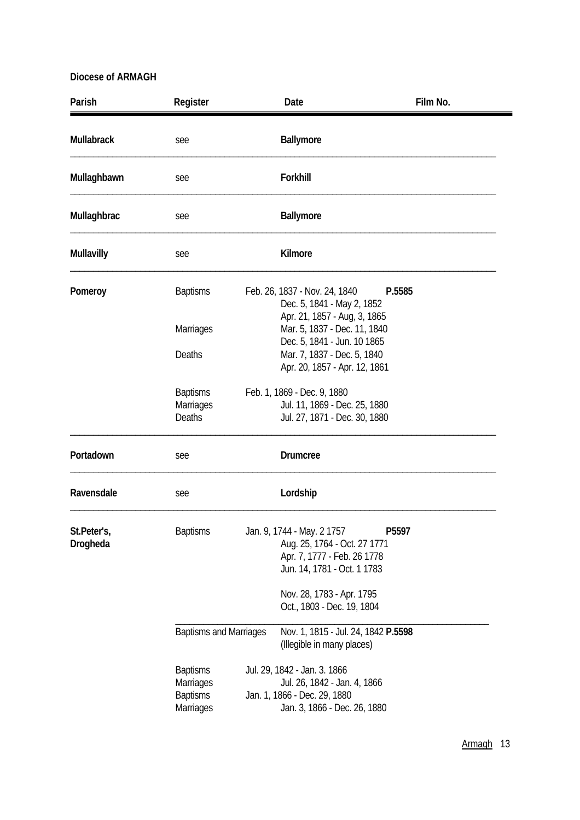| Parish                  | Register                                                     | Date                                                                                                                                                                                      | Film No. |
|-------------------------|--------------------------------------------------------------|-------------------------------------------------------------------------------------------------------------------------------------------------------------------------------------------|----------|
| <b>Mullabrack</b>       | see                                                          | <b>Ballymore</b>                                                                                                                                                                          |          |
| Mullaghbawn             | see                                                          | Forkhill                                                                                                                                                                                  |          |
| Mullaghbrac             | see                                                          | <b>Ballymore</b>                                                                                                                                                                          |          |
| <b>Mullavilly</b>       | see                                                          | Kilmore                                                                                                                                                                                   |          |
| Pomeroy                 | <b>Baptisms</b><br><b>Marriages</b><br>Deaths                | Feb. 26, 1837 - Nov. 24, 1840<br>Dec. 5, 1841 - May 2, 1852<br>Apr. 21, 1857 - Aug, 3, 1865<br>Mar. 5, 1837 - Dec. 11, 1840<br>Dec. 5, 1841 - Jun. 10 1865<br>Mar. 7, 1837 - Dec. 5, 1840 | P.5585   |
|                         | <b>Baptisms</b><br>Marriages<br><b>Deaths</b>                | Apr. 20, 1857 - Apr. 12, 1861<br>Feb. 1, 1869 - Dec. 9, 1880<br>Jul. 11, 1869 - Dec. 25, 1880<br>Jul. 27, 1871 - Dec. 30, 1880                                                            |          |
| Portadown               | see                                                          | <b>Drumcree</b>                                                                                                                                                                           |          |
| Ravensdale              | see                                                          | Lordship                                                                                                                                                                                  |          |
| St.Peter's,<br>Drogheda | <b>Baptisms</b>                                              | Jan. 9, 1744 - May. 2 1757<br>Aug. 25, 1764 - Oct. 27 1771<br>Apr. 7, 1777 - Feb. 26 1778<br>Jun. 14, 1781 - Oct. 1 1783<br>Nov. 28, 1783 - Apr. 1795<br>Oct., 1803 - Dec. 19, 1804       | P5597    |
|                         | <b>Baptisms and Marriages</b>                                | Nov. 1, 1815 - Jul. 24, 1842 P.5598<br>(Illegible in many places)                                                                                                                         |          |
|                         | <b>Baptisms</b><br>Marriages<br><b>Baptisms</b><br>Marriages | Jul. 29, 1842 - Jan. 3. 1866<br>Jul. 26, 1842 - Jan. 4, 1866<br>Jan. 1, 1866 - Dec. 29, 1880<br>Jan. 3, 1866 - Dec. 26, 1880                                                              |          |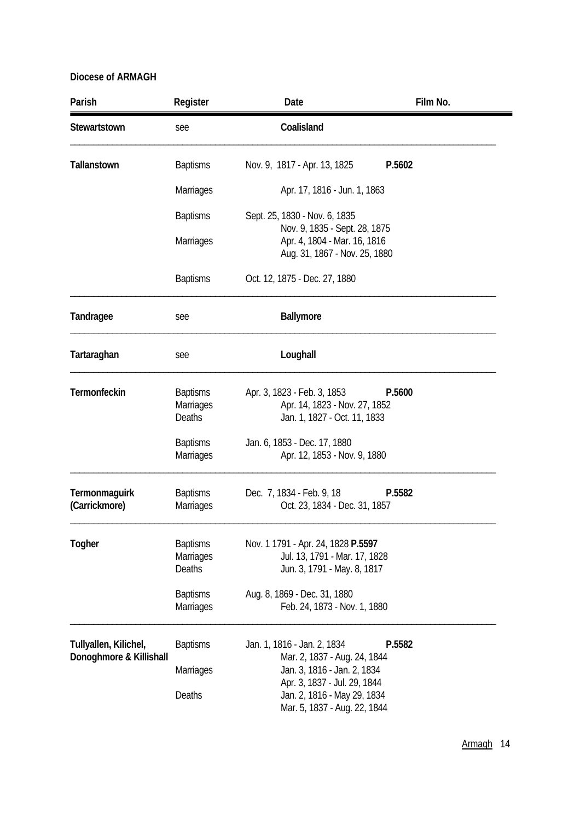| Parish                                           | Register                                      | Date                                                                                               | Film No. |
|--------------------------------------------------|-----------------------------------------------|----------------------------------------------------------------------------------------------------|----------|
| Stewartstown                                     | see                                           | Coalisland                                                                                         |          |
| <b>Tallanstown</b>                               | <b>Baptisms</b>                               | Nov. 9, 1817 - Apr. 13, 1825                                                                       | P.5602   |
|                                                  | <b>Marriages</b>                              | Apr. 17, 1816 - Jun. 1, 1863                                                                       |          |
|                                                  | <b>Baptisms</b>                               | Sept. 25, 1830 - Nov. 6, 1835                                                                      |          |
|                                                  | <b>Marriages</b>                              | Nov. 9, 1835 - Sept. 28, 1875<br>Apr. 4, 1804 - Mar. 16, 1816<br>Aug. 31, 1867 - Nov. 25, 1880     |          |
|                                                  | <b>Baptisms</b>                               | Oct. 12, 1875 - Dec. 27, 1880                                                                      |          |
| Tandragee                                        | see                                           | Ballymore                                                                                          |          |
| Tartaraghan                                      | see                                           | Loughall                                                                                           |          |
| Termonfeckin                                     | <b>Baptisms</b><br><b>Marriages</b><br>Deaths | Apr. 3, 1823 - Feb. 3, 1853<br>Apr. 14, 1823 - Nov. 27, 1852<br>Jan. 1, 1827 - Oct. 11, 1833       | P.5600   |
|                                                  | <b>Baptisms</b><br><b>Marriages</b>           | Jan. 6, 1853 - Dec. 17, 1880<br>Apr. 12, 1853 - Nov. 9, 1880                                       |          |
| <b>Termonmaguirk</b><br>(Carrickmore)            | <b>Baptisms</b><br><b>Marriages</b>           | Dec. 7, 1834 - Feb. 9, 18<br>Oct. 23, 1834 - Dec. 31, 1857                                         | P.5582   |
| Togher                                           | <b>Baptisms</b><br>Marriages<br>Deaths        | Nov. 1 1791 - Apr. 24, 1828 P.5597<br>Jul. 13, 1791 - Mar. 17, 1828<br>Jun. 3, 1791 - May. 8, 1817 |          |
|                                                  | <b>Baptisms</b><br>Marriages                  | Aug. 8, 1869 - Dec. 31, 1880<br>Feb. 24, 1873 - Nov. 1, 1880                                       |          |
| Tullyallen, Kilichel,<br>Donoghmore & Killishall | <b>Baptisms</b>                               | Jan. 1, 1816 - Jan. 2, 1834<br>Mar. 2, 1837 - Aug. 24, 1844                                        | P.5582   |
|                                                  | <b>Marriages</b>                              | Jan. 3, 1816 - Jan. 2, 1834<br>Apr. 3, 1837 - Jul. 29, 1844                                        |          |
|                                                  | Deaths                                        | Jan. 2, 1816 - May 29, 1834<br>Mar. 5, 1837 - Aug. 22, 1844                                        |          |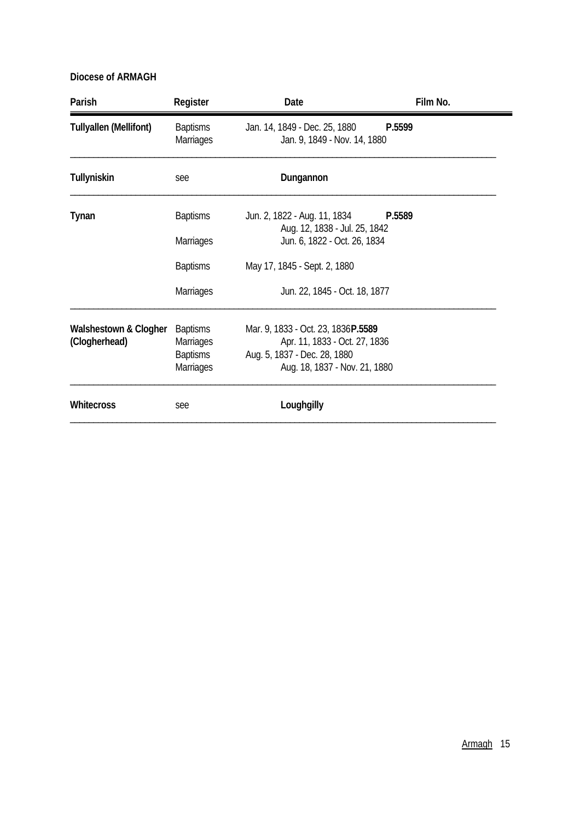| Parish                        | Register                            | Date                                                          | Film No. |
|-------------------------------|-------------------------------------|---------------------------------------------------------------|----------|
| <b>Tullyallen (Mellifont)</b> | <b>Baptisms</b><br><b>Marriages</b> | Jan. 14, 1849 - Dec. 25, 1880<br>Jan. 9, 1849 - Nov. 14, 1880 | P.5599   |
| Tullyniskin                   | see                                 | Dungannon                                                     |          |
| Tynan                         | <b>Baptisms</b>                     | Jun. 2, 1822 - Aug. 11, 1834<br>Aug. 12, 1838 - Jul. 25, 1842 | P.5589   |
|                               | Marriages                           | Jun. 6, 1822 - Oct. 26, 1834                                  |          |
|                               | <b>Baptisms</b>                     | May 17, 1845 - Sept. 2, 1880                                  |          |
|                               | Marriages                           | Jun. 22, 1845 - Oct. 18, 1877                                 |          |
| Walshestown & Clogher         | <b>Baptisms</b>                     | Mar. 9, 1833 - Oct. 23, 1836P.5589                            |          |
| (Clogherhead)                 | <b>Marriages</b>                    | Apr. 11, 1833 - Oct. 27, 1836                                 |          |
|                               | <b>Baptisms</b><br>Marriages        | Aug. 5, 1837 - Dec. 28, 1880<br>Aug. 18, 1837 - Nov. 21, 1880 |          |
| Whitecross                    | see                                 | Loughgilly                                                    |          |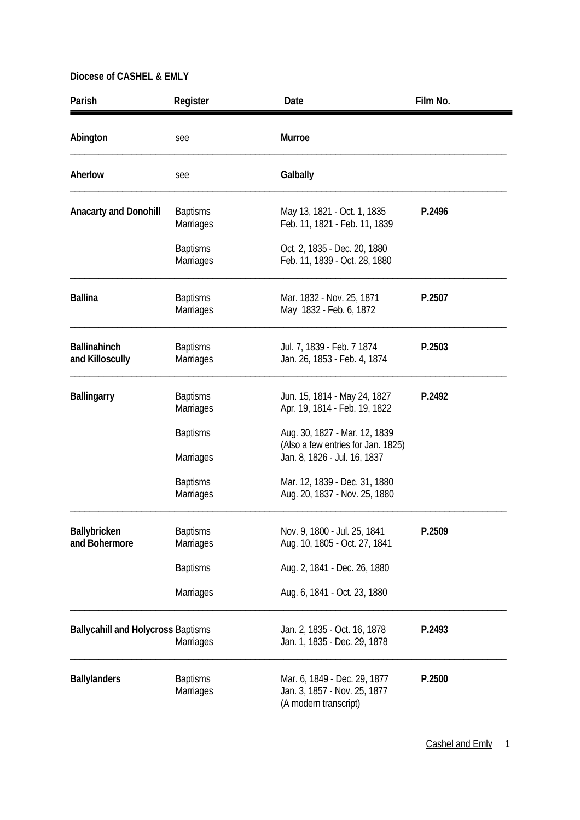| Parish                                    | Register                            | Date                                                                                                | Film No. |
|-------------------------------------------|-------------------------------------|-----------------------------------------------------------------------------------------------------|----------|
| Abington                                  | see                                 | Murroe                                                                                              |          |
| Aherlow                                   | see                                 | Galbally                                                                                            |          |
| <b>Anacarty and Donohill</b>              | <b>Baptisms</b><br>Marriages        | May 13, 1821 - Oct. 1, 1835<br>Feb. 11, 1821 - Feb. 11, 1839                                        | P.2496   |
|                                           | <b>Baptisms</b><br>Marriages        | Oct. 2, 1835 - Dec. 20, 1880<br>Feb. 11, 1839 - Oct. 28, 1880                                       |          |
| <b>Ballina</b>                            | <b>Baptisms</b><br>Marriages        | Mar. 1832 - Nov. 25, 1871<br>May 1832 - Feb. 6, 1872                                                | P.2507   |
| <b>Ballinahinch</b><br>and Killoscully    | <b>Baptisms</b><br>Marriages        | Jul. 7, 1839 - Feb. 7 1874<br>Jan. 26, 1853 - Feb. 4, 1874                                          | P.2503   |
| <b>Ballingarry</b>                        | <b>Baptisms</b><br><b>Marriages</b> | Jun. 15, 1814 - May 24, 1827<br>Apr. 19, 1814 - Feb. 19, 1822                                       | P.2492   |
|                                           | <b>Baptisms</b><br>Marriages        | Aug. 30, 1827 - Mar. 12, 1839<br>(Also a few entries for Jan. 1825)<br>Jan. 8, 1826 - Jul. 16, 1837 |          |
|                                           | <b>Baptisms</b><br>Marriages        | Mar. 12, 1839 - Dec. 31, 1880<br>Aug. 20, 1837 - Nov. 25, 1880                                      |          |
| Ballybricken<br>and Bohermore             | <b>Baptisms</b><br><b>Marriages</b> | Nov. 9, 1800 - Jul. 25, 1841<br>Aug. 10, 1805 - Oct. 27, 1841                                       | P.2509   |
|                                           | <b>Baptisms</b>                     | Aug. 2, 1841 - Dec. 26, 1880                                                                        |          |
|                                           | Marriages                           | Aug. 6, 1841 - Oct. 23, 1880                                                                        |          |
| <b>Ballycahill and Holycross Baptisms</b> | <b>Marriages</b>                    | Jan. 2, 1835 - Oct. 16, 1878<br>Jan. 1, 1835 - Dec. 29, 1878                                        | P.2493   |
| <b>Ballylanders</b>                       | <b>Baptisms</b><br>Marriages        | Mar. 6, 1849 - Dec. 29, 1877<br>Jan. 3, 1857 - Nov. 25, 1877<br>(A modern transcript)               | P.2500   |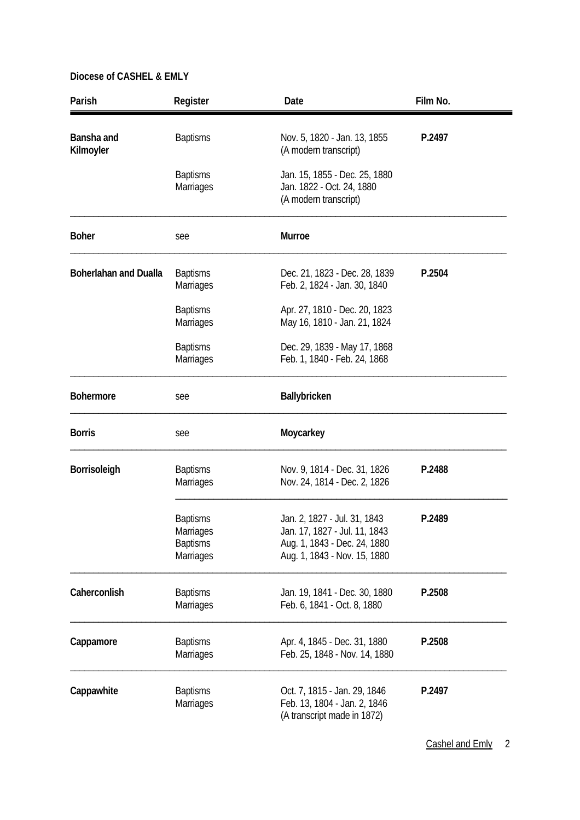| Parish                       | Register                                                            | Date                                                                                                                          | Film No. |
|------------------------------|---------------------------------------------------------------------|-------------------------------------------------------------------------------------------------------------------------------|----------|
| Bansha and<br>Kilmoyler      | <b>Baptisms</b>                                                     | Nov. 5, 1820 - Jan. 13, 1855<br>(A modern transcript)                                                                         | P.2497   |
|                              | <b>Baptisms</b><br>Marriages                                        | Jan. 15, 1855 - Dec. 25, 1880<br>Jan. 1822 - Oct. 24, 1880<br>(A modern transcript)                                           |          |
| <b>Boher</b>                 | see                                                                 | Murroe                                                                                                                        |          |
| <b>Boherlahan and Dualla</b> | <b>Baptisms</b><br><b>Marriages</b>                                 | Dec. 21, 1823 - Dec. 28, 1839<br>Feb. 2, 1824 - Jan. 30, 1840                                                                 | P.2504   |
|                              | <b>Baptisms</b><br><b>Marriages</b>                                 | Apr. 27, 1810 - Dec. 20, 1823<br>May 16, 1810 - Jan. 21, 1824                                                                 |          |
|                              | <b>Baptisms</b><br><b>Marriages</b>                                 | Dec. 29, 1839 - May 17, 1868<br>Feb. 1, 1840 - Feb. 24, 1868                                                                  |          |
| <b>Bohermore</b>             | see                                                                 | Ballybricken                                                                                                                  |          |
| <b>Borris</b>                | see                                                                 | Moycarkey                                                                                                                     |          |
| Borrisoleigh                 | <b>Baptisms</b><br>Marriages                                        | Nov. 9, 1814 - Dec. 31, 1826<br>Nov. 24, 1814 - Dec. 2, 1826                                                                  | P.2488   |
|                              | <b>Baptisms</b><br>Marriages<br><b>Baptisms</b><br><b>Marriages</b> | Jan. 2, 1827 - Jul. 31, 1843<br>Jan. 17, 1827 - Jul. 11, 1843<br>Aug. 1, 1843 - Dec. 24, 1880<br>Aug. 1, 1843 - Nov. 15, 1880 | P.2489   |
| Caherconlish                 | <b>Baptisms</b><br><b>Marriages</b>                                 | Jan. 19, 1841 - Dec. 30, 1880<br>Feb. 6, 1841 - Oct. 8, 1880                                                                  | P.2508   |
| Cappamore                    | <b>Baptisms</b><br><b>Marriages</b>                                 | Apr. 4, 1845 - Dec. 31, 1880<br>Feb. 25, 1848 - Nov. 14, 1880                                                                 | P.2508   |
| Cappawhite                   | <b>Baptisms</b><br>Marriages                                        | Oct. 7, 1815 - Jan. 29, 1846<br>Feb. 13, 1804 - Jan. 2, 1846<br>(A transcript made in 1872)                                   | P.2497   |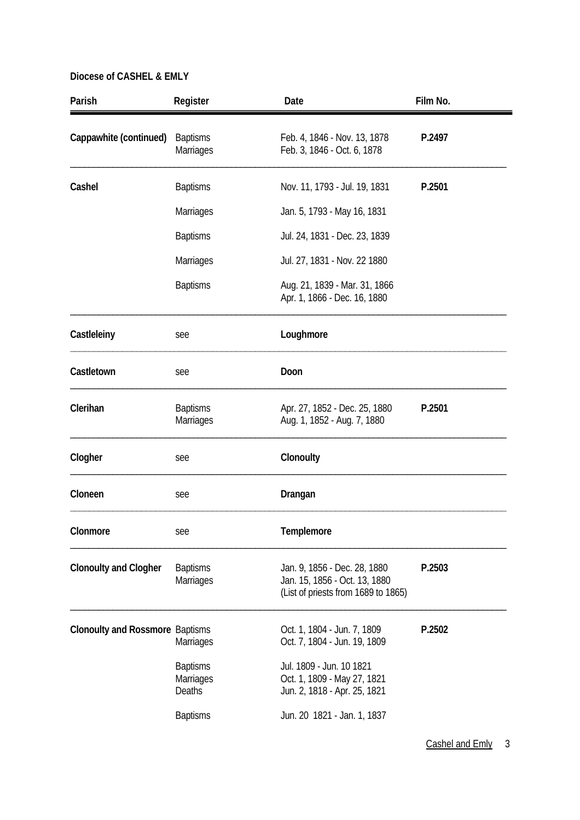| Parish                                 | Register                                      | Date                                                                                                 | Film No. |
|----------------------------------------|-----------------------------------------------|------------------------------------------------------------------------------------------------------|----------|
| Cappawhite (continued)                 | <b>Baptisms</b><br><b>Marriages</b>           | Feb. 4, 1846 - Nov. 13, 1878<br>Feb. 3, 1846 - Oct. 6, 1878                                          | P.2497   |
| Cashel                                 | <b>Baptisms</b>                               | Nov. 11, 1793 - Jul. 19, 1831                                                                        | P.2501   |
|                                        | <b>Marriages</b>                              | Jan. 5, 1793 - May 16, 1831                                                                          |          |
|                                        | <b>Baptisms</b>                               | Jul. 24, 1831 - Dec. 23, 1839                                                                        |          |
|                                        | <b>Marriages</b>                              | Jul. 27, 1831 - Nov. 22 1880                                                                         |          |
|                                        | <b>Baptisms</b>                               | Aug. 21, 1839 - Mar. 31, 1866<br>Apr. 1, 1866 - Dec. 16, 1880                                        |          |
| Castleleiny                            | see                                           | Loughmore                                                                                            |          |
| Castletown                             | see                                           | Doon                                                                                                 |          |
| Clerihan                               | <b>Baptisms</b><br>Marriages                  | Apr. 27, 1852 - Dec. 25, 1880<br>Aug. 1, 1852 - Aug. 7, 1880                                         | P.2501   |
| Clogher                                | see                                           | Clonoulty                                                                                            |          |
| Cloneen                                | see                                           | Drangan                                                                                              |          |
| Clonmore                               | see                                           | Templemore                                                                                           |          |
| <b>Clonoulty and Clogher</b>           | <b>Baptisms</b><br>Marriages                  | Jan. 9, 1856 - Dec. 28, 1880<br>Jan. 15, 1856 - Oct. 13, 1880<br>(List of priests from 1689 to 1865) | P.2503   |
| <b>Clonoulty and Rossmore Baptisms</b> | Marriages                                     | Oct. 1, 1804 - Jun. 7, 1809<br>Oct. 7, 1804 - Jun. 19, 1809                                          | P.2502   |
|                                        | <b>Baptisms</b><br><b>Marriages</b><br>Deaths | Jul. 1809 - Jun. 10 1821<br>Oct. 1, 1809 - May 27, 1821<br>Jun. 2, 1818 - Apr. 25, 1821              |          |
|                                        | <b>Baptisms</b>                               | Jun. 20 1821 - Jan. 1, 1837                                                                          |          |

Cashel and Emly 3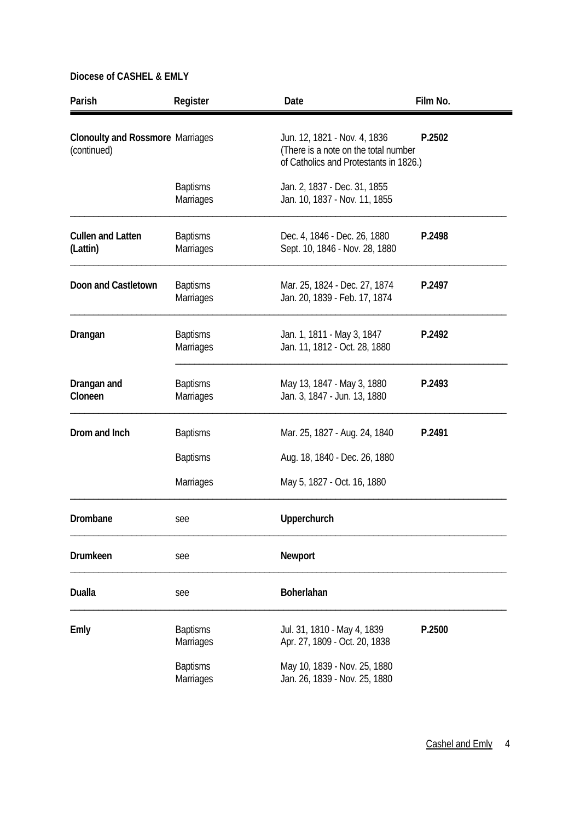| Parish                                                 | Register                            | Date                                                                                                           | Film No.                      |  |
|--------------------------------------------------------|-------------------------------------|----------------------------------------------------------------------------------------------------------------|-------------------------------|--|
| <b>Clonoulty and Rossmore Marriages</b><br>(continued) |                                     | Jun. 12, 1821 - Nov. 4, 1836<br>(There is a note on the total number<br>of Catholics and Protestants in 1826.) | P.2502                        |  |
|                                                        | <b>Baptisms</b><br>Marriages        | Jan. 2, 1837 - Dec. 31, 1855<br>Jan. 10, 1837 - Nov. 11, 1855                                                  |                               |  |
| <b>Cullen and Latten</b><br>(Lattin)                   | <b>Baptisms</b><br><b>Marriages</b> | Dec. 4, 1846 - Dec. 26, 1880<br>Sept. 10, 1846 - Nov. 28, 1880                                                 | P.2498                        |  |
| Doon and Castletown                                    | <b>Baptisms</b><br>Marriages        | Mar. 25, 1824 - Dec. 27, 1874<br>Jan. 20, 1839 - Feb. 17, 1874                                                 | P.2497                        |  |
| Drangan                                                | <b>Baptisms</b><br><b>Marriages</b> | Jan. 1, 1811 - May 3, 1847<br>Jan. 11, 1812 - Oct. 28, 1880                                                    | P.2492                        |  |
| Drangan and<br>Cloneen                                 | <b>Baptisms</b><br><b>Marriages</b> | May 13, 1847 - May 3, 1880<br>Jan. 3, 1847 - Jun. 13, 1880                                                     | P.2493                        |  |
| Drom and Inch                                          | <b>Baptisms</b>                     | Mar. 25, 1827 - Aug. 24, 1840                                                                                  | P.2491                        |  |
|                                                        | <b>Baptisms</b>                     |                                                                                                                | Aug. 18, 1840 - Dec. 26, 1880 |  |
|                                                        | <b>Marriages</b>                    | May 5, 1827 - Oct. 16, 1880                                                                                    |                               |  |
| Drombane                                               | see                                 | Upperchurch                                                                                                    |                               |  |
| Drumkeen                                               | see                                 | Newport                                                                                                        |                               |  |
| <b>Dualla</b>                                          | see                                 | Boherlahan                                                                                                     |                               |  |
| Emly                                                   | <b>Baptisms</b><br>Marriages        | Jul. 31, 1810 - May 4, 1839<br>Apr. 27, 1809 - Oct. 20, 1838                                                   | P.2500                        |  |
|                                                        | <b>Baptisms</b><br><b>Marriages</b> | May 10, 1839 - Nov. 25, 1880<br>Jan. 26, 1839 - Nov. 25, 1880                                                  |                               |  |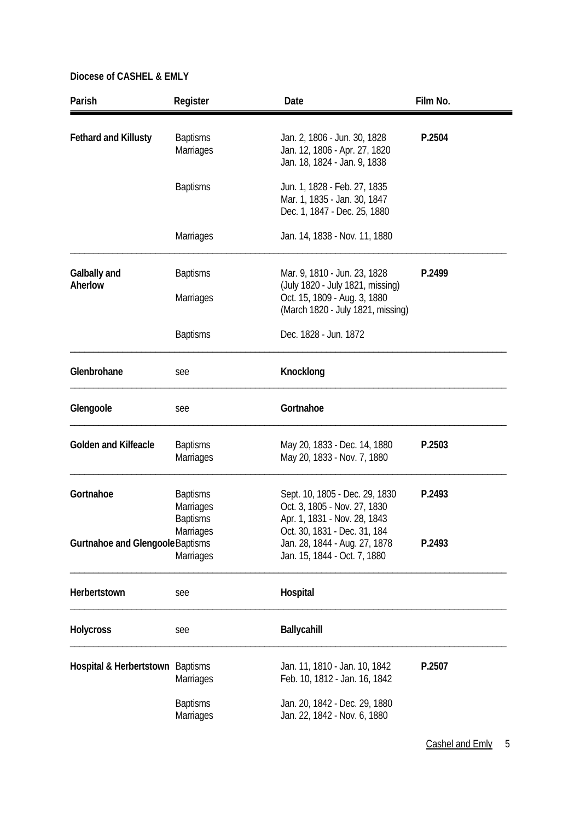| Parish                           | Register                                               | Date                                                                                                  | Film No. |
|----------------------------------|--------------------------------------------------------|-------------------------------------------------------------------------------------------------------|----------|
| <b>Fethard and Killusty</b>      | <b>Baptisms</b><br>Marriages                           | Jan. 2, 1806 - Jun. 30, 1828<br>Jan. 12, 1806 - Apr. 27, 1820<br>Jan. 18, 1824 - Jan. 9, 1838         | P.2504   |
|                                  | <b>Baptisms</b>                                        | Jun. 1, 1828 - Feb. 27, 1835<br>Mar. 1, 1835 - Jan. 30, 1847<br>Dec. 1, 1847 - Dec. 25, 1880          |          |
|                                  | Marriages                                              | Jan. 14, 1838 - Nov. 11, 1880                                                                         |          |
| Galbally and                     | <b>Baptisms</b>                                        | Mar. 9, 1810 - Jun. 23, 1828                                                                          | P.2499   |
| Aherlow                          | Marriages                                              | (July 1820 - July 1821, missing)<br>Oct. 15, 1809 - Aug. 3, 1880<br>(March 1820 - July 1821, missing) |          |
|                                  | <b>Baptisms</b>                                        | Dec. 1828 - Jun. 1872                                                                                 |          |
| Glenbrohane                      | see                                                    | Knocklong                                                                                             |          |
| Glengoole                        | see                                                    | Gortnahoe                                                                                             |          |
| <b>Golden and Kilfeacle</b>      | <b>Baptisms</b><br>Marriages                           | May 20, 1833 - Dec. 14, 1880<br>May 20, 1833 - Nov. 7, 1880                                           | P.2503   |
| Gortnahoe                        | <b>Baptisms</b><br><b>Marriages</b><br><b>Baptisms</b> | Sept. 10, 1805 - Dec. 29, 1830<br>Oct. 3, 1805 - Nov. 27, 1830<br>Apr. 1, 1831 - Nov. 28, 1843        | P.2493   |
| Gurtnahoe and Glengoole Baptisms | Marriages<br><b>Marriages</b>                          | Oct. 30, 1831 - Dec. 31, 184<br>Jan. 28, 1844 - Aug. 27, 1878<br>Jan. 15, 1844 - Oct. 7, 1880         | P.2493   |
| Herbertstown                     | see                                                    | Hospital                                                                                              |          |
| <b>Holycross</b>                 | see                                                    | Ballycahill                                                                                           |          |
| Hospital & Herbertstown Baptisms | <b>Marriages</b>                                       | Jan. 11, 1810 - Jan. 10, 1842<br>Feb. 10, 1812 - Jan. 16, 1842                                        | P.2507   |
|                                  | <b>Baptisms</b><br>Marriages                           | Jan. 20, 1842 - Dec. 29, 1880<br>Jan. 22, 1842 - Nov. 6, 1880                                         |          |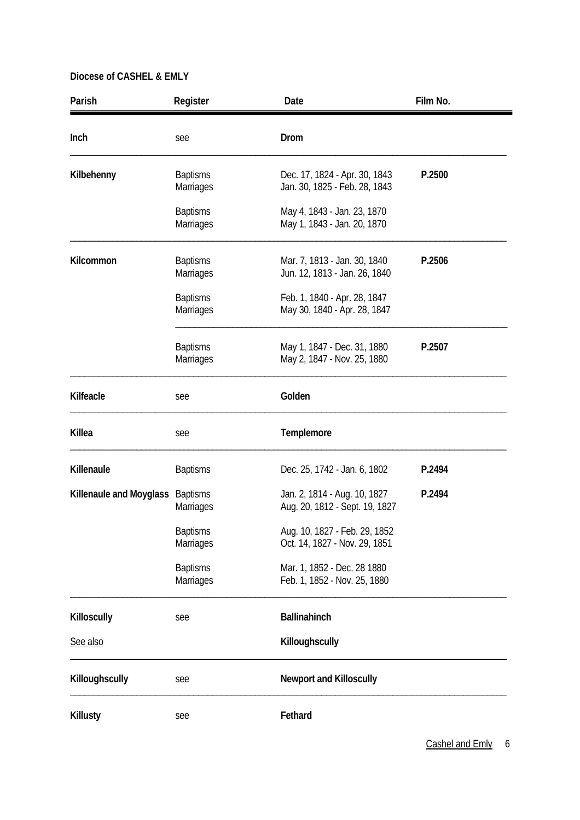| Parish                  | Register                            | Date                                                           | Film No. |
|-------------------------|-------------------------------------|----------------------------------------------------------------|----------|
| Inch                    | see                                 | Drom                                                           |          |
| Kilbehenny              | <b>Baptisms</b><br>Marriages        | Dec. 17, 1824 - Apr. 30, 1843<br>Jan. 30, 1825 - Feb. 28, 1843 | P.2500   |
|                         | <b>Baptisms</b><br><b>Marriages</b> | May 4, 1843 - Jan. 23, 1870<br>May 1, 1843 - Jan. 20, 1870     |          |
| Kilcommon               | <b>Baptisms</b><br>Marriages        | Mar. 7, 1813 - Jan. 30, 1840<br>Jun. 12, 1813 - Jan. 26, 1840  | P.2506   |
|                         | <b>Baptisms</b><br>Marriages        | Feb. 1, 1840 - Apr. 28, 1847<br>May 30, 1840 - Apr. 28, 1847   |          |
|                         | <b>Baptisms</b><br>Marriages        | May 1, 1847 - Dec. 31, 1880<br>May 2, 1847 - Nov. 25, 1880     | P.2507   |
| Kilfeacle               | see                                 | Golden                                                         |          |
| Killea                  | see                                 | Templemore                                                     |          |
| Killenaule              | <b>Baptisms</b>                     | Dec. 25, 1742 - Jan. 6, 1802                                   | P.2494   |
| Killenaule and Moyglass | <b>Baptisms</b><br><b>Marriages</b> | Jan. 2, 1814 - Aug. 10, 1827<br>Aug. 20, 1812 - Sept. 19, 1827 | P.2494   |
|                         | <b>Baptisms</b><br><b>Marriages</b> | Aug. 10, 1827 - Feb. 29, 1852<br>Oct. 14, 1827 - Nov. 29, 1851 |          |
|                         | <b>Baptisms</b><br>Marriages        | Mar. 1, 1852 - Dec. 28 1880<br>Feb. 1, 1852 - Nov. 25, 1880    |          |
| Killoscully             | see                                 | <b>Ballinahinch</b>                                            |          |
| See also                |                                     | Killoughscully                                                 |          |
| Killoughscully          | see                                 | <b>Newport and Killoscully</b>                                 |          |
| Killusty                | see                                 | Fethard                                                        |          |

Cashel and Emly 6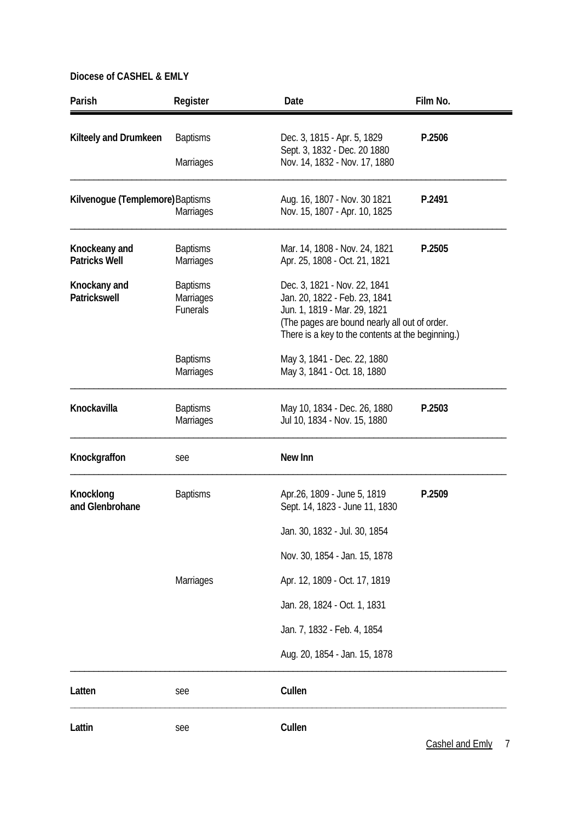| Parish                                | Register                                        | Date                                                                                                                                           | Film No.                                          |
|---------------------------------------|-------------------------------------------------|------------------------------------------------------------------------------------------------------------------------------------------------|---------------------------------------------------|
| Kilteely and Drumkeen                 | <b>Baptisms</b>                                 | Dec. 3, 1815 - Apr. 5, 1829<br>Sept. 3, 1832 - Dec. 20 1880                                                                                    | P.2506                                            |
|                                       | <b>Marriages</b>                                | Nov. 14, 1832 - Nov. 17, 1880                                                                                                                  |                                                   |
| Kilvenogue (Templemore) Baptisms      | <b>Marriages</b>                                | Aug. 16, 1807 - Nov. 30 1821<br>Nov. 15, 1807 - Apr. 10, 1825                                                                                  | P.2491                                            |
| Knockeany and<br><b>Patricks Well</b> | <b>Baptisms</b><br><b>Marriages</b>             | Mar. 14, 1808 - Nov. 24, 1821<br>Apr. 25, 1808 - Oct. 21, 1821                                                                                 | P.2505                                            |
| Knockany and<br><b>Patrickswell</b>   | <b>Baptisms</b><br>Marriages<br><b>Funerals</b> | Dec. 3, 1821 - Nov. 22, 1841<br>Jan. 20, 1822 - Feb. 23, 1841<br>Jun. 1, 1819 - Mar. 29, 1821<br>(The pages are bound nearly all out of order. | There is a key to the contents at the beginning.) |
|                                       | <b>Baptisms</b><br><b>Marriages</b>             | May 3, 1841 - Dec. 22, 1880<br>May 3, 1841 - Oct. 18, 1880                                                                                     |                                                   |
| Knockavilla                           | <b>Baptisms</b><br>Marriages                    | May 10, 1834 - Dec. 26, 1880<br>Jul 10, 1834 - Nov. 15, 1880                                                                                   | P.2503                                            |
| Knockgraffon                          | see                                             | New Inn                                                                                                                                        |                                                   |
| Knocklong<br>and Glenbrohane          | <b>Baptisms</b>                                 | Apr.26, 1809 - June 5, 1819<br>Sept. 14, 1823 - June 11, 1830                                                                                  | P.2509                                            |
|                                       |                                                 | Jan. 30, 1832 - Jul. 30, 1854                                                                                                                  |                                                   |
|                                       |                                                 | Nov. 30, 1854 - Jan. 15, 1878                                                                                                                  |                                                   |
|                                       | <b>Marriages</b>                                | Apr. 12, 1809 - Oct. 17, 1819                                                                                                                  |                                                   |
|                                       |                                                 | Jan. 28, 1824 - Oct. 1, 1831                                                                                                                   |                                                   |
|                                       |                                                 | Jan. 7, 1832 - Feb. 4, 1854                                                                                                                    |                                                   |
|                                       |                                                 | Aug. 20, 1854 - Jan. 15, 1878                                                                                                                  |                                                   |
| Latten                                | see                                             | Cullen                                                                                                                                         |                                                   |
| Lattin                                | see                                             | Cullen                                                                                                                                         | Cashel and Emly<br>7                              |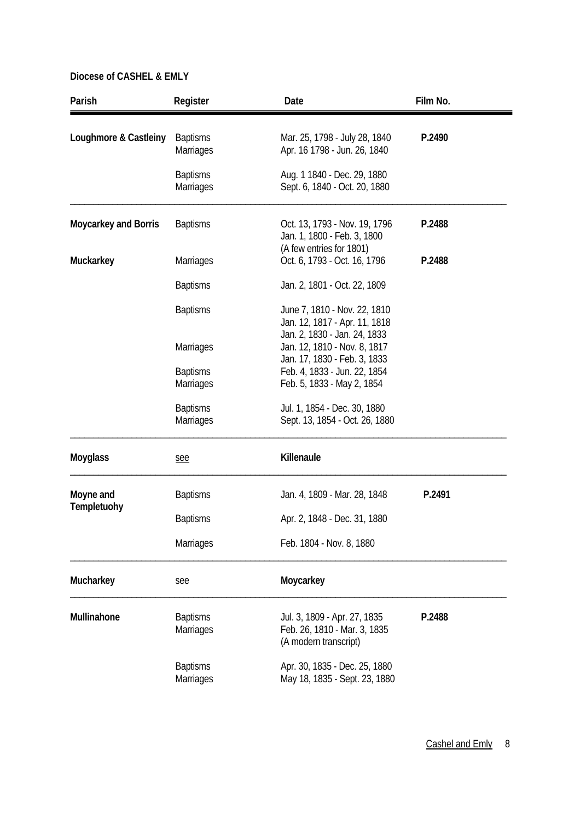| Parish                      | Register                            | Date                                                                                          | Film No. |  |
|-----------------------------|-------------------------------------|-----------------------------------------------------------------------------------------------|----------|--|
| Loughmore & Castleiny       | <b>Baptisms</b><br><b>Marriages</b> | Mar. 25, 1798 - July 28, 1840<br>Apr. 16 1798 - Jun. 26, 1840                                 | P.2490   |  |
|                             | <b>Baptisms</b><br>Marriages        | Aug. 1 1840 - Dec. 29, 1880<br>Sept. 6, 1840 - Oct. 20, 1880                                  |          |  |
| <b>Moycarkey and Borris</b> | <b>Baptisms</b>                     | Oct. 13, 1793 - Nov. 19, 1796<br>Jan. 1, 1800 - Feb. 3, 1800<br>(A few entries for 1801)      | P.2488   |  |
| Muckarkey                   | <b>Marriages</b>                    | Oct. 6, 1793 - Oct. 16, 1796                                                                  | P.2488   |  |
|                             | <b>Baptisms</b>                     | Jan. 2, 1801 - Oct. 22, 1809                                                                  |          |  |
|                             | <b>Baptisms</b>                     | June 7, 1810 - Nov. 22, 1810<br>Jan. 12, 1817 - Apr. 11, 1818<br>Jan. 2, 1830 - Jan. 24, 1833 |          |  |
|                             | Marriages                           | Jan. 12, 1810 - Nov. 8, 1817<br>Jan. 17, 1830 - Feb. 3, 1833                                  |          |  |
|                             | <b>Baptisms</b><br><b>Marriages</b> | Feb. 4, 1833 - Jun. 22, 1854<br>Feb. 5, 1833 - May 2, 1854                                    |          |  |
|                             | <b>Baptisms</b><br>Marriages        | Jul. 1, 1854 - Dec. 30, 1880<br>Sept. 13, 1854 - Oct. 26, 1880                                |          |  |
| <b>Moyglass</b>             | see                                 | Killenaule                                                                                    |          |  |
| Moyne and<br>Templetuohy    | <b>Baptisms</b>                     | Jan. 4, 1809 - Mar. 28, 1848                                                                  | P.2491   |  |
|                             | <b>Baptisms</b>                     | Apr. 2, 1848 - Dec. 31, 1880                                                                  |          |  |
|                             | Marriages                           | Feb. 1804 - Nov. 8, 1880                                                                      |          |  |
| Mucharkey                   | see                                 | Moycarkey                                                                                     |          |  |
| Mullinahone                 | <b>Baptisms</b><br>Marriages        | Jul. 3, 1809 - Apr. 27, 1835<br>Feb. 26, 1810 - Mar. 3, 1835<br>(A modern transcript)         | P.2488   |  |
|                             | <b>Baptisms</b><br><b>Marriages</b> | Apr. 30, 1835 - Dec. 25, 1880<br>May 18, 1835 - Sept. 23, 1880                                |          |  |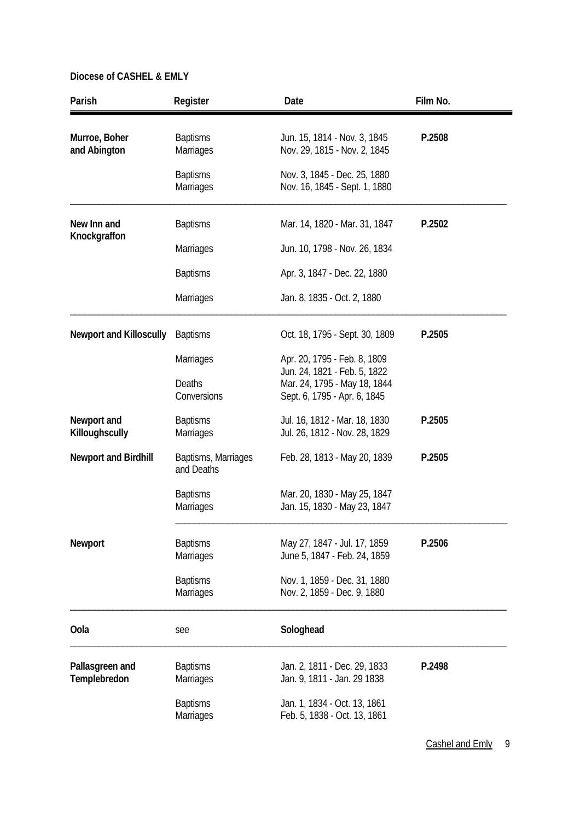| Parish                          | Register                            | Date                                                                                         | Film No. |
|---------------------------------|-------------------------------------|----------------------------------------------------------------------------------------------|----------|
| Murroe, Boher<br>and Abington   | <b>Baptisms</b><br><b>Marriages</b> | Jun. 15, 1814 - Nov. 3, 1845<br>Nov. 29, 1815 - Nov. 2, 1845                                 | P.2508   |
|                                 | <b>Baptisms</b><br><b>Marriages</b> | Nov. 3, 1845 - Dec. 25, 1880<br>Nov. 16, 1845 - Sept. 1, 1880                                |          |
| New Inn and                     | <b>Baptisms</b>                     | Mar. 14, 1820 - Mar. 31, 1847                                                                | P.2502   |
| Knockgraffon                    | <b>Marriages</b>                    | Jun. 10, 1798 - Nov. 26, 1834                                                                |          |
|                                 | <b>Baptisms</b>                     | Apr. 3, 1847 - Dec. 22, 1880                                                                 |          |
|                                 | Marriages                           | Jan. 8, 1835 - Oct. 2, 1880                                                                  |          |
| <b>Newport and Killoscully</b>  | <b>Baptisms</b>                     | Oct. 18, 1795 - Sept. 30, 1809                                                               | P.2505   |
|                                 | <b>Marriages</b>                    | Apr. 20, 1795 - Feb. 8, 1809                                                                 |          |
|                                 | <b>Deaths</b><br>Conversions        | Jun. 24, 1821 - Feb. 5, 1822<br>Mar. 24, 1795 - May 18, 1844<br>Sept. 6, 1795 - Apr. 6, 1845 |          |
| Newport and<br>Killoughscully   | <b>Baptisms</b><br><b>Marriages</b> | Jul. 16, 1812 - Mar. 18, 1830<br>Jul. 26, 1812 - Nov. 28, 1829                               | P.2505   |
| <b>Newport and Birdhill</b>     | Baptisms, Marriages<br>and Deaths   | Feb. 28, 1813 - May 20, 1839                                                                 | P.2505   |
|                                 | <b>Baptisms</b><br><b>Marriages</b> | Mar. 20, 1830 - May 25, 1847<br>Jan. 15, 1830 - May 23, 1847                                 |          |
| Newport                         | <b>Baptisms</b><br>Marriages        | May 27, 1847 - Jul. 17, 1859<br>June 5, 1847 - Feb. 24, 1859                                 | P.2506   |
|                                 | <b>Baptisms</b><br><b>Marriages</b> | Nov. 1, 1859 - Dec. 31, 1880<br>Nov. 2, 1859 - Dec. 9, 1880                                  |          |
| Oola                            | see                                 | Sologhead                                                                                    |          |
| Pallasgreen and<br>Templebredon | <b>Baptisms</b><br><b>Marriages</b> | Jan. 2, 1811 - Dec. 29, 1833<br>Jan. 9, 1811 - Jan. 29 1838                                  | P.2498   |
|                                 | <b>Baptisms</b><br><b>Marriages</b> | Jan. 1, 1834 - Oct. 13, 1861<br>Feb. 5, 1838 - Oct. 13, 1861                                 |          |

Cashel and Emly 9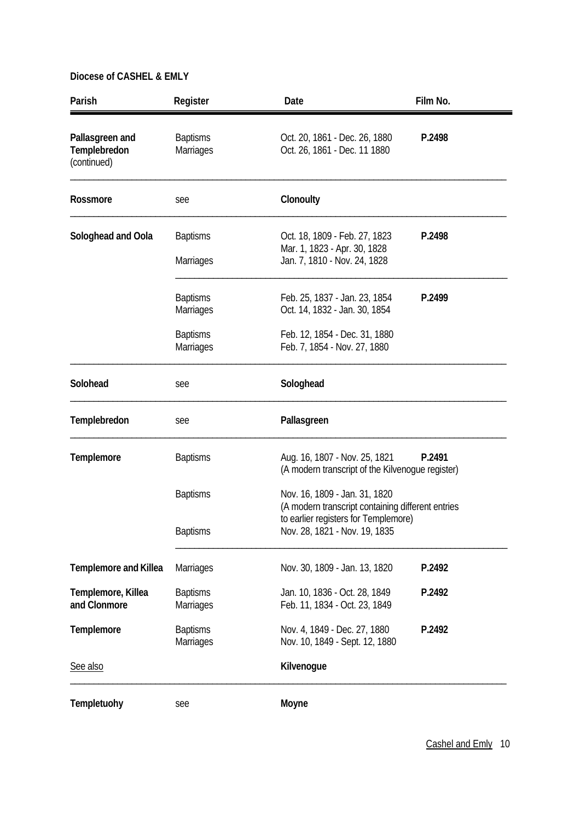| Parish                                         | Register                            | Date                                                                               | Film No. |
|------------------------------------------------|-------------------------------------|------------------------------------------------------------------------------------|----------|
| Pallasgreen and<br>Templebredon<br>(continued) | <b>Baptisms</b><br><b>Marriages</b> | Oct. 20, 1861 - Dec. 26, 1880<br>P.2498<br>Oct. 26, 1861 - Dec. 11 1880            |          |
| Rossmore                                       | see                                 | Clonoulty                                                                          |          |
| Sologhead and Oola                             | <b>Baptisms</b>                     | Oct. 18, 1809 - Feb. 27, 1823<br>Mar. 1, 1823 - Apr. 30, 1828                      | P.2498   |
|                                                | Marriages                           | Jan. 7, 1810 - Nov. 24, 1828                                                       |          |
|                                                | <b>Baptisms</b><br>Marriages        | Feb. 25, 1837 - Jan. 23, 1854<br>Oct. 14, 1832 - Jan. 30, 1854                     | P.2499   |
|                                                | <b>Baptisms</b><br><b>Marriages</b> | Feb. 12, 1854 - Dec. 31, 1880<br>Feb. 7, 1854 - Nov. 27, 1880                      |          |
| Solohead                                       | see                                 | Sologhead                                                                          |          |
| Templebredon                                   | see                                 | Pallasgreen                                                                        |          |
| <b>Templemore</b>                              | <b>Baptisms</b>                     | Aug. 16, 1807 - Nov. 25, 1821<br>(A modern transcript of the Kilvenogue register)  | P.2491   |
|                                                | <b>Baptisms</b>                     | Nov. 16, 1809 - Jan. 31, 1820<br>(A modern transcript containing different entries |          |
|                                                | <b>Baptisms</b>                     | to earlier registers for Templemore)<br>Nov. 28, 1821 - Nov. 19, 1835              |          |
| <b>Templemore and Killea</b>                   | <b>Marriages</b>                    | Nov. 30, 1809 - Jan. 13, 1820                                                      | P.2492   |
| Templemore, Killea<br>and Clonmore             | <b>Baptisms</b><br><b>Marriages</b> | Jan. 10, 1836 - Oct. 28, 1849<br>Feb. 11, 1834 - Oct. 23, 1849                     | P.2492   |
| <b>Templemore</b>                              | <b>Baptisms</b><br>Marriages        | Nov. 4, 1849 - Dec. 27, 1880<br>Nov. 10, 1849 - Sept. 12, 1880                     | P.2492   |
| See also                                       |                                     | Kilvenogue                                                                         |          |
| <b>Templetuohy</b>                             | see                                 | Moyne                                                                              |          |

Cashel and Emly 10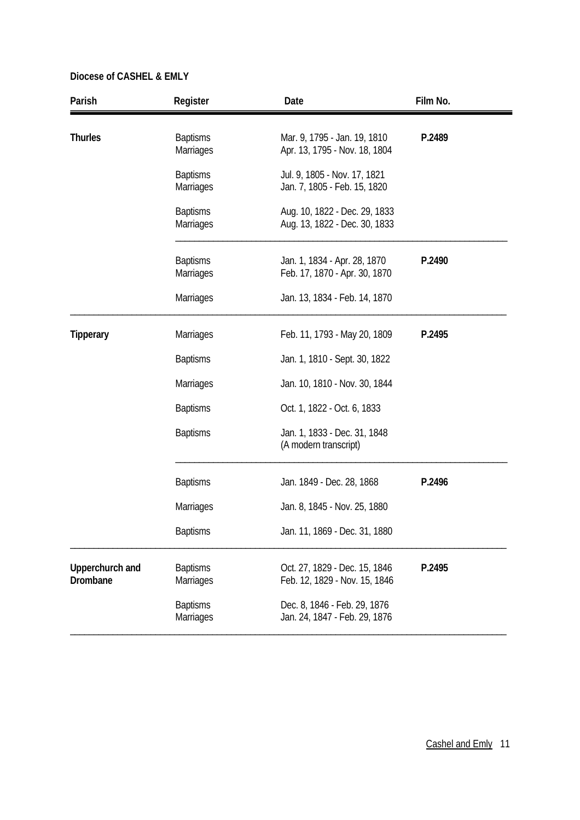| Parish                      | Register                            | Date                                                           | Film No. |
|-----------------------------|-------------------------------------|----------------------------------------------------------------|----------|
| <b>Thurles</b>              | <b>Baptisms</b><br><b>Marriages</b> | Mar. 9, 1795 - Jan. 19, 1810<br>Apr. 13, 1795 - Nov. 18, 1804  | P.2489   |
|                             | <b>Baptisms</b><br>Marriages        | Jul. 9, 1805 - Nov. 17, 1821<br>Jan. 7, 1805 - Feb. 15, 1820   |          |
|                             | <b>Baptisms</b><br>Marriages        | Aug. 10, 1822 - Dec. 29, 1833<br>Aug. 13, 1822 - Dec. 30, 1833 |          |
|                             | <b>Baptisms</b><br>Marriages        | Jan. 1, 1834 - Apr. 28, 1870<br>Feb. 17, 1870 - Apr. 30, 1870  | P.2490   |
|                             | Marriages                           | Jan. 13, 1834 - Feb. 14, 1870                                  |          |
| <b>Tipperary</b>            | <b>Marriages</b>                    | Feb. 11, 1793 - May 20, 1809                                   | P.2495   |
|                             | <b>Baptisms</b>                     | Jan. 1, 1810 - Sept. 30, 1822                                  |          |
|                             | <b>Marriages</b>                    | Jan. 10, 1810 - Nov. 30, 1844                                  |          |
|                             | <b>Baptisms</b>                     | Oct. 1, 1822 - Oct. 6, 1833                                    |          |
|                             | <b>Baptisms</b>                     | Jan. 1, 1833 - Dec. 31, 1848<br>(A modern transcript)          |          |
|                             | <b>Baptisms</b>                     | Jan. 1849 - Dec. 28, 1868                                      | P.2496   |
|                             | <b>Marriages</b>                    | Jan. 8, 1845 - Nov. 25, 1880                                   |          |
|                             | <b>Baptisms</b>                     | Jan. 11, 1869 - Dec. 31, 1880                                  |          |
| Upperchurch and<br>Drombane | <b>Baptisms</b><br><b>Marriages</b> | Oct. 27, 1829 - Dec. 15, 1846<br>Feb. 12, 1829 - Nov. 15, 1846 | P.2495   |
|                             | <b>Baptisms</b><br>Marriages        | Dec. 8, 1846 - Feb. 29, 1876<br>Jan. 24, 1847 - Feb. 29, 1876  |          |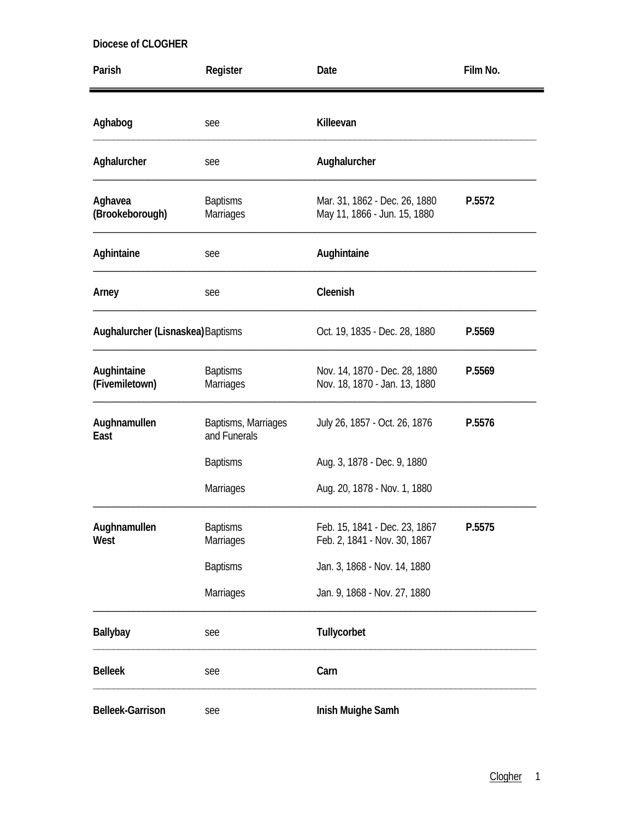| Parish                            | Register                            | Date                                                                    | Film No. |
|-----------------------------------|-------------------------------------|-------------------------------------------------------------------------|----------|
| Aghabog                           | see                                 | Killeevan                                                               |          |
| Aghalurcher                       | see                                 | Aughalurcher                                                            |          |
| Aghavea<br>(Brookeborough)        | <b>Baptisms</b><br>Marriages        | Mar. 31, 1862 - Dec. 26, 1880<br>P.5572<br>May 11, 1866 - Jun. 15, 1880 |          |
| Aghintaine                        | see                                 | Aughintaine                                                             |          |
| Arney                             | see                                 | Cleenish                                                                |          |
| Aughalurcher (Lisnaskea) Baptisms |                                     | Oct. 19, 1835 - Dec. 28, 1880                                           | P.5569   |
| Aughintaine<br>(Fivemiletown)     | <b>Baptisms</b><br><b>Marriages</b> | Nov. 14, 1870 - Dec. 28, 1880<br>Nov. 18, 1870 - Jan. 13, 1880          | P.5569   |
| Aughnamullen<br>East              | Baptisms, Marriages<br>and Funerals | July 26, 1857 - Oct. 26, 1876                                           | P.5576   |
|                                   | <b>Baptisms</b>                     | Aug. 3, 1878 - Dec. 9, 1880                                             |          |
|                                   | Marriages                           | Aug. 20, 1878 - Nov. 1, 1880                                            |          |
| Aughnamullen<br>West              | <b>Baptisms</b><br>Marriages        | Feb. 15, 1841 - Dec. 23, 1867<br>Feb. 2, 1841 - Nov. 30, 1867           | P.5575   |
|                                   | <b>Baptisms</b>                     | Jan. 3, 1868 - Nov. 14, 1880                                            |          |
|                                   | Marriages                           | Jan. 9, 1868 - Nov. 27, 1880                                            |          |
| <b>Ballybay</b>                   | see                                 | Tullycorbet                                                             |          |
| <b>Belleek</b>                    | see                                 | Carn                                                                    |          |
| <b>Belleek-Garrison</b>           | see                                 | Inish Muighe Samh                                                       |          |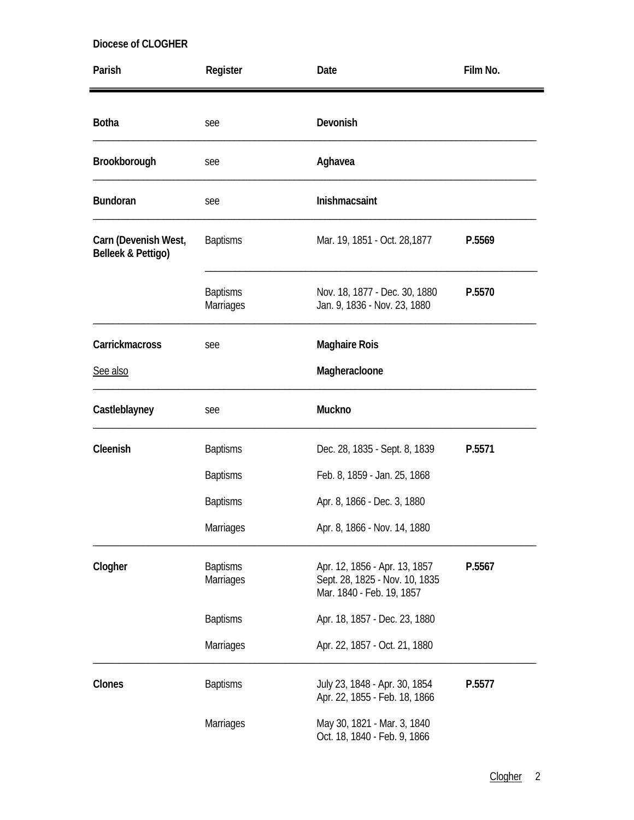| Parish                                     | Register                            | Date                                                                                         | Film No. |
|--------------------------------------------|-------------------------------------|----------------------------------------------------------------------------------------------|----------|
| <b>Botha</b>                               | see                                 | Devonish                                                                                     |          |
| Brookborough                               | see                                 | Aghavea                                                                                      |          |
| <b>Bundoran</b>                            | see                                 | Inishmacsaint                                                                                |          |
| Carn (Devenish West,<br>Belleek & Pettigo) | <b>Baptisms</b>                     | Mar. 19, 1851 - Oct. 28, 1877                                                                | P.5569   |
|                                            | <b>Baptisms</b><br><b>Marriages</b> | Nov. 18, 1877 - Dec. 30, 1880<br>Jan. 9, 1836 - Nov. 23, 1880                                | P.5570   |
| Carrickmacross                             | see                                 | <b>Maghaire Rois</b>                                                                         |          |
| See also                                   |                                     | Magheracloone                                                                                |          |
| Castleblayney                              | see                                 | Muckno                                                                                       |          |
| Cleenish                                   | <b>Baptisms</b>                     | Dec. 28, 1835 - Sept. 8, 1839                                                                | P.5571   |
|                                            | <b>Baptisms</b>                     | Feb. 8, 1859 - Jan. 25, 1868                                                                 |          |
|                                            | <b>Baptisms</b>                     | Apr. 8, 1866 - Dec. 3, 1880                                                                  |          |
|                                            | Marriages                           | Apr. 8, 1866 - Nov. 14, 1880                                                                 |          |
| Clogher                                    | <b>Baptisms</b><br>Marriages        | Apr. 12, 1856 - Apr. 13, 1857<br>Sept. 28, 1825 - Nov. 10, 1835<br>Mar. 1840 - Feb. 19, 1857 | P.5567   |
|                                            | <b>Baptisms</b>                     | Apr. 18, 1857 - Dec. 23, 1880                                                                |          |
|                                            | Marriages                           | Apr. 22, 1857 - Oct. 21, 1880                                                                |          |
| Clones                                     | <b>Baptisms</b>                     | July 23, 1848 - Apr. 30, 1854<br>Apr. 22, 1855 - Feb. 18, 1866                               | P.5577   |
|                                            | Marriages                           | May 30, 1821 - Mar. 3, 1840<br>Oct. 18, 1840 - Feb. 9, 1866                                  |          |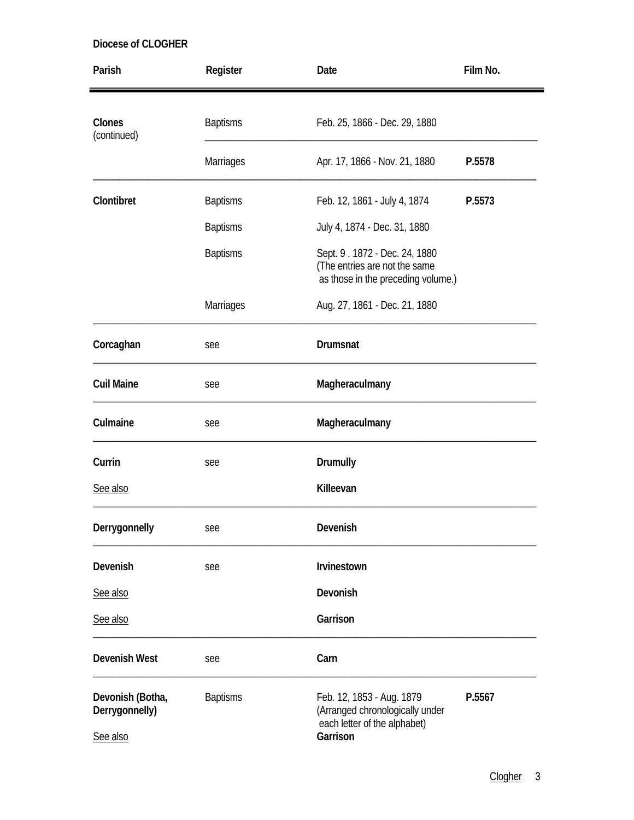| Parish                                         | Register        | Date                                                                                                     | Film No. |  |
|------------------------------------------------|-----------------|----------------------------------------------------------------------------------------------------------|----------|--|
| Clones<br>(continued)                          | <b>Baptisms</b> | Feb. 25, 1866 - Dec. 29, 1880                                                                            |          |  |
|                                                | Marriages       | Apr. 17, 1866 - Nov. 21, 1880                                                                            | P.5578   |  |
| Clontibret                                     | <b>Baptisms</b> | Feb. 12, 1861 - July 4, 1874                                                                             | P.5573   |  |
|                                                | <b>Baptisms</b> | July 4, 1874 - Dec. 31, 1880                                                                             |          |  |
|                                                | <b>Baptisms</b> | Sept. 9. 1872 - Dec. 24, 1880<br>(The entries are not the same<br>as those in the preceding volume.)     |          |  |
|                                                | Marriages       | Aug. 27, 1861 - Dec. 21, 1880                                                                            |          |  |
| Corcaghan                                      | see             | Drumsnat                                                                                                 |          |  |
| <b>Cuil Maine</b>                              | see             | Magheraculmany                                                                                           |          |  |
| Culmaine                                       | see             | Magheraculmany                                                                                           |          |  |
| Currin                                         | see             | Drumully                                                                                                 |          |  |
| See also                                       |                 | Killeevan                                                                                                |          |  |
| Derrygonnelly                                  | see             | Devenish                                                                                                 |          |  |
| Devenish                                       | see             | <b>Irvinestown</b>                                                                                       |          |  |
| See also                                       |                 | Devonish                                                                                                 |          |  |
| See also                                       |                 | Garrison                                                                                                 |          |  |
| <b>Devenish West</b>                           | see             | Carn                                                                                                     |          |  |
| Devonish (Botha,<br>Derrygonnelly)<br>See also | <b>Baptisms</b> | Feb. 12, 1853 - Aug. 1879<br>(Arranged chronologically under<br>each letter of the alphabet)<br>Garrison | P.5567   |  |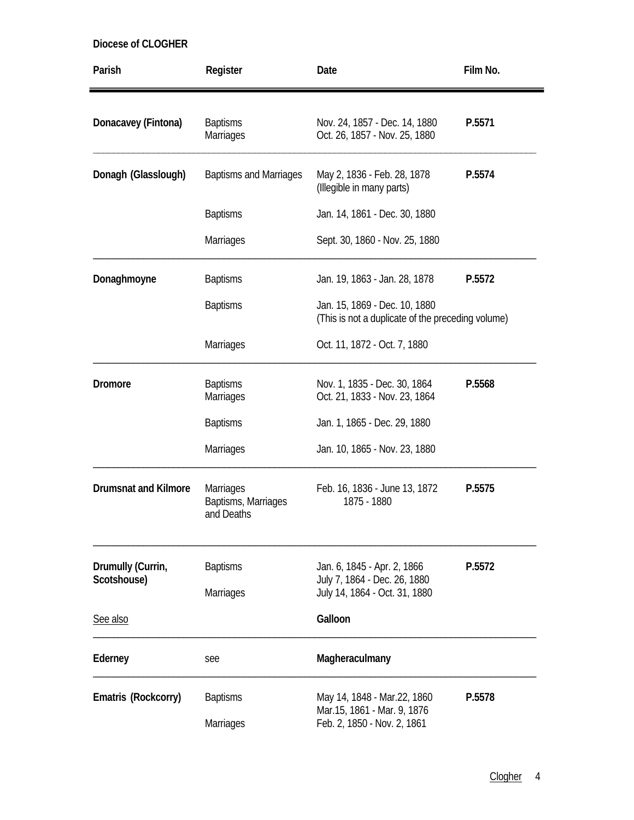| Diocese of CLOGHER |  |  |
|--------------------|--|--|
|--------------------|--|--|

| Parish                      | Register                                              | Date                                                                               | Film No. |
|-----------------------------|-------------------------------------------------------|------------------------------------------------------------------------------------|----------|
| Donacavey (Fintona)         | <b>Baptisms</b><br><b>Marriages</b>                   | Nov. 24, 1857 - Dec. 14, 1880<br>Oct. 26, 1857 - Nov. 25, 1880                     | P.5571   |
| Donagh (Glasslough)         | <b>Baptisms and Marriages</b>                         | May 2, 1836 - Feb. 28, 1878<br>(Illegible in many parts)                           | P.5574   |
|                             | <b>Baptisms</b>                                       | Jan. 14, 1861 - Dec. 30, 1880                                                      |          |
|                             | <b>Marriages</b>                                      | Sept. 30, 1860 - Nov. 25, 1880                                                     |          |
| Donaghmoyne                 | <b>Baptisms</b>                                       | Jan. 19, 1863 - Jan. 28, 1878                                                      | P.5572   |
|                             | <b>Baptisms</b>                                       | Jan. 15, 1869 - Dec. 10, 1880<br>(This is not a duplicate of the preceding volume) |          |
|                             | <b>Marriages</b>                                      | Oct. 11, 1872 - Oct. 7, 1880                                                       |          |
| <b>Dromore</b>              | <b>Baptisms</b><br>Marriages                          | Nov. 1, 1835 - Dec. 30, 1864<br>Oct. 21, 1833 - Nov. 23, 1864                      | P.5568   |
|                             | <b>Baptisms</b>                                       | Jan. 1, 1865 - Dec. 29, 1880                                                       |          |
|                             | Marriages                                             | Jan. 10, 1865 - Nov. 23, 1880                                                      |          |
| <b>Drumsnat and Kilmore</b> | <b>Marriages</b><br>Baptisms, Marriages<br>and Deaths | Feb. 16, 1836 - June 13, 1872<br>1875 - 1880                                       | P.5575   |
| Drumully (Currin,           | <b>Baptisms</b>                                       | Jan. 6, 1845 - Apr. 2, 1866                                                        | P.5572   |
| Scotshouse)                 | Marriages                                             | July 7, 1864 - Dec. 26, 1880<br>July 14, 1864 - Oct. 31, 1880                      |          |
| See also                    |                                                       | Galloon                                                                            |          |
| Ederney                     | see                                                   | Magheraculmany                                                                     |          |
| Ematris (Rockcorry)         | <b>Baptisms</b>                                       | May 14, 1848 - Mar.22, 1860<br>Mar.15, 1861 - Mar. 9, 1876                         | P.5578   |
|                             | Marriages                                             | Feb. 2, 1850 - Nov. 2, 1861                                                        |          |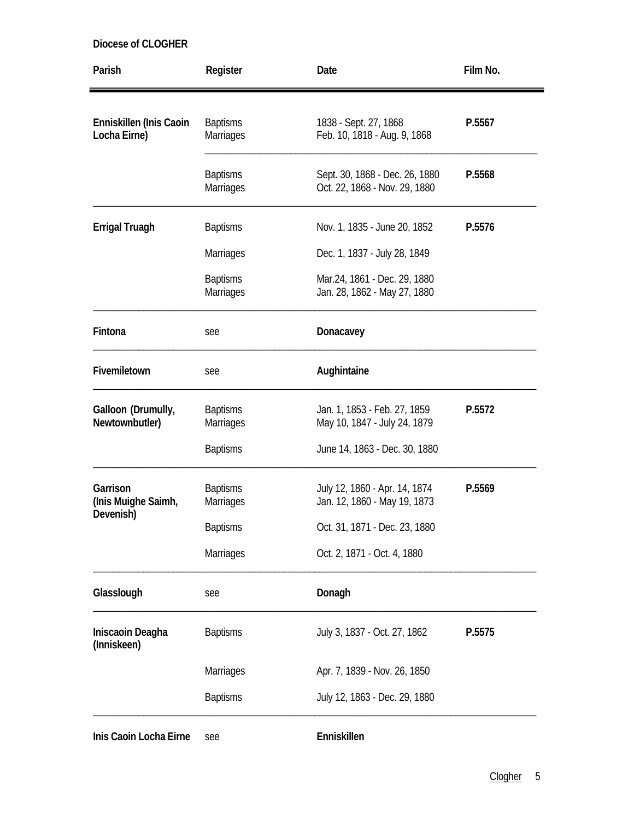| Parish                                  | Register                            | Date                                                            | Film No. |
|-----------------------------------------|-------------------------------------|-----------------------------------------------------------------|----------|
| Enniskillen (Inis Caoin<br>Locha Eirne) | <b>Baptisms</b><br>Marriages        | 1838 - Sept. 27, 1868<br>Feb. 10, 1818 - Aug. 9, 1868           | P.5567   |
|                                         | <b>Baptisms</b><br><b>Marriages</b> | Sept. 30, 1868 - Dec. 26, 1880<br>Oct. 22, 1868 - Nov. 29, 1880 | P.5568   |
| <b>Errigal Truagh</b>                   | <b>Baptisms</b>                     | Nov. 1, 1835 - June 20, 1852                                    | P.5576   |
|                                         | <b>Marriages</b>                    | Dec. 1, 1837 - July 28, 1849                                    |          |
|                                         | <b>Baptisms</b><br><b>Marriages</b> | Mar.24, 1861 - Dec. 29, 1880<br>Jan. 28, 1862 - May 27, 1880    |          |
| Fintona                                 | see                                 | Donacavey                                                       |          |
| Fivemiletown                            | see                                 | Aughintaine                                                     |          |
| Galloon (Drumully,<br>Newtownbutler)    | <b>Baptisms</b><br>Marriages        | Jan. 1, 1853 - Feb. 27, 1859<br>May 10, 1847 - July 24, 1879    | P.5572   |
|                                         | <b>Baptisms</b>                     | June 14, 1863 - Dec. 30, 1880                                   |          |
| Garrison<br>(Inis Muighe Saimh,         | <b>Baptisms</b><br><b>Marriages</b> | July 12, 1860 - Apr. 14, 1874<br>Jan. 12, 1860 - May 19, 1873   | P.5569   |
| Devenish)                               | <b>Baptisms</b>                     | Oct. 31, 1871 - Dec. 23, 1880                                   |          |
|                                         | Marriages                           | Oct. 2, 1871 - Oct. 4, 1880                                     |          |
| Glasslough                              | see                                 | Donagh                                                          |          |
| Iniscaoin Deagha<br>(Inniskeen)         | <b>Baptisms</b>                     | July 3, 1837 - Oct. 27, 1862                                    | P.5575   |
|                                         | <b>Marriages</b>                    | Apr. 7, 1839 - Nov. 26, 1850                                    |          |
|                                         | <b>Baptisms</b>                     | July 12, 1863 - Dec. 29, 1880                                   |          |
| Inis Caoin Locha Eirne                  | see                                 | Enniskillen                                                     |          |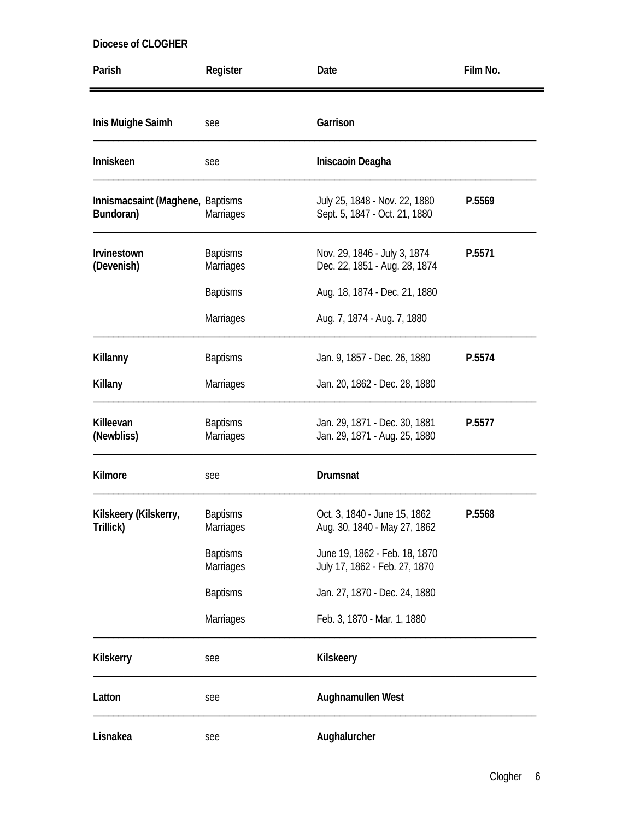| Parish                                        | Register                            | Date                                                           | Film No. |
|-----------------------------------------------|-------------------------------------|----------------------------------------------------------------|----------|
| Inis Muighe Saimh                             | see                                 | Garrison                                                       |          |
| Inniskeen                                     | see                                 | Iniscaoin Deagha                                               |          |
| Innismacsaint (Maghene, Baptisms<br>Bundoran) | Marriages                           | July 25, 1848 - Nov. 22, 1880<br>Sept. 5, 1847 - Oct. 21, 1880 | P.5569   |
| Irvinestown<br>(Devenish)                     | <b>Baptisms</b><br><b>Marriages</b> | Nov. 29, 1846 - July 3, 1874<br>Dec. 22, 1851 - Aug. 28, 1874  | P.5571   |
|                                               | <b>Baptisms</b>                     | Aug. 18, 1874 - Dec. 21, 1880                                  |          |
|                                               | Marriages                           | Aug. 7, 1874 - Aug. 7, 1880                                    |          |
| Killanny                                      | <b>Baptisms</b>                     | Jan. 9, 1857 - Dec. 26, 1880                                   | P.5574   |
| Killany                                       | Marriages                           | Jan. 20, 1862 - Dec. 28, 1880                                  |          |
| Killeevan<br>(Newbliss)                       | <b>Baptisms</b><br>Marriages        | Jan. 29, 1871 - Dec. 30, 1881<br>Jan. 29, 1871 - Aug. 25, 1880 | P.5577   |
| Kilmore                                       | see                                 | Drumsnat                                                       |          |
| Kilskeery (Kilskerry,<br>Trillick)            | <b>Baptisms</b><br>Marriages        | Oct. 3, 1840 - June 15, 1862<br>Aug. 30, 1840 - May 27, 1862   | P.5568   |
|                                               | <b>Baptisms</b><br>Marriages        | June 19, 1862 - Feb. 18, 1870<br>July 17, 1862 - Feb. 27, 1870 |          |
|                                               | <b>Baptisms</b>                     | Jan. 27, 1870 - Dec. 24, 1880                                  |          |
|                                               | Marriages                           | Feb. 3, 1870 - Mar. 1, 1880                                    |          |
| <b>Kilskerry</b>                              | see                                 | Kilskeery                                                      |          |
| Latton                                        | see                                 | Aughnamullen West                                              |          |
| Lisnakea                                      | see                                 | Aughalurcher                                                   |          |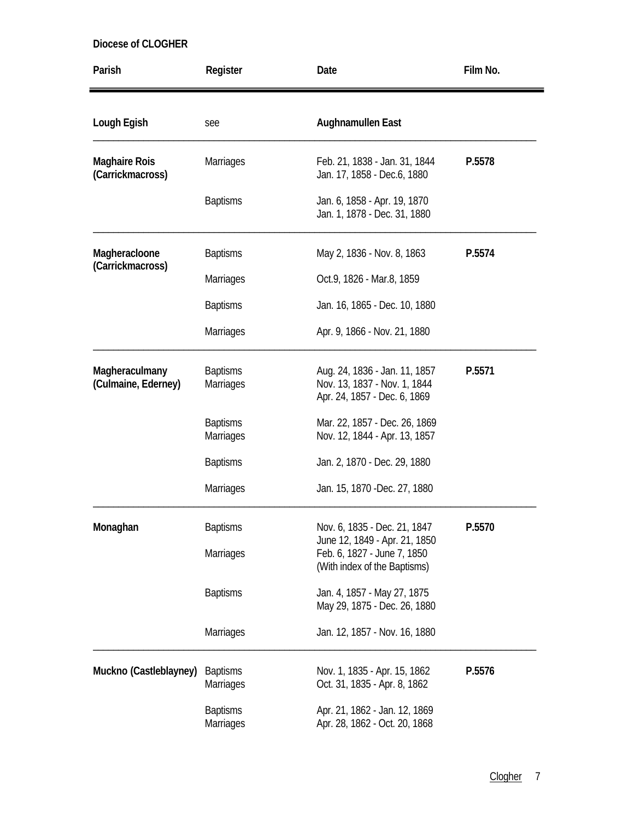| Parish                                   | Register                            | Date                                                                                          | Film No. |
|------------------------------------------|-------------------------------------|-----------------------------------------------------------------------------------------------|----------|
| Lough Egish                              | see                                 | Aughnamullen East                                                                             |          |
| <b>Maghaire Rois</b><br>(Carrickmacross) | <b>Marriages</b>                    | Feb. 21, 1838 - Jan. 31, 1844<br>Jan. 17, 1858 - Dec.6, 1880                                  | P.5578   |
|                                          | <b>Baptisms</b>                     | Jan. 6, 1858 - Apr. 19, 1870<br>Jan. 1, 1878 - Dec. 31, 1880                                  |          |
| Magheracloone<br>(Carrickmacross)        | <b>Baptisms</b>                     | May 2, 1836 - Nov. 8, 1863                                                                    | P.5574   |
|                                          | <b>Marriages</b>                    | Oct.9, 1826 - Mar.8, 1859                                                                     |          |
|                                          | <b>Baptisms</b>                     | Jan. 16, 1865 - Dec. 10, 1880                                                                 |          |
|                                          | Marriages                           | Apr. 9, 1866 - Nov. 21, 1880                                                                  |          |
| Magheraculmany<br>(Culmaine, Ederney)    | <b>Baptisms</b><br><b>Marriages</b> | Aug. 24, 1836 - Jan. 11, 1857<br>Nov. 13, 1837 - Nov. 1, 1844<br>Apr. 24, 1857 - Dec. 6, 1869 | P.5571   |
|                                          | <b>Baptisms</b><br>Marriages        | Mar. 22, 1857 - Dec. 26, 1869<br>Nov. 12, 1844 - Apr. 13, 1857                                |          |
|                                          | <b>Baptisms</b>                     | Jan. 2, 1870 - Dec. 29, 1880                                                                  |          |
|                                          | Marriages                           | Jan. 15, 1870 - Dec. 27, 1880                                                                 |          |
| Monaghan                                 | <b>Baptisms</b>                     | Nov. 6, 1835 - Dec. 21, 1847                                                                  | P.5570   |
|                                          | Marriages                           | June 12, 1849 - Apr. 21, 1850<br>Feb. 6, 1827 - June 7, 1850<br>(With index of the Baptisms)  |          |
|                                          | <b>Baptisms</b>                     | Jan. 4, 1857 - May 27, 1875<br>May 29, 1875 - Dec. 26, 1880                                   |          |
|                                          | Marriages                           | Jan. 12, 1857 - Nov. 16, 1880                                                                 |          |
| Muckno (Castleblayney)                   | <b>Baptisms</b><br>Marriages        | Nov. 1, 1835 - Apr. 15, 1862<br>Oct. 31, 1835 - Apr. 8, 1862                                  | P.5576   |
|                                          | <b>Baptisms</b><br>Marriages        | Apr. 21, 1862 - Jan. 12, 1869<br>Apr. 28, 1862 - Oct. 20, 1868                                |          |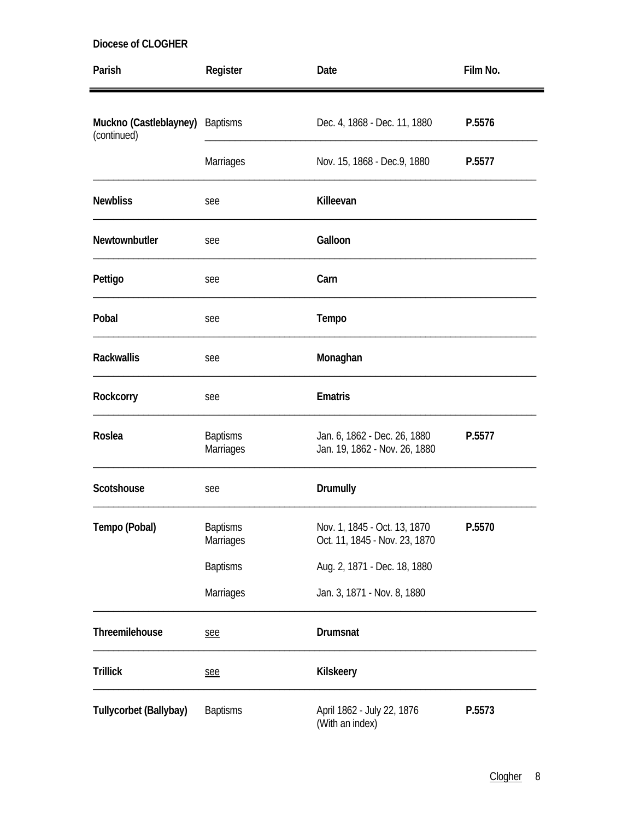| Parish                                         | Register                     | Date                                                          | Film No. |
|------------------------------------------------|------------------------------|---------------------------------------------------------------|----------|
| Muckno (Castleblayney) Baptisms<br>(continued) |                              | Dec. 4, 1868 - Dec. 11, 1880                                  | P.5576   |
|                                                | Marriages                    | Nov. 15, 1868 - Dec.9, 1880                                   | P.5577   |
| <b>Newbliss</b>                                | see                          | Killeevan                                                     |          |
| Newtownbutler                                  | see                          | Galloon                                                       |          |
| Pettigo                                        | see                          | Carn                                                          |          |
| Pobal                                          | see                          | Tempo                                                         |          |
| <b>Rackwallis</b>                              | see                          | Monaghan                                                      |          |
| Rockcorry                                      | see                          | <b>Ematris</b>                                                |          |
| Roslea                                         | <b>Baptisms</b><br>Marriages | Jan. 6, 1862 - Dec. 26, 1880<br>Jan. 19, 1862 - Nov. 26, 1880 | P.5577   |
| Scotshouse                                     | see                          | <b>Drumully</b>                                               |          |
| Tempo (Pobal)                                  | <b>Baptisms</b><br>Marriages | Nov. 1, 1845 - Oct. 13, 1870<br>Oct. 11, 1845 - Nov. 23, 1870 | P.5570   |
|                                                | <b>Baptisms</b>              | Aug. 2, 1871 - Dec. 18, 1880                                  |          |
|                                                | Marriages                    | Jan. 3, 1871 - Nov. 8, 1880                                   |          |
| Threemilehouse                                 | see                          | Drumsnat                                                      |          |
| <b>Trillick</b>                                | see                          | Kilskeery                                                     |          |
| Tullycorbet (Ballybay)                         | <b>Baptisms</b>              | April 1862 - July 22, 1876<br>(With an index)                 | P.5573   |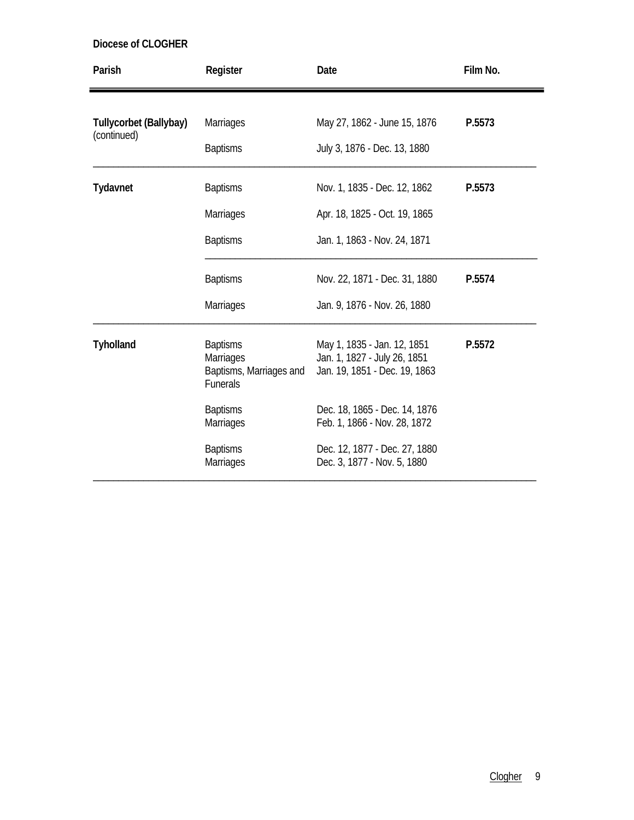| Parish                                | Register                                                                   | Date                                                                                          | Film No. |
|---------------------------------------|----------------------------------------------------------------------------|-----------------------------------------------------------------------------------------------|----------|
| Tullycorbet (Ballybay)<br>(continued) | <b>Marriages</b><br><b>Baptisms</b>                                        | May 27, 1862 - June 15, 1876<br>July 3, 1876 - Dec. 13, 1880                                  | P.5573   |
| Tydavnet                              | <b>Baptisms</b><br><b>Marriages</b><br><b>Baptisms</b>                     | Nov. 1, 1835 - Dec. 12, 1862<br>Apr. 18, 1825 - Oct. 19, 1865<br>Jan. 1, 1863 - Nov. 24, 1871 | P.5573   |
|                                       | <b>Baptisms</b><br><b>Marriages</b>                                        | Nov. 22, 1871 - Dec. 31, 1880<br>Jan. 9, 1876 - Nov. 26, 1880                                 | P.5574   |
| <b>Tyholland</b>                      | <b>Baptisms</b><br>Marriages<br>Baptisms, Marriages and<br><b>Funerals</b> | May 1, 1835 - Jan. 12, 1851<br>Jan. 1, 1827 - July 26, 1851<br>Jan. 19, 1851 - Dec. 19, 1863  | P.5572   |
|                                       | <b>Baptisms</b><br><b>Marriages</b>                                        | Dec. 18, 1865 - Dec. 14, 1876<br>Feb. 1, 1866 - Nov. 28, 1872                                 |          |
|                                       | <b>Baptisms</b><br>Marriages                                               | Dec. 12, 1877 - Dec. 27, 1880<br>Dec. 3, 1877 - Nov. 5, 1880                                  |          |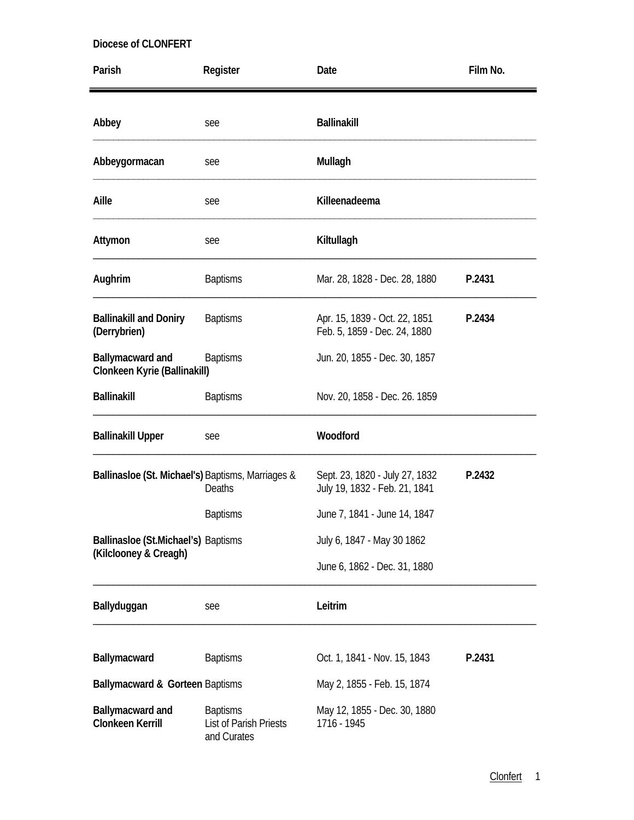| Parish                                            | Register                                                 | Date                                                            | Film No. |
|---------------------------------------------------|----------------------------------------------------------|-----------------------------------------------------------------|----------|
| Abbey                                             | see                                                      | <b>Ballinakill</b>                                              |          |
| Abbeygormacan                                     | see                                                      | Mullagh                                                         |          |
| Aille                                             | see                                                      | Killeenadeema                                                   |          |
| Attymon                                           | see                                                      | Kiltullagh                                                      |          |
| Aughrim                                           | <b>Baptisms</b>                                          | Mar. 28, 1828 - Dec. 28, 1880                                   | P.2431   |
| <b>Ballinakill and Doniry</b><br>(Derrybrien)     | <b>Baptisms</b>                                          | Apr. 15, 1839 - Oct. 22, 1851<br>Feb. 5, 1859 - Dec. 24, 1880   | P.2434   |
| Ballymacward and<br>Clonkeen Kyrie (Ballinakill)  | <b>Baptisms</b>                                          | Jun. 20, 1855 - Dec. 30, 1857                                   |          |
| <b>Ballinakill</b>                                | <b>Baptisms</b>                                          | Nov. 20, 1858 - Dec. 26. 1859                                   |          |
| <b>Ballinakill Upper</b>                          | see                                                      | Woodford                                                        |          |
| Ballinasloe (St. Michael's) Baptisms, Marriages & | <b>Deaths</b>                                            | Sept. 23, 1820 - July 27, 1832<br>July 19, 1832 - Feb. 21, 1841 | P.2432   |
|                                                   | <b>Baptisms</b>                                          | June 7, 1841 - June 14, 1847                                    |          |
| Ballinasloe (St.Michael's) Baptisms               |                                                          | July 6, 1847 - May 30 1862                                      |          |
| (Kilclooney & Creagh)                             |                                                          | June 6, 1862 - Dec. 31, 1880                                    |          |
| Ballyduggan                                       | see                                                      | Leitrim                                                         |          |
| Ballymacward                                      | <b>Baptisms</b>                                          | Oct. 1, 1841 - Nov. 15, 1843                                    | P.2431   |
| Ballymacward & Gorteen Baptisms                   |                                                          | May 2, 1855 - Feb. 15, 1874                                     |          |
| Ballymacward and<br><b>Clonkeen Kerrill</b>       | <b>Baptisms</b><br>List of Parish Priests<br>and Curates | May 12, 1855 - Dec. 30, 1880<br>1716 - 1945                     |          |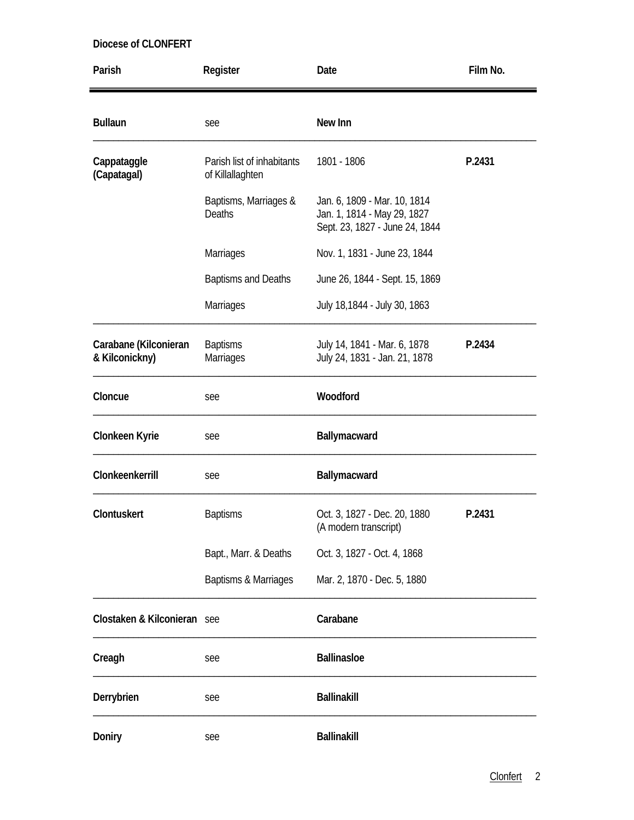| Parish                                  | Register                                       | Date                                                                                          | Film No. |
|-----------------------------------------|------------------------------------------------|-----------------------------------------------------------------------------------------------|----------|
| <b>Bullaun</b>                          | see                                            | New Inn                                                                                       |          |
| Cappataggle<br>(Capatagal)              | Parish list of inhabitants<br>of Killallaghten | 1801 - 1806                                                                                   | P.2431   |
|                                         | Baptisms, Marriages &<br><b>Deaths</b>         | Jan. 6, 1809 - Mar. 10, 1814<br>Jan. 1, 1814 - May 29, 1827<br>Sept. 23, 1827 - June 24, 1844 |          |
|                                         | Marriages                                      | Nov. 1, 1831 - June 23, 1844                                                                  |          |
|                                         | <b>Baptisms and Deaths</b>                     | June 26, 1844 - Sept. 15, 1869                                                                |          |
|                                         | Marriages                                      | July 18,1844 - July 30, 1863                                                                  |          |
| Carabane (Kilconieran<br>& Kilconickny) | <b>Baptisms</b><br>Marriages                   | July 14, 1841 - Mar. 6, 1878<br>July 24, 1831 - Jan. 21, 1878                                 | P.2434   |
| Cloncue                                 | see                                            | Woodford                                                                                      |          |
| Clonkeen Kyrie                          | see                                            | Ballymacward                                                                                  |          |
| Clonkeenkerrill                         | see                                            | Ballymacward                                                                                  |          |
| Clontuskert                             | <b>Baptisms</b>                                | Oct. 3, 1827 - Dec. 20, 1880<br>(A modern transcript)                                         | P.2431   |
|                                         | Bapt., Marr. & Deaths                          | Oct. 3, 1827 - Oct. 4, 1868                                                                   |          |
|                                         | Baptisms & Marriages                           | Mar. 2, 1870 - Dec. 5, 1880                                                                   |          |
| Clostaken & Kilconieran see             |                                                | Carabane                                                                                      |          |
| Creagh                                  | see                                            | <b>Ballinasloe</b>                                                                            |          |
| Derrybrien                              | see                                            | <b>Ballinakill</b>                                                                            |          |
| Doniry                                  | see                                            | <b>Ballinakill</b>                                                                            |          |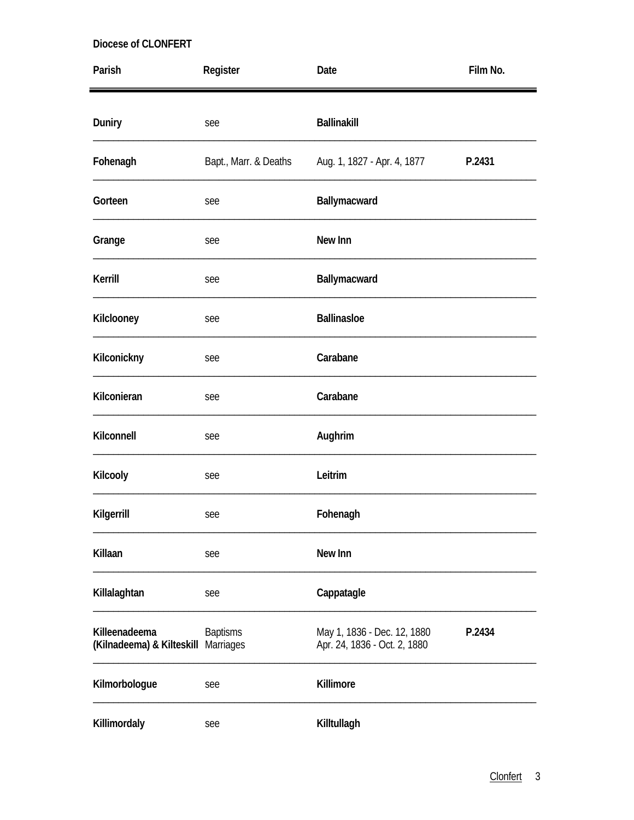| Parish                                               | Register              | Date                                                        | Film No. |
|------------------------------------------------------|-----------------------|-------------------------------------------------------------|----------|
| Duniry                                               | see                   | <b>Ballinakill</b>                                          |          |
| Fohenagh                                             | Bapt., Marr. & Deaths | Aug. 1, 1827 - Apr. 4, 1877                                 | P.2431   |
| Gorteen                                              | see                   | Ballymacward                                                |          |
| Grange                                               | see                   | New Inn                                                     |          |
| Kerrill                                              | see                   | Ballymacward                                                |          |
| Kilclooney                                           | see                   | <b>Ballinasloe</b>                                          |          |
| Kilconickny                                          | see                   | Carabane                                                    |          |
| Kilconieran                                          | see                   | Carabane                                                    |          |
| Kilconnell                                           | see                   | Aughrim                                                     |          |
| Kilcooly                                             | see                   | Leitrim                                                     |          |
| Kilgerrill                                           | see                   | Fohenagh                                                    |          |
| Killaan                                              | see                   | New Inn                                                     |          |
| Killalaghtan                                         | see                   | Cappatagle                                                  |          |
| Killeenadeema<br>(Kilnadeema) & Kilteskill Marriages | <b>Baptisms</b>       | May 1, 1836 - Dec. 12, 1880<br>Apr. 24, 1836 - Oct. 2, 1880 | P.2434   |
| Kilmorbologue                                        | see                   | Killimore                                                   |          |
| Killimordaly                                         | see                   | Killtullagh                                                 |          |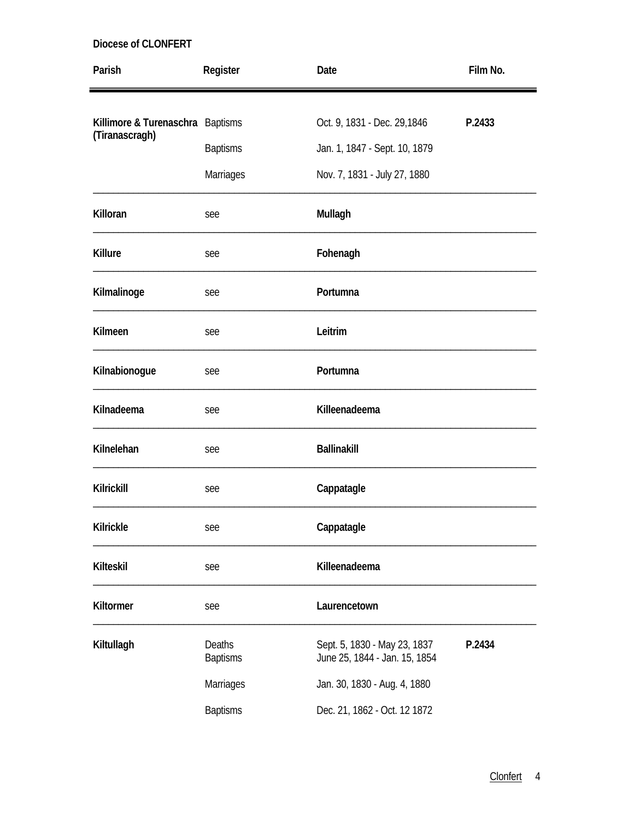| Parish                           | Register                  | Date                                                          | Film No. |
|----------------------------------|---------------------------|---------------------------------------------------------------|----------|
| Killimore & Turenaschra Baptisms |                           | Oct. 9, 1831 - Dec. 29, 1846                                  | P.2433   |
| (Tiranascragh)                   |                           |                                                               |          |
|                                  | <b>Baptisms</b>           | Jan. 1, 1847 - Sept. 10, 1879                                 |          |
|                                  | Marriages                 | Nov. 7, 1831 - July 27, 1880                                  |          |
| Killoran                         | see                       | Mullagh                                                       |          |
| <b>Killure</b>                   | see                       | Fohenagh                                                      |          |
| Kilmalinoge                      | see                       | Portumna                                                      |          |
| Kilmeen                          | see                       | Leitrim                                                       |          |
| Kilnabionogue                    | see                       | Portumna                                                      |          |
| Kilnadeema                       | see                       | Killeenadeema                                                 |          |
| Kilnelehan                       | see                       | <b>Ballinakill</b>                                            |          |
| <b>Kilrickill</b>                | see                       | Cappatagle                                                    |          |
| <b>Kilrickle</b>                 | see                       | Cappatagle                                                    |          |
| <b>Kilteskil</b>                 | see                       | Killeenadeema                                                 |          |
| Kiltormer                        | see                       | Laurencetown                                                  |          |
| Kiltullagh                       | Deaths<br><b>Baptisms</b> | Sept. 5, 1830 - May 23, 1837<br>June 25, 1844 - Jan. 15, 1854 | P.2434   |
|                                  | Marriages                 | Jan. 30, 1830 - Aug. 4, 1880                                  |          |
|                                  | <b>Baptisms</b>           | Dec. 21, 1862 - Oct. 12 1872                                  |          |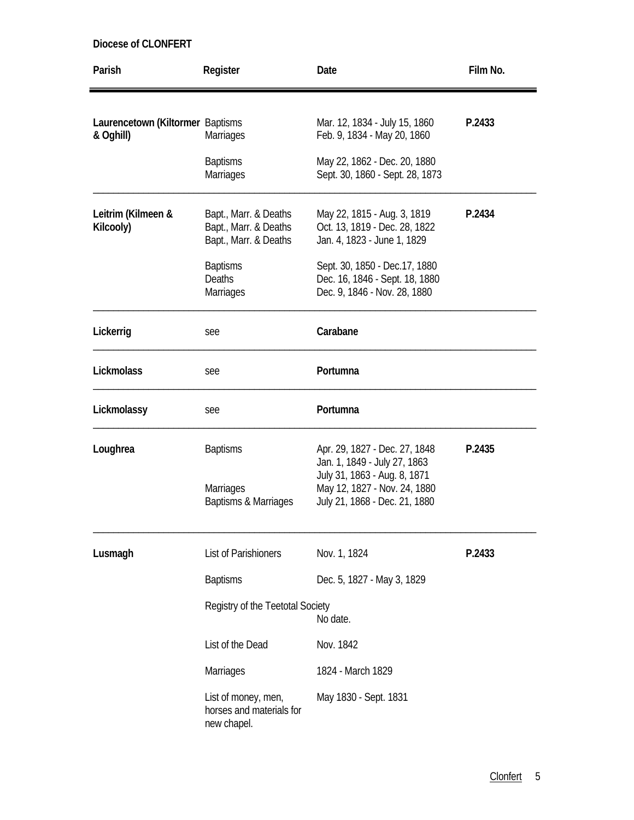| Parish                                        | Register                                                                | Date                                                                                             | Film No. |
|-----------------------------------------------|-------------------------------------------------------------------------|--------------------------------------------------------------------------------------------------|----------|
| Laurencetown (Kiltormer Baptisms<br>& Oghill) | Marriages                                                               | Mar. 12, 1834 - July 15, 1860<br>Feb. 9, 1834 - May 20, 1860                                     | P.2433   |
|                                               | <b>Baptisms</b><br><b>Marriages</b>                                     | May 22, 1862 - Dec. 20, 1880<br>Sept. 30, 1860 - Sept. 28, 1873                                  |          |
| Leitrim (Kilmeen &<br>Kilcooly)               | Bapt., Marr. & Deaths<br>Bapt., Marr. & Deaths<br>Bapt., Marr. & Deaths | May 22, 1815 - Aug. 3, 1819<br>Oct. 13, 1819 - Dec. 28, 1822<br>Jan. 4, 1823 - June 1, 1829      | P.2434   |
|                                               | <b>Baptisms</b><br><b>Deaths</b><br><b>Marriages</b>                    | Sept. 30, 1850 - Dec. 17, 1880<br>Dec. 16, 1846 - Sept. 18, 1880<br>Dec. 9, 1846 - Nov. 28, 1880 |          |
| Lickerrig                                     | see                                                                     | Carabane                                                                                         |          |
| Lickmolass                                    | see                                                                     | Portumna                                                                                         |          |
| Lickmolassy                                   | see                                                                     | Portumna                                                                                         |          |
| Loughrea                                      | <b>Baptisms</b>                                                         | Apr. 29, 1827 - Dec. 27, 1848<br>Jan. 1, 1849 - July 27, 1863<br>July 31, 1863 - Aug. 8, 1871    | P.2435   |
|                                               | Marriages<br>Baptisms & Marriages                                       | May 12, 1827 - Nov. 24, 1880<br>July 21, 1868 - Dec. 21, 1880                                    |          |
| Lusmagh                                       | List of Parishioners                                                    | Nov. 1, 1824                                                                                     | P.2433   |
|                                               | <b>Baptisms</b>                                                         | Dec. 5, 1827 - May 3, 1829                                                                       |          |
|                                               | Registry of the Teetotal Society                                        | No date.                                                                                         |          |
|                                               | List of the Dead                                                        | Nov. 1842                                                                                        |          |
|                                               | Marriages                                                               | 1824 - March 1829                                                                                |          |
|                                               | List of money, men,<br>horses and materials for<br>new chapel.          | May 1830 - Sept. 1831                                                                            |          |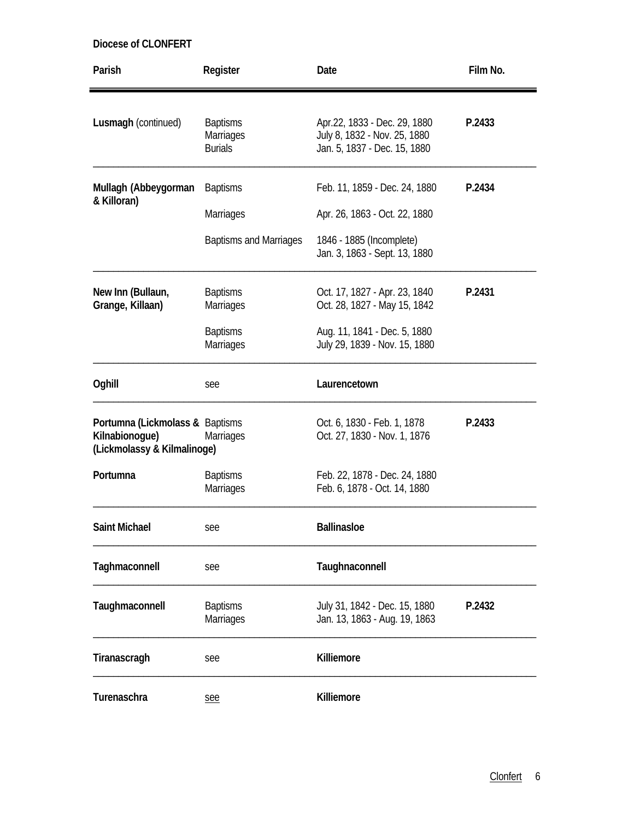| Parish                                                                           | Register                                                             | Date                                                                                                                           | Film No. |
|----------------------------------------------------------------------------------|----------------------------------------------------------------------|--------------------------------------------------------------------------------------------------------------------------------|----------|
| Lusmagh (continued)                                                              | <b>Baptisms</b><br><b>Marriages</b><br><b>Burials</b>                | Apr.22, 1833 - Dec. 29, 1880<br>July 8, 1832 - Nov. 25, 1880<br>Jan. 5, 1837 - Dec. 15, 1880                                   | P.2433   |
| Mullagh (Abbeygorman<br>& Killoran)                                              | <b>Baptisms</b><br><b>Marriages</b><br><b>Baptisms and Marriages</b> | Feb. 11, 1859 - Dec. 24, 1880<br>Apr. 26, 1863 - Oct. 22, 1880<br>1846 - 1885 (Incomplete)<br>Jan. 3, 1863 - Sept. 13, 1880    | P.2434   |
| New Inn (Bullaun,<br>Grange, Killaan)                                            | <b>Baptisms</b><br><b>Marriages</b><br><b>Baptisms</b><br>Marriages  | Oct. 17, 1827 - Apr. 23, 1840<br>Oct. 28, 1827 - May 15, 1842<br>Aug. 11, 1841 - Dec. 5, 1880<br>July 29, 1839 - Nov. 15, 1880 | P.2431   |
| Oghill                                                                           | see                                                                  | Laurencetown                                                                                                                   |          |
| Portumna (Lickmolass & Baptisms<br>Kilnabionogue)<br>(Lickmolassy & Kilmalinoge) | Marriages                                                            | Oct. 6, 1830 - Feb. 1, 1878<br>Oct. 27, 1830 - Nov. 1, 1876                                                                    | P.2433   |
| Portumna                                                                         | <b>Baptisms</b><br>Marriages                                         | Feb. 22, 1878 - Dec. 24, 1880<br>Feb. 6, 1878 - Oct. 14, 1880                                                                  |          |
| Saint Michael                                                                    | see                                                                  | <b>Ballinasloe</b>                                                                                                             |          |
| Taghmaconnell                                                                    | see                                                                  | Taughnaconnell                                                                                                                 |          |
| Taughmaconnell                                                                   | <b>Baptisms</b><br>Marriages                                         | July 31, 1842 - Dec. 15, 1880<br>Jan. 13, 1863 - Aug. 19, 1863                                                                 | P.2432   |
| Tiranascragh                                                                     | see                                                                  | Killiemore                                                                                                                     |          |
| Turenaschra                                                                      | see                                                                  | Killiemore                                                                                                                     |          |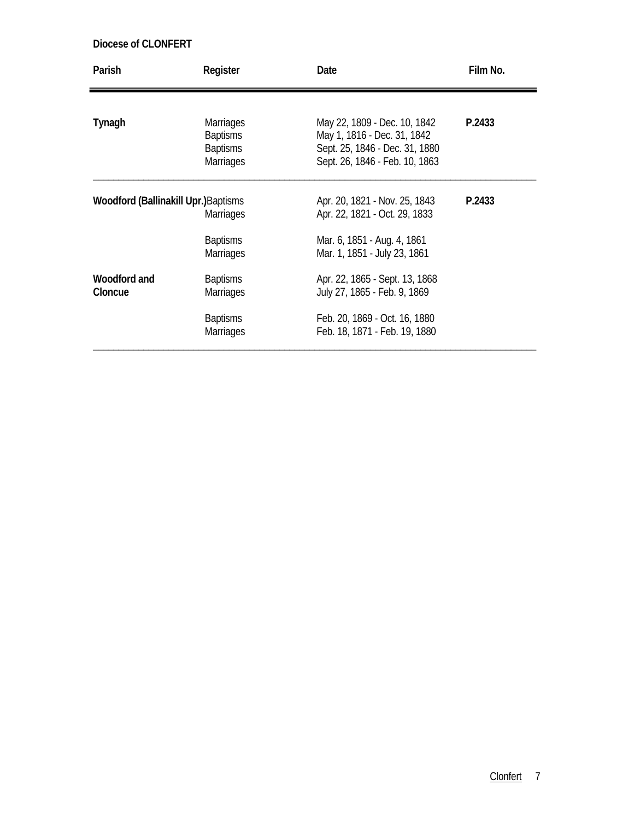| Parish                                      | Register                                                                   | Date                                                                                                                            | Film No. |
|---------------------------------------------|----------------------------------------------------------------------------|---------------------------------------------------------------------------------------------------------------------------------|----------|
|                                             |                                                                            |                                                                                                                                 |          |
| Tynagh                                      | <b>Marriages</b><br><b>Baptisms</b><br><b>Baptisms</b><br><b>Marriages</b> | May 22, 1809 - Dec. 10, 1842<br>May 1, 1816 - Dec. 31, 1842<br>Sept. 25, 1846 - Dec. 31, 1880<br>Sept. 26, 1846 - Feb. 10, 1863 | P.2433   |
| <b>Woodford (Ballinakill Upr.)</b> Baptisms | <b>Marriages</b>                                                           | Apr. 20, 1821 - Nov. 25, 1843<br>Apr. 22, 1821 - Oct. 29, 1833                                                                  | P.2433   |
|                                             | <b>Baptisms</b><br><b>Marriages</b>                                        | Mar. 6, 1851 - Aug. 4, 1861<br>Mar. 1, 1851 - July 23, 1861                                                                     |          |
| Woodford and<br>Cloncue                     | <b>Baptisms</b><br><b>Marriages</b>                                        | Apr. 22, 1865 - Sept. 13, 1868<br>July 27, 1865 - Feb. 9, 1869                                                                  |          |
|                                             | <b>Baptisms</b><br><b>Marriages</b>                                        | Feb. 20, 1869 - Oct. 16, 1880<br>Feb. 18, 1871 - Feb. 19, 1880                                                                  |          |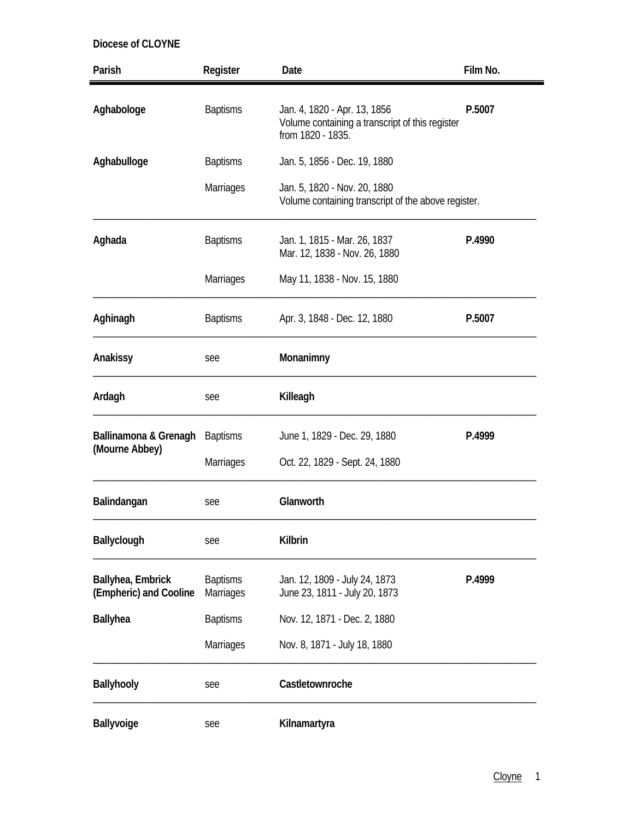| Parish                                      | Register                            | Date                                                                                                 | Film No. |
|---------------------------------------------|-------------------------------------|------------------------------------------------------------------------------------------------------|----------|
| Aghabologe                                  | <b>Baptisms</b>                     | Jan. 4, 1820 - Apr. 13, 1856<br>Volume containing a transcript of this register<br>from 1820 - 1835. | P.5007   |
| Aghabulloge                                 | <b>Baptisms</b>                     | Jan. 5, 1856 - Dec. 19, 1880                                                                         |          |
|                                             | <b>Marriages</b>                    | Jan. 5, 1820 - Nov. 20, 1880<br>Volume containing transcript of the above register.                  |          |
| Aghada                                      | <b>Baptisms</b>                     | Jan. 1, 1815 - Mar. 26, 1837<br>Mar. 12, 1838 - Nov. 26, 1880                                        | P.4990   |
|                                             | Marriages                           | May 11, 1838 - Nov. 15, 1880                                                                         |          |
| Aghinagh                                    | <b>Baptisms</b>                     | Apr. 3, 1848 - Dec. 12, 1880                                                                         | P.5007   |
| Anakissy                                    | see                                 | Monanimny                                                                                            |          |
| Ardagh                                      | see                                 | Killeagh                                                                                             |          |
| Ballinamona & Grenagh                       | <b>Baptisms</b>                     | June 1, 1829 - Dec. 29, 1880                                                                         | P.4999   |
| (Mourne Abbey)                              | Marriages                           | Oct. 22, 1829 - Sept. 24, 1880                                                                       |          |
| Balindangan                                 | see                                 | Glanworth                                                                                            |          |
| <b>Ballyclough</b>                          | see                                 | Kilbrin                                                                                              |          |
| Ballyhea, Embrick<br>(Empheric) and Cooline | <b>Baptisms</b><br><b>Marriages</b> | Jan. 12, 1809 - July 24, 1873<br>June 23, 1811 - July 20, 1873                                       | P.4999   |
| <b>Ballyhea</b>                             | <b>Baptisms</b>                     | Nov. 12, 1871 - Dec. 2, 1880                                                                         |          |
|                                             | <b>Marriages</b>                    | Nov. 8, 1871 - July 18, 1880                                                                         |          |
| Ballyhooly                                  | see                                 | Castletownroche                                                                                      |          |
| Ballyvoige                                  | see                                 | Kilnamartyra                                                                                         |          |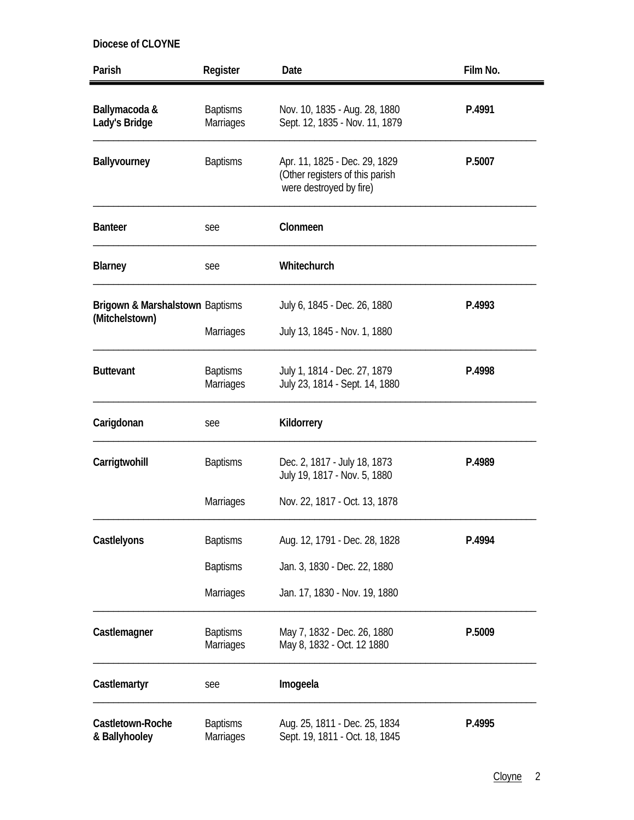| Parish                                                       | Register                            | Date                                                                                        | Film No. |
|--------------------------------------------------------------|-------------------------------------|---------------------------------------------------------------------------------------------|----------|
| Ballymacoda &<br>Lady's Bridge                               | <b>Baptisms</b><br>Marriages        | Nov. 10, 1835 - Aug. 28, 1880<br>Sept. 12, 1835 - Nov. 11, 1879                             | P.4991   |
| Ballyvourney                                                 | <b>Baptisms</b>                     | Apr. 11, 1825 - Dec. 29, 1829<br>(Other registers of this parish<br>were destroyed by fire) | P.5007   |
| <b>Banteer</b>                                               | see                                 | Clonmeen                                                                                    |          |
| <b>Blarney</b>                                               | see                                 | Whitechurch                                                                                 |          |
| <b>Brigown &amp; Marshalstown Baptisms</b><br>(Mitchelstown) | <b>Marriages</b>                    | July 6, 1845 - Dec. 26, 1880<br>July 13, 1845 - Nov. 1, 1880                                | P.4993   |
| <b>Buttevant</b>                                             | <b>Baptisms</b><br>Marriages        | July 1, 1814 - Dec. 27, 1879<br>July 23, 1814 - Sept. 14, 1880                              | P.4998   |
| Carigdonan                                                   | see                                 | Kildorrery                                                                                  |          |
| Carrigtwohill                                                | <b>Baptisms</b>                     | Dec. 2, 1817 - July 18, 1873<br>July 19, 1817 - Nov. 5, 1880                                | P.4989   |
|                                                              | <b>Marriages</b>                    | Nov. 22, 1817 - Oct. 13, 1878                                                               |          |
| Castlelyons                                                  | <b>Baptisms</b>                     | Aug. 12, 1791 - Dec. 28, 1828                                                               | P.4994   |
|                                                              | <b>Baptisms</b>                     | Jan. 3, 1830 - Dec. 22, 1880                                                                |          |
|                                                              | Marriages                           | Jan. 17, 1830 - Nov. 19, 1880                                                               |          |
| Castlemagner                                                 | <b>Baptisms</b><br>Marriages        | May 7, 1832 - Dec. 26, 1880<br>May 8, 1832 - Oct. 12 1880                                   | P.5009   |
| Castlemartyr                                                 | see                                 | Imogeela                                                                                    |          |
| Castletown-Roche<br>& Ballyhooley                            | <b>Baptisms</b><br><b>Marriages</b> | Aug. 25, 1811 - Dec. 25, 1834<br>Sept. 19, 1811 - Oct. 18, 1845                             | P.4995   |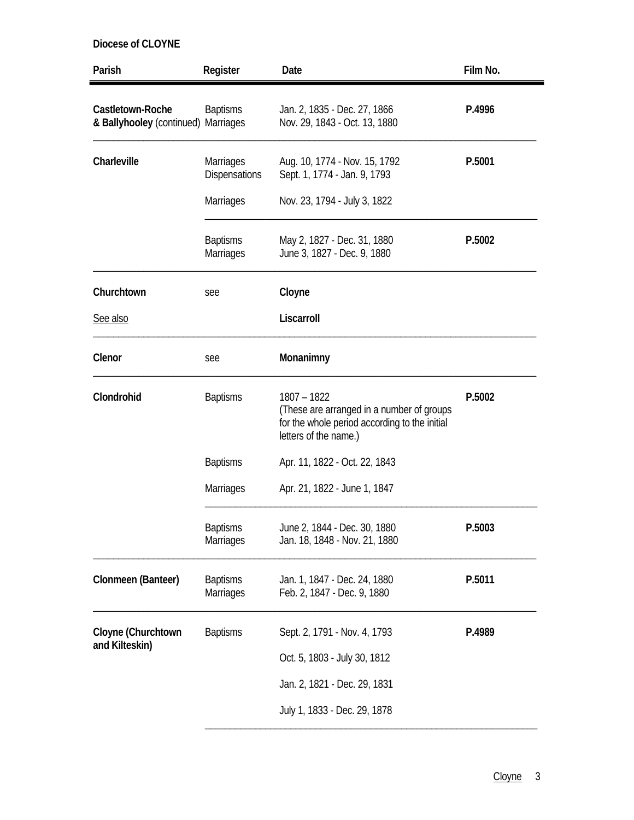| Parish                                                  | Register                                 | Date                                                                                                                                 | Film No. |
|---------------------------------------------------------|------------------------------------------|--------------------------------------------------------------------------------------------------------------------------------------|----------|
| Castletown-Roche<br>& Ballyhooley (continued) Marriages | <b>Baptisms</b>                          | Jan. 2, 1835 - Dec. 27, 1866<br>Nov. 29, 1843 - Oct. 13, 1880                                                                        | P.4996   |
| Charleville                                             | <b>Marriages</b><br><b>Dispensations</b> | Aug. 10, 1774 - Nov. 15, 1792<br>Sept. 1, 1774 - Jan. 9, 1793                                                                        | P.5001   |
|                                                         | <b>Marriages</b>                         | Nov. 23, 1794 - July 3, 1822                                                                                                         |          |
|                                                         | <b>Baptisms</b><br>Marriages             | May 2, 1827 - Dec. 31, 1880<br>June 3, 1827 - Dec. 9, 1880                                                                           | P.5002   |
| Churchtown                                              | see                                      | Cloyne                                                                                                                               |          |
| See also                                                |                                          | Liscarroll                                                                                                                           |          |
| Clenor                                                  | see                                      | Monanimny                                                                                                                            |          |
| Clondrohid                                              | <b>Baptisms</b>                          | $1807 - 1822$<br>(These are arranged in a number of groups<br>for the whole period according to the initial<br>letters of the name.) | P.5002   |
|                                                         | <b>Baptisms</b>                          | Apr. 11, 1822 - Oct. 22, 1843                                                                                                        |          |
|                                                         | <b>Marriages</b>                         | Apr. 21, 1822 - June 1, 1847                                                                                                         |          |
|                                                         | <b>Baptisms</b><br>Marriages             | June 2, 1844 - Dec. 30, 1880<br>Jan. 18, 1848 - Nov. 21, 1880                                                                        | P.5003   |
| Clonmeen (Banteer)                                      | <b>Baptisms</b><br>Marriages             | Jan. 1, 1847 - Dec. 24, 1880<br>Feb. 2, 1847 - Dec. 9, 1880                                                                          | P.5011   |
| Cloyne (Churchtown                                      | <b>Baptisms</b>                          | Sept. 2, 1791 - Nov. 4, 1793                                                                                                         | P.4989   |
| and Kilteskin)                                          |                                          | Oct. 5, 1803 - July 30, 1812                                                                                                         |          |
|                                                         |                                          | Jan. 2, 1821 - Dec. 29, 1831                                                                                                         |          |
|                                                         |                                          | July 1, 1833 - Dec. 29, 1878                                                                                                         |          |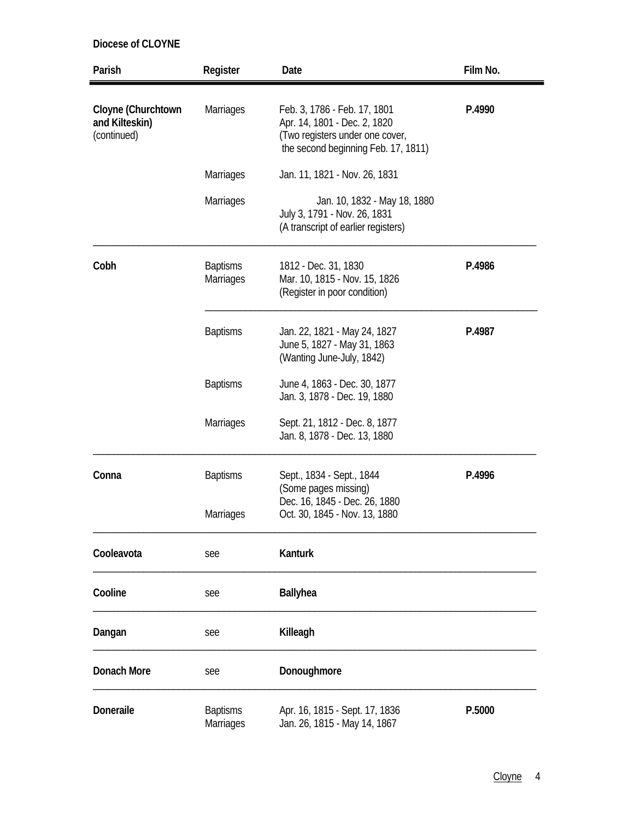| Parish                                              | Register                            | Date                                                                                                                                   | Film No. |
|-----------------------------------------------------|-------------------------------------|----------------------------------------------------------------------------------------------------------------------------------------|----------|
| Cloyne (Churchtown<br>and Kilteskin)<br>(continued) | Marriages                           | Feb. 3, 1786 - Feb. 17, 1801<br>Apr. 14, 1801 - Dec. 2, 1820<br>(Two registers under one cover,<br>the second beginning Feb. 17, 1811) | P.4990   |
|                                                     | <b>Marriages</b>                    | Jan. 11, 1821 - Nov. 26, 1831                                                                                                          |          |
|                                                     | <b>Marriages</b>                    | Jan. 10, 1832 - May 18, 1880<br>July 3, 1791 - Nov. 26, 1831<br>(A transcript of earlier registers)                                    |          |
| Cobh                                                | <b>Baptisms</b><br>Marriages        | 1812 - Dec. 31, 1830<br>Mar. 10, 1815 - Nov. 15, 1826<br>(Register in poor condition)                                                  | P.4986   |
|                                                     | <b>Baptisms</b>                     | Jan. 22, 1821 - May 24, 1827<br>June 5, 1827 - May 31, 1863<br>(Wanting June-July, 1842)                                               | P.4987   |
|                                                     | <b>Baptisms</b>                     | June 4, 1863 - Dec. 30, 1877<br>Jan. 3, 1878 - Dec. 19, 1880                                                                           |          |
|                                                     | <b>Marriages</b>                    | Sept. 21, 1812 - Dec. 8, 1877<br>Jan. 8, 1878 - Dec. 13, 1880                                                                          |          |
| Conna                                               | <b>Baptisms</b>                     | Sept., 1834 - Sept., 1844<br>(Some pages missing)<br>Dec. 16, 1845 - Dec. 26, 1880                                                     | P.4996   |
|                                                     | <b>Marriages</b>                    | Oct. 30, 1845 - Nov. 13, 1880                                                                                                          |          |
| Cooleavota                                          | see                                 | Kanturk                                                                                                                                |          |
| Cooline                                             | see                                 | <b>Ballyhea</b>                                                                                                                        |          |
| Dangan                                              | see                                 | Killeagh                                                                                                                               |          |
| Donach More                                         | see                                 | Donoughmore                                                                                                                            |          |
| Doneraile                                           | <b>Baptisms</b><br><b>Marriages</b> | Apr. 16, 1815 - Sept. 17, 1836<br>Jan. 26, 1815 - May 14, 1867                                                                         | P.5000   |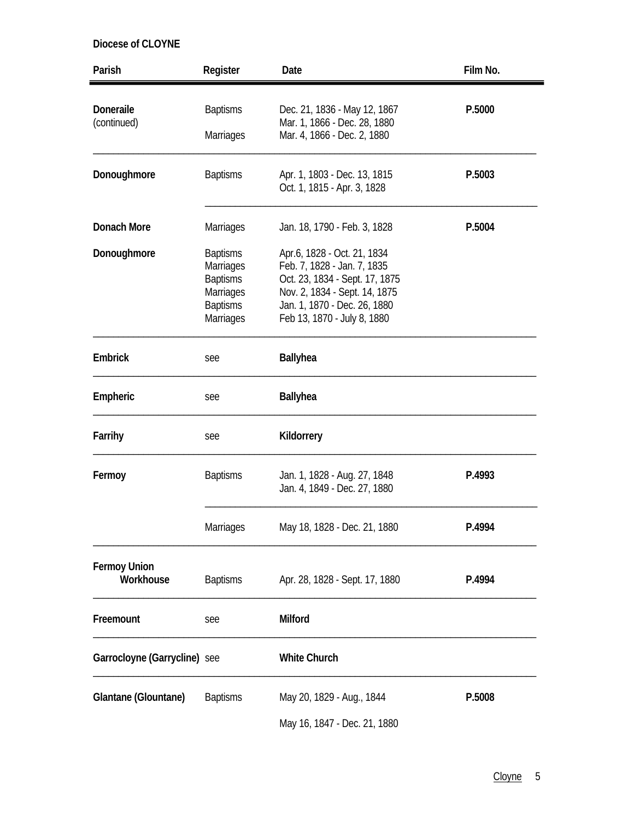| Parish                           | Register                                                                                                   | Date                                                                                                                                                                                         | Film No. |
|----------------------------------|------------------------------------------------------------------------------------------------------------|----------------------------------------------------------------------------------------------------------------------------------------------------------------------------------------------|----------|
| Doneraile<br>(continued)         | <b>Baptisms</b>                                                                                            | Dec. 21, 1836 - May 12, 1867<br>Mar. 1, 1866 - Dec. 28, 1880                                                                                                                                 | P.5000   |
|                                  | <b>Marriages</b>                                                                                           | Mar. 4, 1866 - Dec. 2, 1880                                                                                                                                                                  |          |
| Donoughmore                      | <b>Baptisms</b>                                                                                            | Apr. 1, 1803 - Dec. 13, 1815<br>Oct. 1, 1815 - Apr. 3, 1828                                                                                                                                  | P.5003   |
| <b>Donach More</b>               | Marriages                                                                                                  | Jan. 18, 1790 - Feb. 3, 1828                                                                                                                                                                 | P.5004   |
| Donoughmore                      | <b>Baptisms</b><br><b>Marriages</b><br><b>Baptisms</b><br><b>Marriages</b><br><b>Baptisms</b><br>Marriages | Apr.6, 1828 - Oct. 21, 1834<br>Feb. 7, 1828 - Jan. 7, 1835<br>Oct. 23, 1834 - Sept. 17, 1875<br>Nov. 2, 1834 - Sept. 14, 1875<br>Jan. 1, 1870 - Dec. 26, 1880<br>Feb 13, 1870 - July 8, 1880 |          |
| Embrick                          | see                                                                                                        | <b>Ballyhea</b>                                                                                                                                                                              |          |
| Empheric                         | see                                                                                                        | <b>Ballyhea</b>                                                                                                                                                                              |          |
| Farrihy                          | see                                                                                                        | Kildorrery                                                                                                                                                                                   |          |
| Fermoy                           | <b>Baptisms</b>                                                                                            | Jan. 1, 1828 - Aug. 27, 1848<br>Jan. 4, 1849 - Dec. 27, 1880                                                                                                                                 | P.4993   |
|                                  | Marriages                                                                                                  | May 18, 1828 - Dec. 21, 1880                                                                                                                                                                 | P.4994   |
| <b>Fermoy Union</b><br>Workhouse | <b>Baptisms</b>                                                                                            | Apr. 28, 1828 - Sept. 17, 1880                                                                                                                                                               | P.4994   |
| Freemount                        | see                                                                                                        | <b>Milford</b>                                                                                                                                                                               |          |
| Garrocloyne (Garrycline) see     |                                                                                                            | <b>White Church</b>                                                                                                                                                                          |          |
| Glantane (Glountane)             | <b>Baptisms</b>                                                                                            | May 20, 1829 - Aug., 1844                                                                                                                                                                    | P.5008   |
|                                  |                                                                                                            | May 16, 1847 - Dec. 21, 1880                                                                                                                                                                 |          |

Cloyne 5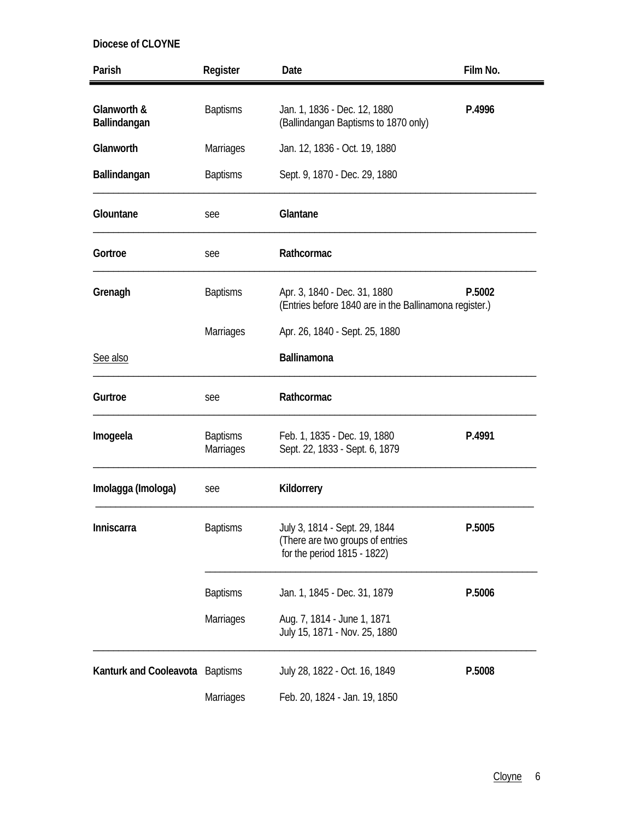| Parish                          | Register                            | Date                                                                                             | Film No. |
|---------------------------------|-------------------------------------|--------------------------------------------------------------------------------------------------|----------|
| Glanworth &<br>Ballindangan     | <b>Baptisms</b>                     | Jan. 1, 1836 - Dec. 12, 1880<br>(Ballindangan Baptisms to 1870 only)                             | P.4996   |
| Glanworth                       | <b>Marriages</b>                    | Jan. 12, 1836 - Oct. 19, 1880                                                                    |          |
| Ballindangan                    | <b>Baptisms</b>                     | Sept. 9, 1870 - Dec. 29, 1880                                                                    |          |
| Glountane                       | see                                 | Glantane                                                                                         |          |
| Gortroe                         | see                                 | Rathcormac                                                                                       |          |
| Grenagh                         | <b>Baptisms</b>                     | Apr. 3, 1840 - Dec. 31, 1880<br>(Entries before 1840 are in the Ballinamona register.)           | P.5002   |
|                                 | Marriages                           | Apr. 26, 1840 - Sept. 25, 1880                                                                   |          |
| See also                        |                                     | Ballinamona                                                                                      |          |
| Gurtroe                         | see                                 | Rathcormac                                                                                       |          |
| Imogeela                        | <b>Baptisms</b><br><b>Marriages</b> | Feb. 1, 1835 - Dec. 19, 1880<br>Sept. 22, 1833 - Sept. 6, 1879                                   | P.4991   |
| Imolagga (Imologa)              | see                                 | Kildorrery                                                                                       |          |
| Inniscarra                      | <b>Baptisms</b>                     | July 3, 1814 - Sept. 29, 1844<br>(There are two groups of entries<br>for the period 1815 - 1822) | P.5005   |
|                                 | <b>Baptisms</b>                     | Jan. 1, 1845 - Dec. 31, 1879                                                                     | P.5006   |
|                                 | <b>Marriages</b>                    | Aug. 7, 1814 - June 1, 1871<br>July 15, 1871 - Nov. 25, 1880                                     |          |
| Kanturk and Cooleavota Baptisms |                                     | July 28, 1822 - Oct. 16, 1849                                                                    | P.5008   |
|                                 | <b>Marriages</b>                    | Feb. 20, 1824 - Jan. 19, 1850                                                                    |          |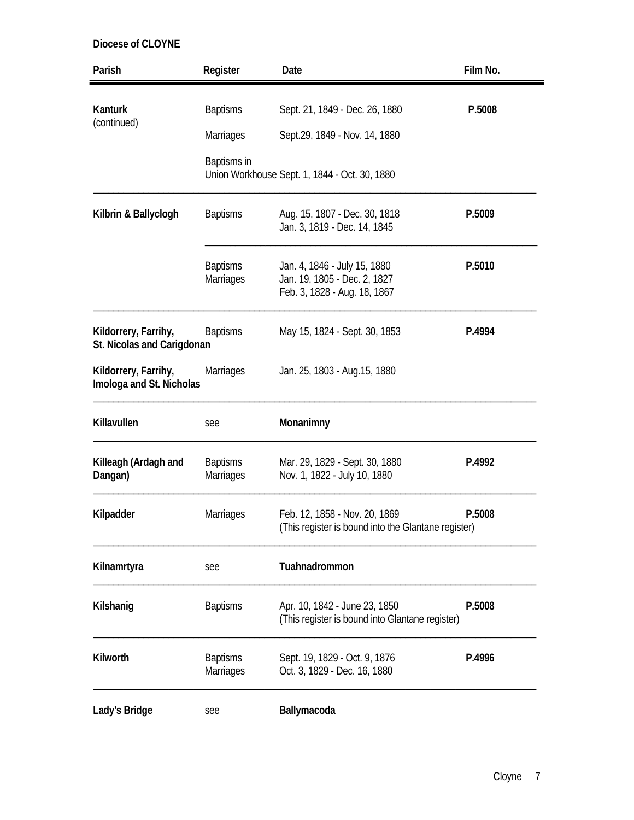| Parish                                             | Register                            | Date                                                                                         | Film No. |
|----------------------------------------------------|-------------------------------------|----------------------------------------------------------------------------------------------|----------|
| <b>Kanturk</b>                                     | <b>Baptisms</b>                     | Sept. 21, 1849 - Dec. 26, 1880                                                               | P.5008   |
| (continued)                                        | <b>Marriages</b>                    | Sept.29, 1849 - Nov. 14, 1880                                                                |          |
|                                                    | Baptisms in                         | Union Workhouse Sept. 1, 1844 - Oct. 30, 1880                                                |          |
| Kilbrin & Ballyclogh                               | <b>Baptisms</b>                     | Aug. 15, 1807 - Dec. 30, 1818<br>Jan. 3, 1819 - Dec. 14, 1845                                | P.5009   |
|                                                    | <b>Baptisms</b><br><b>Marriages</b> | Jan. 4, 1846 - July 15, 1880<br>Jan. 19, 1805 - Dec. 2, 1827<br>Feb. 3, 1828 - Aug. 18, 1867 | P.5010   |
| Kildorrery, Farrihy,<br>St. Nicolas and Carigdonan | <b>Baptisms</b>                     | May 15, 1824 - Sept. 30, 1853                                                                | P.4994   |
| Kildorrery, Farrihy,<br>Imologa and St. Nicholas   | <b>Marriages</b>                    | Jan. 25, 1803 - Aug. 15, 1880                                                                |          |
| Killavullen                                        | see                                 | Monanimny                                                                                    |          |
| Killeagh (Ardagh and<br>Dangan)                    | <b>Baptisms</b><br>Marriages        | Mar. 29, 1829 - Sept. 30, 1880<br>Nov. 1, 1822 - July 10, 1880                               | P.4992   |
| Kilpadder                                          | <b>Marriages</b>                    | Feb. 12, 1858 - Nov. 20, 1869<br>(This register is bound into the Glantane register)         | P.5008   |
| Kilnamrtyra                                        | see                                 | Tuahnadrommon                                                                                |          |
| Kilshanig                                          | <b>Baptisms</b>                     | Apr. 10, 1842 - June 23, 1850<br>(This register is bound into Glantane register)             | P.5008   |
| Kilworth                                           | <b>Baptisms</b><br>Marriages        | Sept. 19, 1829 - Oct. 9, 1876<br>Oct. 3, 1829 - Dec. 16, 1880                                | P.4996   |
| Lady's Bridge                                      | see                                 | Ballymacoda                                                                                  |          |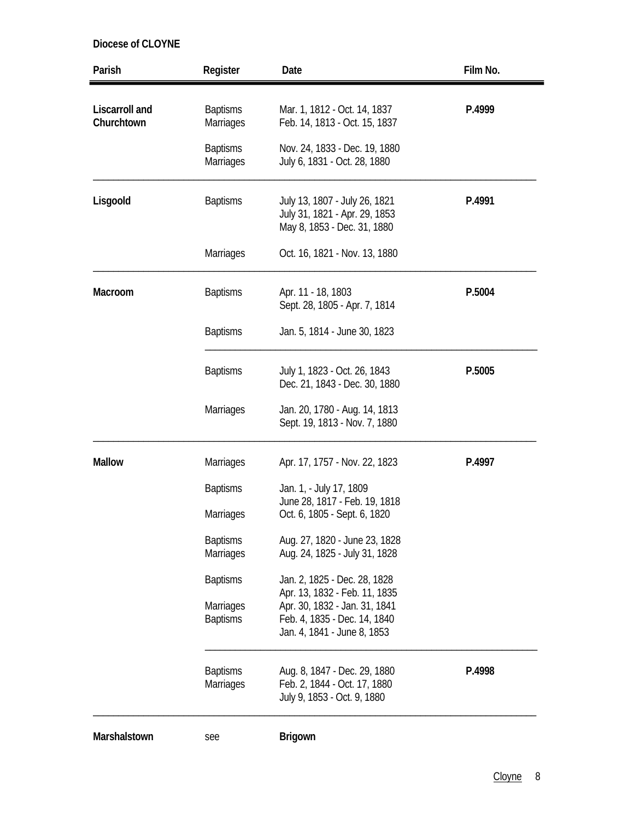| Parish                              | Register                            | Date                                                                                          | Film No. |
|-------------------------------------|-------------------------------------|-----------------------------------------------------------------------------------------------|----------|
| <b>Liscarroll</b> and<br>Churchtown | <b>Baptisms</b><br><b>Marriages</b> | Mar. 1, 1812 - Oct. 14, 1837<br>Feb. 14, 1813 - Oct. 15, 1837                                 | P.4999   |
|                                     | <b>Baptisms</b><br><b>Marriages</b> | Nov. 24, 1833 - Dec. 19, 1880<br>July 6, 1831 - Oct. 28, 1880                                 |          |
| Lisgoold                            | <b>Baptisms</b>                     | July 13, 1807 - July 26, 1821<br>July 31, 1821 - Apr. 29, 1853<br>May 8, 1853 - Dec. 31, 1880 | P.4991   |
|                                     | <b>Marriages</b>                    | Oct. 16, 1821 - Nov. 13, 1880                                                                 |          |
| Macroom                             | <b>Baptisms</b>                     | Apr. 11 - 18, 1803<br>Sept. 28, 1805 - Apr. 7, 1814                                           | P.5004   |
|                                     | <b>Baptisms</b>                     | Jan. 5, 1814 - June 30, 1823                                                                  |          |
|                                     | <b>Baptisms</b>                     | July 1, 1823 - Oct. 26, 1843<br>Dec. 21, 1843 - Dec. 30, 1880                                 | P.5005   |
|                                     | <b>Marriages</b>                    | Jan. 20, 1780 - Aug. 14, 1813<br>Sept. 19, 1813 - Nov. 7, 1880                                |          |
| <b>Mallow</b>                       | <b>Marriages</b>                    | Apr. 17, 1757 - Nov. 22, 1823                                                                 | P.4997   |
|                                     | <b>Baptisms</b><br>Marriages        | Jan. 1, - July 17, 1809<br>June 28, 1817 - Feb. 19, 1818<br>Oct. 6, 1805 - Sept. 6, 1820      |          |
|                                     | <b>Baptisms</b><br>Marriages        | Aug. 27, 1820 - June 23, 1828<br>Aug. 24, 1825 - July 31, 1828                                |          |
|                                     | <b>Baptisms</b>                     | Jan. 2, 1825 - Dec. 28, 1828<br>Apr. 13, 1832 - Feb. 11, 1835                                 |          |
|                                     | <b>Marriages</b><br><b>Baptisms</b> | Apr. 30, 1832 - Jan. 31, 1841<br>Feb. 4, 1835 - Dec. 14, 1840<br>Jan. 4, 1841 - June 8, 1853  |          |
|                                     | <b>Baptisms</b><br><b>Marriages</b> | Aug. 8, 1847 - Dec. 29, 1880<br>Feb. 2, 1844 - Oct. 17, 1880<br>July 9, 1853 - Oct. 9, 1880   | P.4998   |
| Marshalstown                        | see                                 | <b>Brigown</b>                                                                                |          |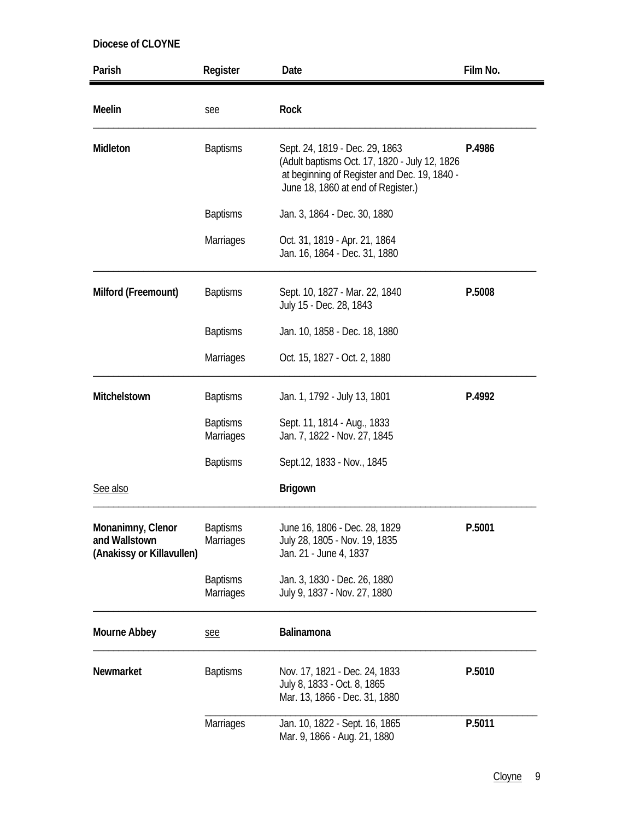| Parish                                                          | Register                            | Date                                                                                                                                                                  | Film No. |
|-----------------------------------------------------------------|-------------------------------------|-----------------------------------------------------------------------------------------------------------------------------------------------------------------------|----------|
| Meelin                                                          | see                                 | Rock                                                                                                                                                                  |          |
| Midleton                                                        | <b>Baptisms</b>                     | Sept. 24, 1819 - Dec. 29, 1863<br>(Adult baptisms Oct. 17, 1820 - July 12, 1826<br>at beginning of Register and Dec. 19, 1840 -<br>June 18, 1860 at end of Register.) | P.4986   |
|                                                                 | <b>Baptisms</b>                     | Jan. 3, 1864 - Dec. 30, 1880                                                                                                                                          |          |
|                                                                 | <b>Marriages</b>                    | Oct. 31, 1819 - Apr. 21, 1864<br>Jan. 16, 1864 - Dec. 31, 1880                                                                                                        |          |
| Milford (Freemount)                                             | <b>Baptisms</b>                     | Sept. 10, 1827 - Mar. 22, 1840<br>July 15 - Dec. 28, 1843                                                                                                             | P.5008   |
|                                                                 | <b>Baptisms</b>                     | Jan. 10, 1858 - Dec. 18, 1880                                                                                                                                         |          |
|                                                                 | Marriages                           | Oct. 15, 1827 - Oct. 2, 1880                                                                                                                                          |          |
| Mitchelstown                                                    | <b>Baptisms</b>                     | Jan. 1, 1792 - July 13, 1801                                                                                                                                          | P.4992   |
|                                                                 | <b>Baptisms</b><br>Marriages        | Sept. 11, 1814 - Aug., 1833<br>Jan. 7, 1822 - Nov. 27, 1845                                                                                                           |          |
|                                                                 | <b>Baptisms</b>                     | Sept.12, 1833 - Nov., 1845                                                                                                                                            |          |
| See also                                                        |                                     | <b>Brigown</b>                                                                                                                                                        |          |
| Monanimny, Clenor<br>and Wallstown<br>(Anakissy or Killavullen) | <b>Baptisms</b><br><b>Marriages</b> | June 16, 1806 - Dec. 28, 1829<br>July 28, 1805 - Nov. 19, 1835<br>Jan. 21 - June 4, 1837                                                                              | P.5001   |
|                                                                 | <b>Baptisms</b><br>Marriages        | Jan. 3, 1830 - Dec. 26, 1880<br>July 9, 1837 - Nov. 27, 1880                                                                                                          |          |
| Mourne Abbey                                                    | see                                 | Balinamona                                                                                                                                                            |          |
| Newmarket                                                       | <b>Baptisms</b>                     | Nov. 17, 1821 - Dec. 24, 1833<br>July 8, 1833 - Oct. 8, 1865<br>Mar. 13, 1866 - Dec. 31, 1880                                                                         | P.5010   |
|                                                                 | Marriages                           | Jan. 10, 1822 - Sept. 16, 1865<br>Mar. 9, 1866 - Aug. 21, 1880                                                                                                        | P.5011   |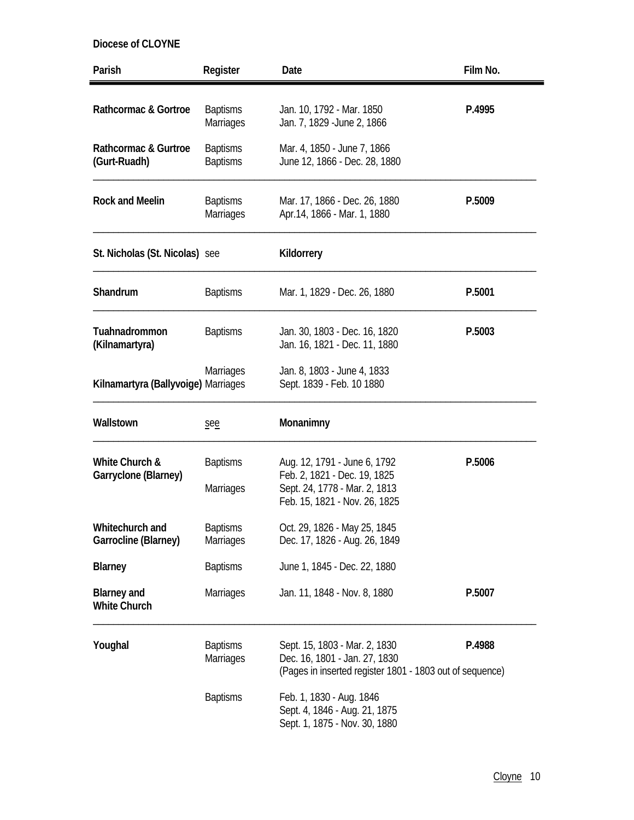| Parish                                    | Register                            | Date                                                                                                                           | Film No. |
|-------------------------------------------|-------------------------------------|--------------------------------------------------------------------------------------------------------------------------------|----------|
| Rathcormac & Gortroe                      | <b>Baptisms</b><br><b>Marriages</b> | Jan. 10, 1792 - Mar. 1850<br>Jan. 7, 1829 - June 2, 1866                                                                       | P.4995   |
| Rathcormac & Gurtroe<br>(Gurt-Ruadh)      | <b>Baptisms</b><br><b>Baptisms</b>  | Mar. 4, 1850 - June 7, 1866<br>June 12, 1866 - Dec. 28, 1880                                                                   |          |
| <b>Rock and Meelin</b>                    | <b>Baptisms</b><br><b>Marriages</b> | Mar. 17, 1866 - Dec. 26, 1880<br>Apr. 14, 1866 - Mar. 1, 1880                                                                  | P.5009   |
| St. Nicholas (St. Nicolas) see            |                                     | Kildorrery                                                                                                                     |          |
| Shandrum                                  | <b>Baptisms</b>                     | Mar. 1, 1829 - Dec. 26, 1880                                                                                                   | P.5001   |
| Tuahnadrommon<br>(Kilnamartyra)           | <b>Baptisms</b>                     | Jan. 30, 1803 - Dec. 16, 1820<br>Jan. 16, 1821 - Dec. 11, 1880                                                                 | P.5003   |
| Kilnamartyra (Ballyvoige) Marriages       | <b>Marriages</b>                    | Jan. 8, 1803 - June 4, 1833<br>Sept. 1839 - Feb. 10 1880                                                                       |          |
| Wallstown                                 | see                                 | Monanimny                                                                                                                      |          |
| White Church &<br>Garryclone (Blarney)    | <b>Baptisms</b><br><b>Marriages</b> | Aug. 12, 1791 - June 6, 1792<br>Feb. 2, 1821 - Dec. 19, 1825<br>Sept. 24, 1778 - Mar. 2, 1813<br>Feb. 15, 1821 - Nov. 26, 1825 | P.5006   |
| Whitechurch and<br>Garrocline (Blarney)   | <b>Baptisms</b><br><b>Marriages</b> | Oct. 29, 1826 - May 25, 1845<br>Dec. 17, 1826 - Aug. 26, 1849                                                                  |          |
| <b>Blarney</b>                            | <b>Baptisms</b>                     | June 1, 1845 - Dec. 22, 1880                                                                                                   |          |
| <b>Blarney and</b><br><b>White Church</b> | <b>Marriages</b>                    | Jan. 11, 1848 - Nov. 8, 1880                                                                                                   | P.5007   |
| Youghal                                   | <b>Baptisms</b><br><b>Marriages</b> | Sept. 15, 1803 - Mar. 2, 1830<br>Dec. 16, 1801 - Jan. 27, 1830<br>(Pages in inserted register 1801 - 1803 out of sequence)     | P.4988   |
|                                           | <b>Baptisms</b>                     | Feb. 1, 1830 - Aug. 1846<br>Sept. 4, 1846 - Aug. 21, 1875<br>Sept. 1, 1875 - Nov. 30, 1880                                     |          |